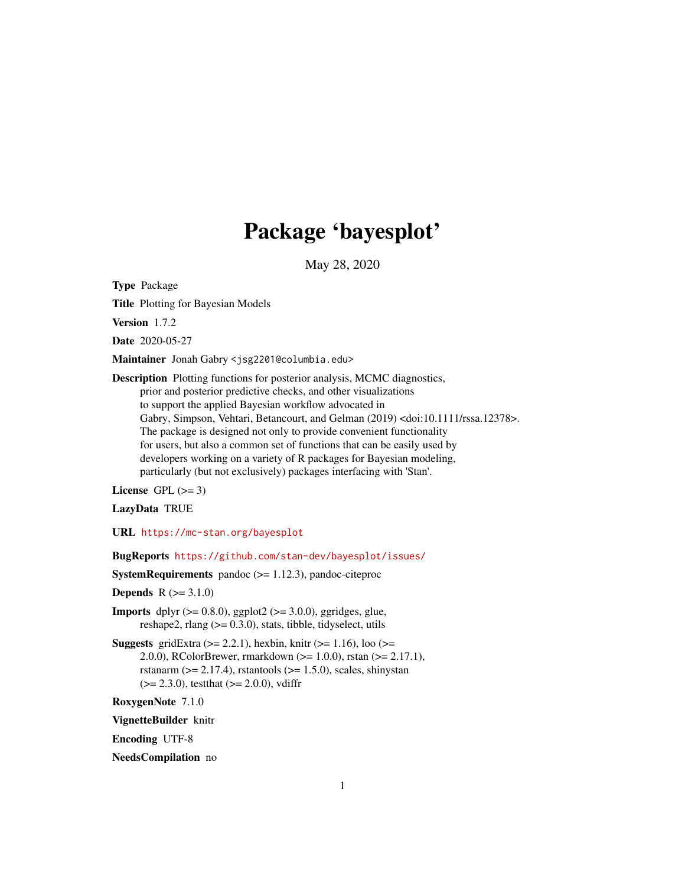# Package 'bayesplot'

May 28, 2020

<span id="page-0-0"></span>Type Package

Title Plotting for Bayesian Models

Version 1.7.2

Date 2020-05-27

Maintainer Jonah Gabry <jsg2201@columbia.edu>

Description Plotting functions for posterior analysis, MCMC diagnostics, prior and posterior predictive checks, and other visualizations to support the applied Bayesian workflow advocated in Gabry, Simpson, Vehtari, Betancourt, and Gelman (2019) <doi:10.1111/rssa.12378>. The package is designed not only to provide convenient functionality for users, but also a common set of functions that can be easily used by developers working on a variety of R packages for Bayesian modeling, particularly (but not exclusively) packages interfacing with 'Stan'.

License GPL  $(>= 3)$ 

LazyData TRUE

URL <https://mc-stan.org/bayesplot>

BugReports <https://github.com/stan-dev/bayesplot/issues/>

**SystemRequirements** pandoc  $(>= 1.12.3)$ , pandoc-citeproc

**Depends**  $R (= 3.1.0)$ 

**Imports** dplyr  $(>= 0.8.0)$ , ggplot2  $(>= 3.0.0)$ , ggridges, glue, reshape2, rlang  $(>= 0.3.0)$ , stats, tibble, tidyselect, utils

**Suggests** gridExtra  $(>= 2.2.1)$ , hexbin, knitr  $(>= 1.16)$ , loo  $(>= 1.16)$ 2.0.0), RColorBrewer, rmarkdown (>= 1.0.0), rstan (>= 2.17.1), rstanarm ( $>= 2.17.4$ ), rstantools ( $>= 1.5.0$ ), scales, shinystan  $(>= 2.3.0)$ , testthat  $(>= 2.0.0)$ , vdiffr

RoxygenNote 7.1.0

VignetteBuilder knitr

Encoding UTF-8

NeedsCompilation no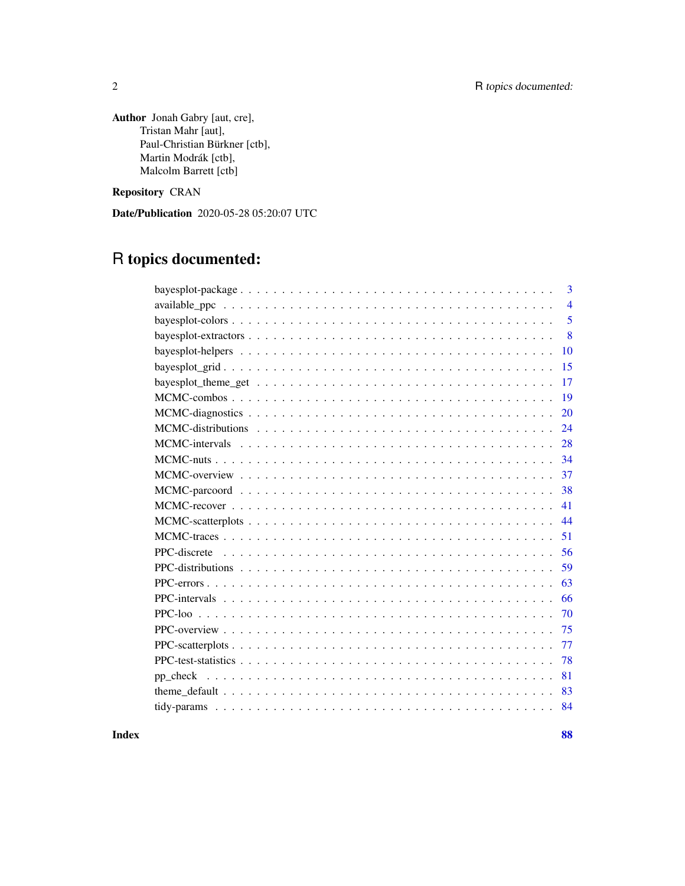Author Jonah Gabry [aut, cre], Tristan Mahr [aut], Paul-Christian Bürkner [ctb], Martin Modrák [ctb], Malcolm Barrett [ctb]

Repository CRAN

Date/Publication 2020-05-28 05:20:07 UTC

# R topics documented:

| 3              |
|----------------|
| $\overline{4}$ |
| 5              |
| 8              |
| 10             |
| 15             |
| 17             |
| 19             |
| 20             |
| 24             |
| 28             |
| 34             |
| 37             |
| 38             |
| 41             |
| 44             |
| 51             |
| 56             |
| 59             |
| 63             |
| 66             |
| 70<br>PPC-loo  |
| 75             |
| 77             |
| 78             |
| 81             |
| 83             |
| 84             |

**Index [88](#page-87-0) Second Line Control Control Control Control Control Control Control Control Control Control Control Co**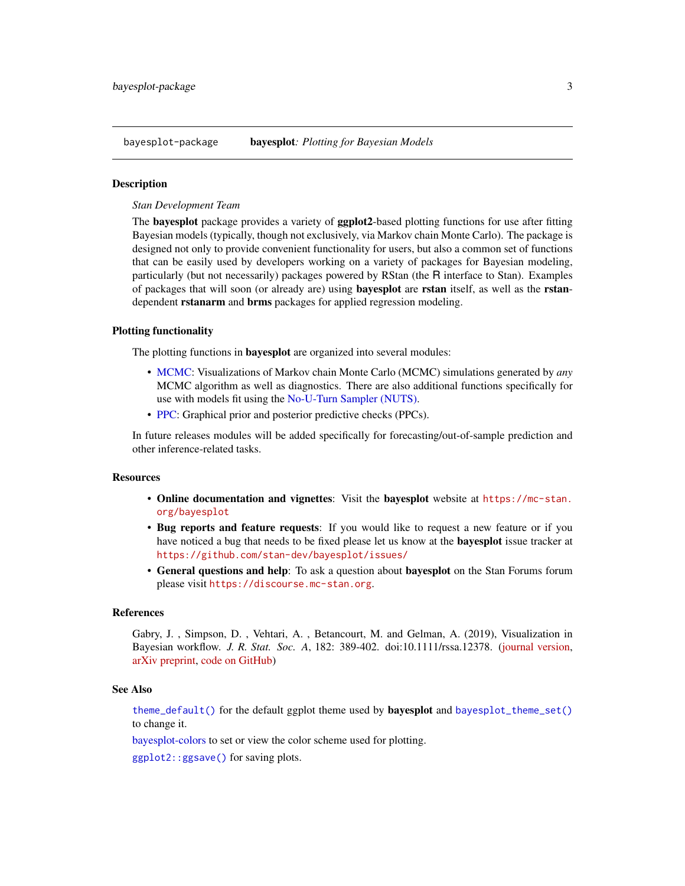<span id="page-2-0"></span>bayesplot-package bayesplot*: Plotting for Bayesian Models*

# **Description**

*Stan Development Team*

The **bayesplot** package provides a variety of **ggplot2**-based plotting functions for use after fitting Bayesian models (typically, though not exclusively, via Markov chain Monte Carlo). The package is designed not only to provide convenient functionality for users, but also a common set of functions that can be easily used by developers working on a variety of packages for Bayesian modeling, particularly (but not necessarily) packages powered by RStan (the R interface to Stan). Examples of packages that will soon (or already are) using **bayesplot** are rstan itself, as well as the rstandependent **rstanarm** and **brms** packages for applied regression modeling.

# Plotting functionality

The plotting functions in bayesplot are organized into several modules:

- [MCMC:](#page-36-1) Visualizations of Markov chain Monte Carlo (MCMC) simulations generated by *any* MCMC algorithm as well as diagnostics. There are also additional functions specifically for use with models fit using the [No-U-Turn Sampler \(NUTS\).](#page-33-1)
- [PPC:](#page-74-1) Graphical prior and posterior predictive checks (PPCs).

In future releases modules will be added specifically for forecasting/out-of-sample prediction and other inference-related tasks.

#### **Resources**

- Online documentation and vignettes: Visit the bayesplot website at [https://mc-stan.](https://mc-stan.org/bayesplot) [org/bayesplot](https://mc-stan.org/bayesplot)
- Bug reports and feature requests: If you would like to request a new feature or if you have noticed a bug that needs to be fixed please let us know at the bayesplot issue tracker at <https://github.com/stan-dev/bayesplot/issues/>
- General questions and help: To ask a question about bayesplot on the Stan Forums forum please visit <https://discourse.mc-stan.org>.

#### References

Gabry, J. , Simpson, D. , Vehtari, A. , Betancourt, M. and Gelman, A. (2019), Visualization in Bayesian workflow. *J. R. Stat. Soc. A*, 182: 389-402. doi:10.1111/rssa.12378. [\(journal version,](https://rss.onlinelibrary.wiley.com/doi/full/10.1111/rssa.12378) [arXiv preprint,](https://arxiv.org/abs/1709.01449) [code on GitHub\)](https://github.com/jgabry/bayes-vis-paper)

# See Also

[theme\\_default\(\)](#page-82-1) for the default ggplot theme used by **bayesplot** and [bayesplot\\_theme\\_set\(\)](#page-16-1) to change it.

[bayesplot-colors](#page-4-1) to set or view the color scheme used for plotting.

[ggplot2::ggsave\(\)](#page-0-0) for saving plots.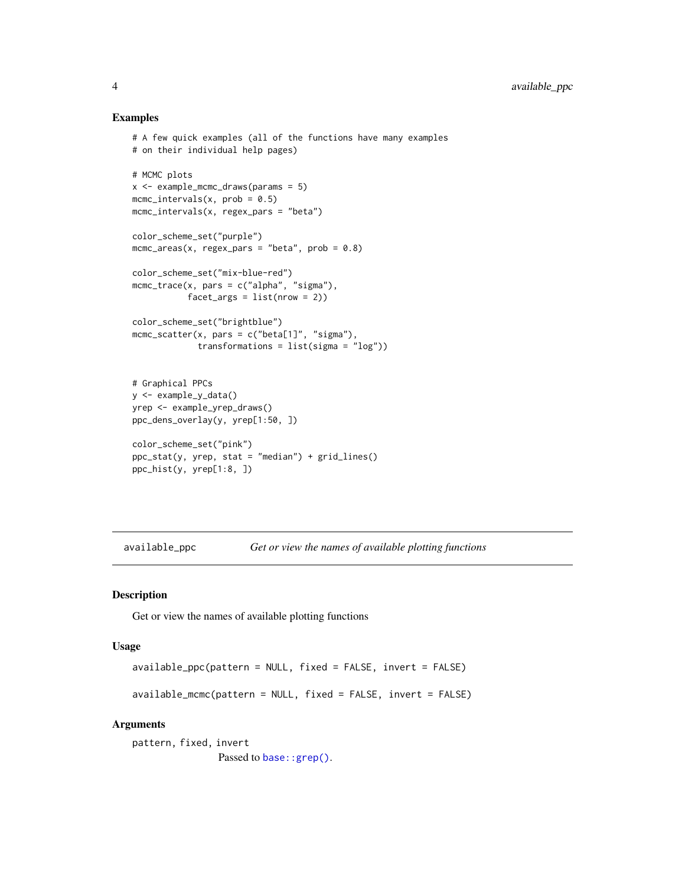### Examples

```
# A few quick examples (all of the functions have many examples
# on their individual help pages)
# MCMC plots
x <- example_mcmc_draws(params = 5)
mcmc\_intervals(x, prob = 0.5)mcmc_intervals(x, regex_pars = "beta")
color_scheme_set("purple")
mcmc_areas(x, regex_pars = "beta", prob = 0.8)
color_scheme_set("mix-blue-red")
mcmc_{\text{t}}race(x, pars = c("alpha", "sigma"),facet_{args} = list(nrow = 2)color_scheme_set("brightblue")
mcmc_scatter(x, pars = c("beta[1]", "sigma"),
             transformations = list(sigma = "log"))
# Graphical PPCs
y <- example_y_data()
yrep <- example_yrep_draws()
ppc_dens_overlay(y, yrep[1:50, ])
color_scheme_set("pink")
ppc\_stat(y, yrep, stat = "median") + grid\_lines()
```

```
ppc_hist(y, yrep[1:8, ])
```
available\_ppc *Get or view the names of available plotting functions*

#### Description

Get or view the names of available plotting functions

#### Usage

```
available_ppc(pattern = NULL, fixed = FALSE, invert = FALSE)
```
available\_mcmc(pattern = NULL, fixed = FALSE, invert = FALSE)

```
pattern, fixed, invert
                 Passed to base:: grep().
```
<span id="page-3-0"></span>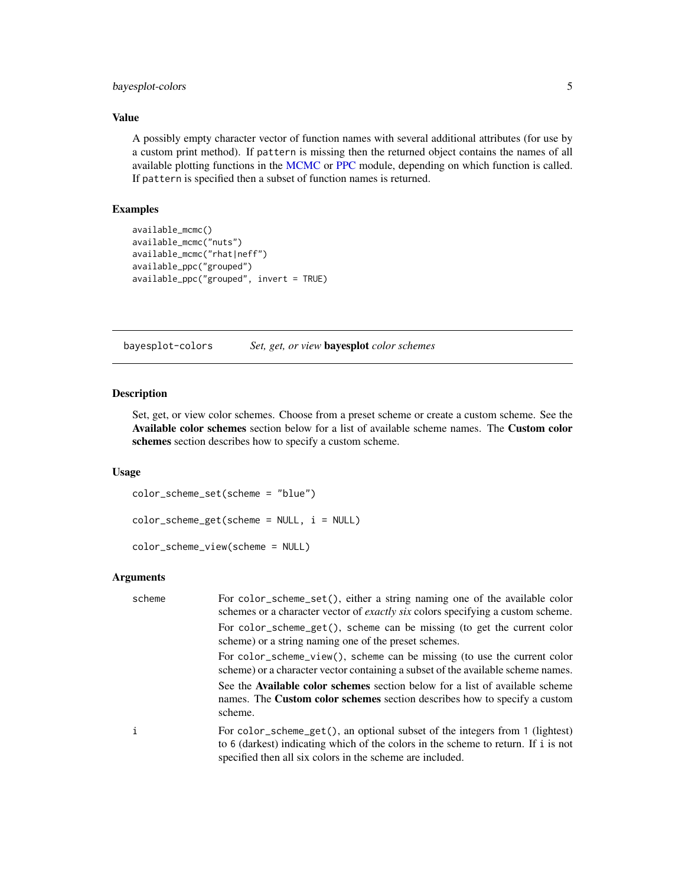# <span id="page-4-0"></span>bayesplot-colors 5

# Value

A possibly empty character vector of function names with several additional attributes (for use by a custom print method). If pattern is missing then the returned object contains the names of all available plotting functions in the [MCMC](#page-36-2) or [PPC](#page-74-2) module, depending on which function is called. If pattern is specified then a subset of function names is returned.

# Examples

```
available_mcmc()
available_mcmc("nuts")
available_mcmc("rhat|neff")
available_ppc("grouped")
available_ppc("grouped", invert = TRUE)
```
<span id="page-4-1"></span>bayesplot-colors *Set, get, or view* bayesplot *color schemes*

# Description

Set, get, or view color schemes. Choose from a preset scheme or create a custom scheme. See the Available color schemes section below for a list of available scheme names. The Custom color schemes section describes how to specify a custom scheme.

# Usage

```
color_scheme_set(scheme = "blue")
color\_scheme\_get(scheme = NULL, i = NULL)color_scheme_view(scheme = NULL)
```

| scheme | For color_scheme_set(), either a string naming one of the available color<br>schemes or a character vector of <i>exactly six</i> colors specifying a custom scheme.                                                             |
|--------|---------------------------------------------------------------------------------------------------------------------------------------------------------------------------------------------------------------------------------|
|        | For color_scheme_get(), scheme can be missing (to get the current color<br>scheme) or a string naming one of the preset schemes.                                                                                                |
|        | For color_scheme_view(), scheme can be missing (to use the current color<br>scheme) or a character vector containing a subset of the available scheme names.                                                                    |
|        | See the Available color schemes section below for a list of available scheme<br>names. The <b>Custom color schemes</b> section describes how to specify a custom<br>scheme.                                                     |
| i      | For color_scheme_get(), an optional subset of the integers from 1 (lightest)<br>to 6 (darkest) indicating which of the colors in the scheme to return. If i is not<br>specified then all six colors in the scheme are included. |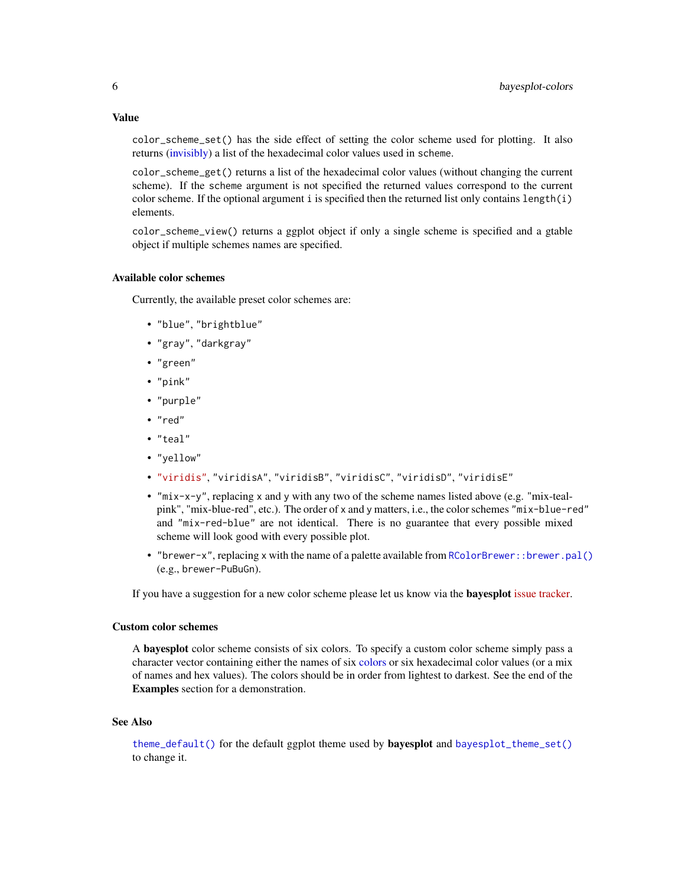Value

color\_scheme\_set() has the side effect of setting the color scheme used for plotting. It also returns [\(invisibly\)](#page-0-0) a list of the hexadecimal color values used in scheme.

color\_scheme\_get() returns a list of the hexadecimal color values (without changing the current scheme). If the scheme argument is not specified the returned values correspond to the current color scheme. If the optional argument i is specified then the returned list only contains length(i) elements.

color\_scheme\_view() returns a ggplot object if only a single scheme is specified and a gtable object if multiple schemes names are specified.

#### Available color schemes

Currently, the available preset color schemes are:

- "blue", "brightblue"
- "gray", "darkgray"
- "green"
- "pink"
- "purple"
- "red"
- "teal"
- "yellow"
- ["viridis"](https://CRAN.R-project.org/package=viridis), "viridisA", "viridisB", "viridisC", "viridisD", "viridisE"
- "mix-x-y", replacing x and y with any two of the scheme names listed above (e.g. "mix-tealpink", "mix-blue-red", etc.). The order of x and y matters, i.e., the color schemes "mix-blue-red" and "mix-red-blue" are not identical. There is no guarantee that every possible mixed scheme will look good with every possible plot.
- "brewer-x", replacing x with the name of a palette available from RColorBrewer: : brewer.pal() (e.g., brewer-PuBuGn).

If you have a suggestion for a new color scheme please let us know via the **bayesplot** [issue tracker.](https://github.com/stan-dev/bayesplot/issues)

## Custom color schemes

A bayesplot color scheme consists of six colors. To specify a custom color scheme simply pass a character vector containing either the names of six [colors](#page-0-0) or six hexadecimal color values (or a mix of names and hex values). The colors should be in order from lightest to darkest. See the end of the Examples section for a demonstration.

#### See Also

[theme\\_default\(\)](#page-82-1) for the default ggplot theme used by **bayesplot** and [bayesplot\\_theme\\_set\(\)](#page-16-1) to change it.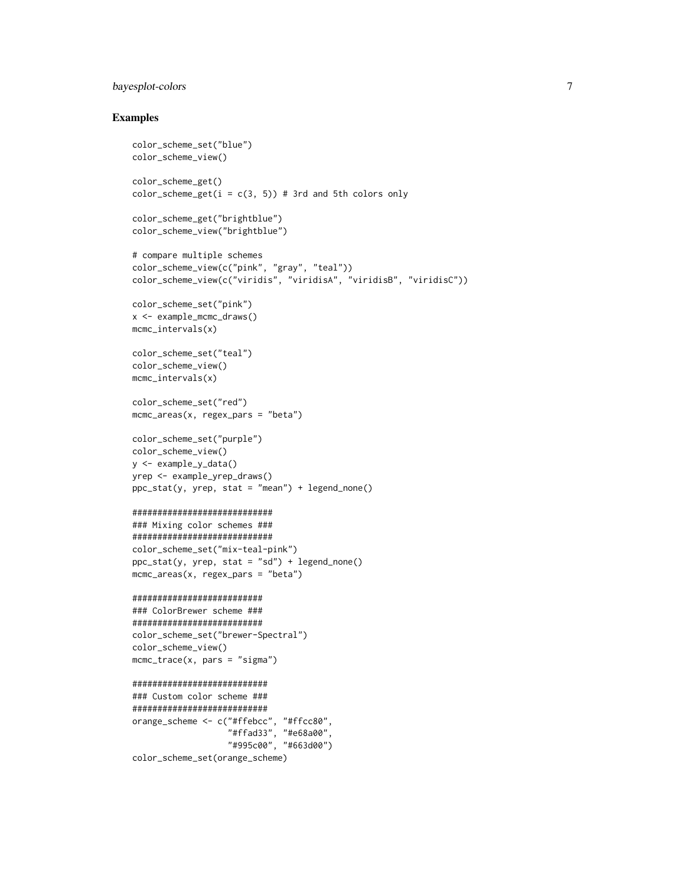# bayesplot-colors 7

```
color_scheme_set("blue")
color_scheme_view()
color_scheme_get()
color_scheme\_get(i = c(3, 5)) # 3rd and 5th colors only
color_scheme_get("brightblue")
color_scheme_view("brightblue")
# compare multiple schemes
color_scheme_view(c("pink", "gray", "teal"))
color_scheme_view(c("viridis", "viridisA", "viridisB", "viridisC"))
color_scheme_set("pink")
x <- example_mcmc_draws()
mcmc_intervals(x)
color_scheme_set("teal")
color_scheme_view()
mcmc_intervals(x)
color_scheme_set("red")
mcmc_areas(x, regex_pars = "beta")
color_scheme_set("purple")
color_scheme_view()
y <- example_y_data()
yrep <- example_yrep_draws()
ppc\_stat(y, yrep, stat = "mean") + legend\_none()############################
### Mixing color schemes ###
############################
color_scheme_set("mix-teal-pink")
ppc_stat(y, yrep, stat = "sd") + legend_none()
mcmc_areas(x, regex_pars = "beta")
##########################
### ColorBrewer scheme ###
##########################
color_scheme_set("brewer-Spectral")
color_scheme_view()
mcmc_trace(x, pars = "sigma")###########################
### Custom color scheme ###
###########################
orange_scheme <- c("#ffebcc", "#ffcc80",
                   "#ffad33", "#e68a00",
                   "#995c00", "#663d00")
color_scheme_set(orange_scheme)
```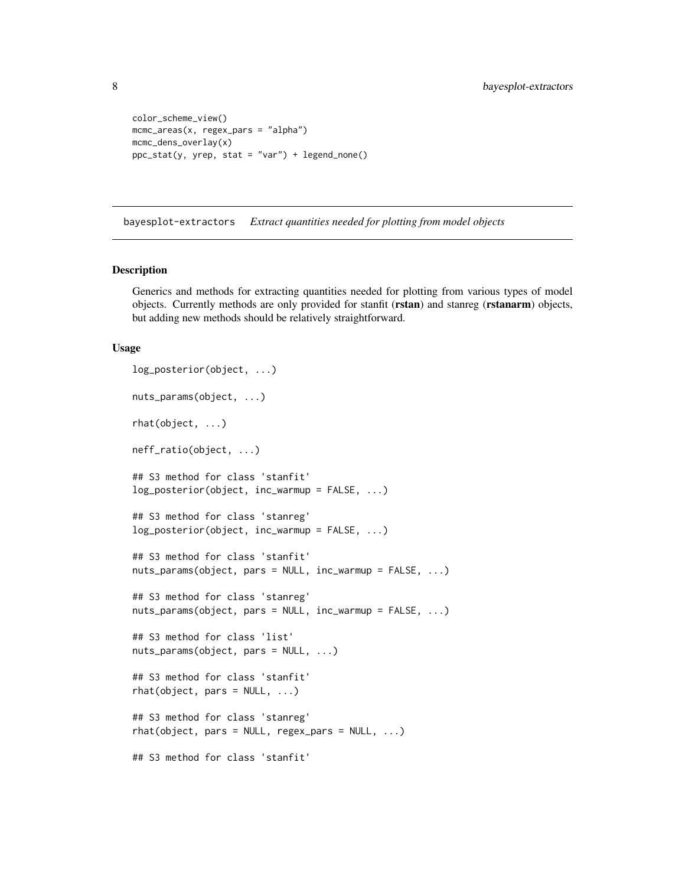```
color_scheme_view()
mcmc_areas(x, regex_pars = "alpha")
mcmc_dens_overlay(x)
ppc\_stat(y, yrep, stat = "var") + legend\_none()
```
bayesplot-extractors *Extract quantities needed for plotting from model objects*

## <span id="page-7-1"></span>Description

Generics and methods for extracting quantities needed for plotting from various types of model objects. Currently methods are only provided for stanfit (rstan) and stanreg (rstanarm) objects, but adding new methods should be relatively straightforward.

#### Usage

```
log_posterior(object, ...)
nuts_params(object, ...)
rhat(object, ...)
neff_ratio(object, ...)
## S3 method for class 'stanfit'
log_posterior(object, inc_warmup = FALSE, ...)
## S3 method for class 'stanreg'
log_{10}posterior(object, inc_warmup = FALSE, ...)
## S3 method for class 'stanfit'
nuts_params(object, pars = NULL, inc_warmup = FALSE, ...)
## S3 method for class 'stanreg'
nuts_params(object, pars = NULL, inc_warmup = FALSE, ...)
## S3 method for class 'list'
nuts_params(object, pars = NULL, ...)
## S3 method for class 'stanfit'
rhat(object, pars = NULL, ...)## S3 method for class 'stanreg'
rhat(object, pars = NULL, regex\_pars = NULL, ...)## S3 method for class 'stanfit'
```
<span id="page-7-0"></span>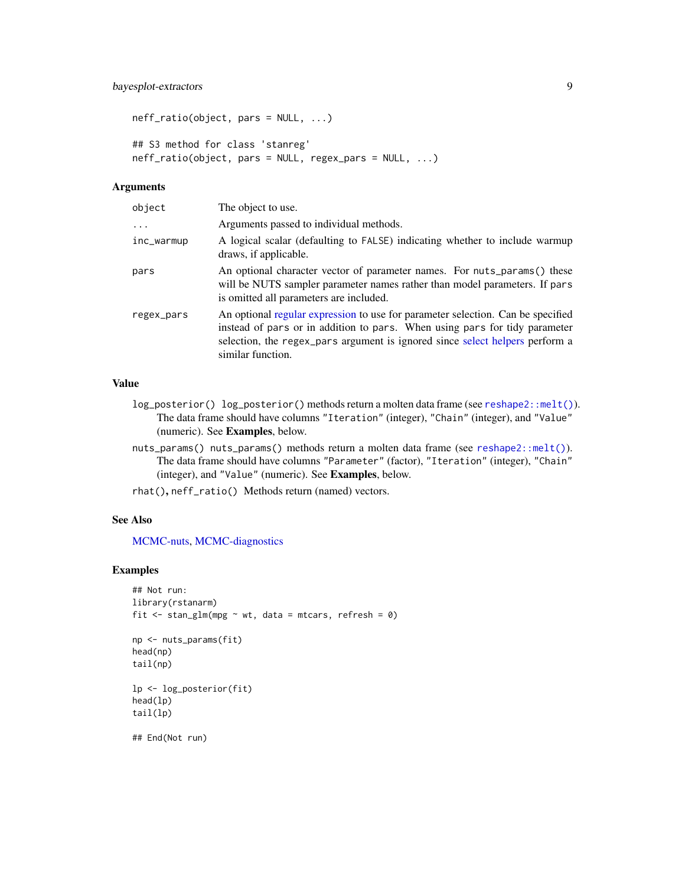```
neff_ratio(object, pars = NULL, ...)
## S3 method for class 'stanreg'
neff_ratio(object, pars = NULL, regex_pars = NULL, ...)
```
# Arguments

| object     | The object to use.                                                                                                                                                                                                                                                 |
|------------|--------------------------------------------------------------------------------------------------------------------------------------------------------------------------------------------------------------------------------------------------------------------|
| $\cdots$   | Arguments passed to individual methods.                                                                                                                                                                                                                            |
| inc_warmup | A logical scalar (defaulting to FALSE) indicating whether to include warmup<br>draws, if applicable.                                                                                                                                                               |
| pars       | An optional character vector of parameter names. For nuts_params() these<br>will be NUTS sampler parameter names rather than model parameters. If pars<br>is omitted all parameters are included.                                                                  |
| regex_pars | An optional regular expression to use for parameter selection. Can be specified<br>instead of pars or in addition to pars. When using pars for tidy parameter<br>selection, the regex_pars argument is ignored since select helpers perform a<br>similar function. |

# Value

- log\_posterior() log\_posterior() methods return a molten data frame (see [reshape2::melt\(\)](#page-0-0)). The data frame should have columns "Iteration" (integer), "Chain" (integer), and "Value" (numeric). See Examples, below.
- nuts\_params() nuts\_params() methods return a molten data frame (see [reshape2::melt\(\)](#page-0-0)). The data frame should have columns "Parameter" (factor), "Iteration" (integer), "Chain" (integer), and "Value" (numeric). See Examples, below.

rhat(), neff\_ratio() Methods return (named) vectors.

#### See Also

[MCMC-nuts,](#page-33-2) [MCMC-diagnostics](#page-19-1)

```
## Not run:
library(rstanarm)
fit \le stan_glm(mpg \sim wt, data = mtcars, refresh = 0)
np <- nuts_params(fit)
head(np)
tail(np)
lp <- log_posterior(fit)
head(lp)
tail(lp)
## End(Not run)
```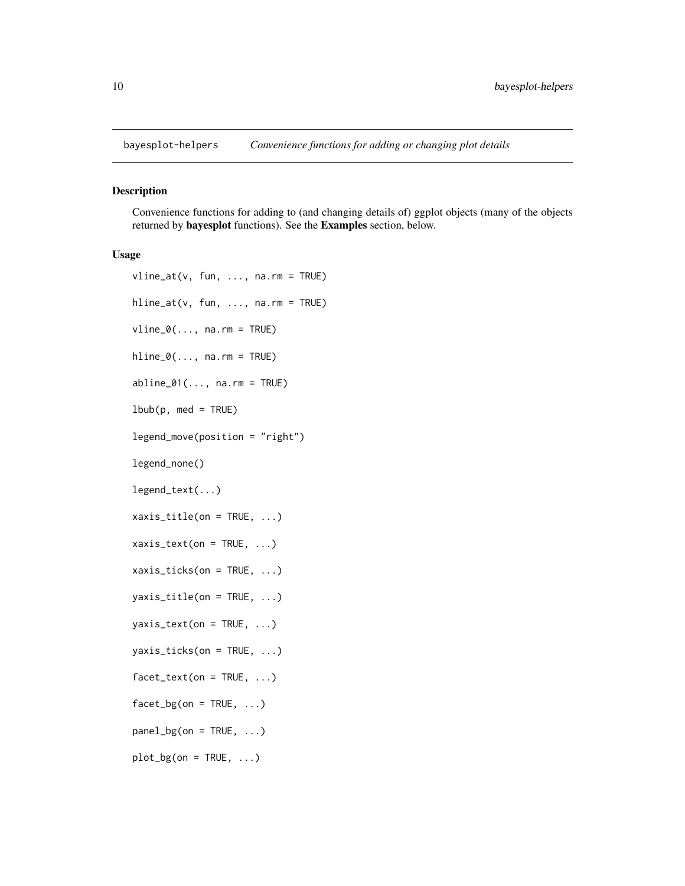<span id="page-9-1"></span><span id="page-9-0"></span>

## <span id="page-9-2"></span>Description

Convenience functions for adding to (and changing details of) ggplot objects (many of the objects returned by bayesplot functions). See the Examples section, below.

#### Usage

```
vline_at(v, fun, ..., na.rm = TRUE)
hline_at(v, fun, ..., na.rm = TRUE)
vline_0(\ldots, na.rm = TRUE)hline_0(\ldots, na.rm = TRUE)abline_01(\ldots, na.rm = TRUE)lbbb(p, med = TRUE)legend_move(position = "right")
legend_none()
legend_text(...)
xaxis_title(on = TRUE, ...)
xaxis\_text(on = TRUE, ...)
xaxis\_ticks(on = TRUE, ...)
yaxis\_title(on = TRUE, ...)
yaxis\_text(on = TRUE, ...)yaxis_ticks(on = TRUE, ...)
factor\_text(on = TRUE, ...)facet_bg(on = TRUE, ...)panel_bg(on = TRUE, ...)
plot_bg(on = TRUE, ...)
```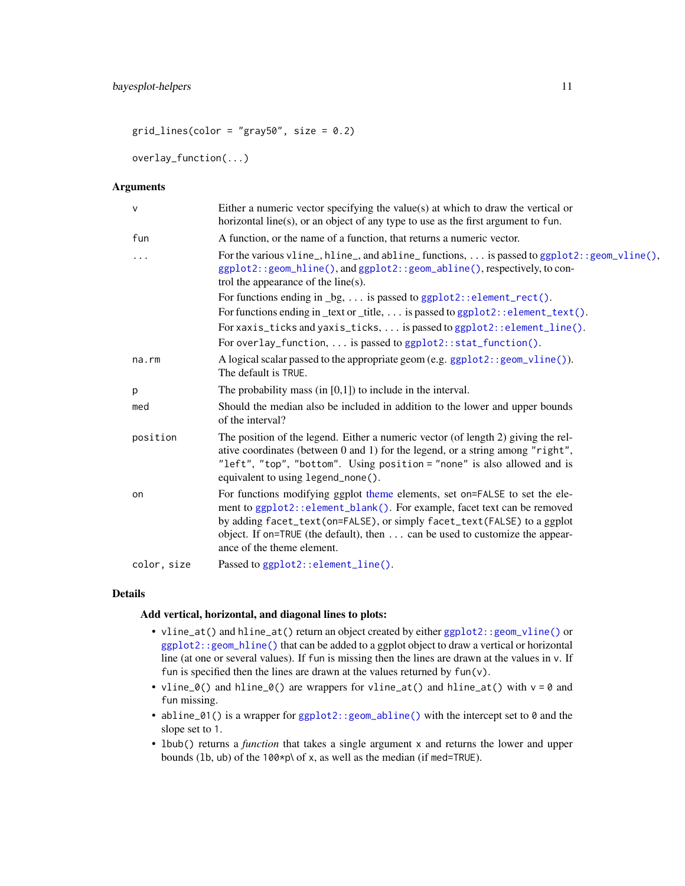$grid\_lines(color = "gray50", size = 0.2)$ 

overlay\_function(...)

# Arguments

| $\mathsf{V}$ | Either a numeric vector specifying the value $(s)$ at which to draw the vertical or<br>horizontal line(s), or an object of any type to use as the first argument to fun.                                                                                                                                                                        |
|--------------|-------------------------------------------------------------------------------------------------------------------------------------------------------------------------------------------------------------------------------------------------------------------------------------------------------------------------------------------------|
| fun          | A function, or the name of a function, that returns a numeric vector.                                                                                                                                                                                                                                                                           |
| $\cdots$     | For the various vline <sub>-</sub> , hline <sub>-</sub> , and abline <sub>-</sub> functions,  is passed to ggplot2:: geom <sub>-</sub> vline(),<br>ggplot2::geom_hline(), and ggplot2::geom_abline(), respectively, to con-<br>trol the appearance of the line(s).                                                                              |
|              | For functions ending in $\_\{bg, \ldots$ is passed to ggplot2:: element_rect().                                                                                                                                                                                                                                                                 |
|              | For functions ending in _text or _title,  is passed to ggplot2::element_text().                                                                                                                                                                                                                                                                 |
|              | For xaxis_ticks and yaxis_ticks,  is passed to ggplot2::element_line().                                                                                                                                                                                                                                                                         |
|              | For overlay_function,  is passed to ggplot2::stat_function().                                                                                                                                                                                                                                                                                   |
| na.rm        | A logical scalar passed to the appropriate geom (e.g. ggp1ot2:: geom_vline()).<br>The default is TRUE.                                                                                                                                                                                                                                          |
| p            | The probability mass (in $[0,1]$ ) to include in the interval.                                                                                                                                                                                                                                                                                  |
| med          | Should the median also be included in addition to the lower and upper bounds<br>of the interval?                                                                                                                                                                                                                                                |
| position     | The position of the legend. Either a numeric vector (of length 2) giving the rel-<br>ative coordinates (between 0 and 1) for the legend, or a string among "right",<br>"left", "top", "bottom". Using position = "none" is also allowed and is<br>equivalent to using legend_none().                                                            |
| on           | For functions modifying ggplot theme elements, set on=FALSE to set the ele-<br>ment to ggplot2::element_blank(). For example, facet text can be removed<br>by adding facet_text(on=FALSE), or simply facet_text(FALSE) to a ggplot<br>object. If on=TRUE (the default), then can be used to customize the appear-<br>ance of the theme element. |
| color, size  | Passed to ggplot2::element_line().                                                                                                                                                                                                                                                                                                              |

#### Details

# Add vertical, horizontal, and diagonal lines to plots:

- vline\_at() and hline\_at() return an object created by either [ggplot2::geom\\_vline\(\)](#page-0-0) or [ggplot2::geom\\_hline\(\)](#page-0-0) that can be added to a ggplot object to draw a vertical or horizontal line (at one or several values). If fun is missing then the lines are drawn at the values in v. If fun is specified then the lines are drawn at the values returned by  $fun(v)$ .
- vline\_0() and hline\_0() are wrappers for vline\_at() and hline\_at() with  $v = 0$  and fun missing.
- abline\_01() is a wrapper for [ggplot2::geom\\_abline\(\)](#page-0-0) with the intercept set to 0 and the slope set to 1.
- lbub() returns a *function* that takes a single argument x and returns the lower and upper bounds (lb, ub) of the 100\*p\ of x, as well as the median (if med=TRUE).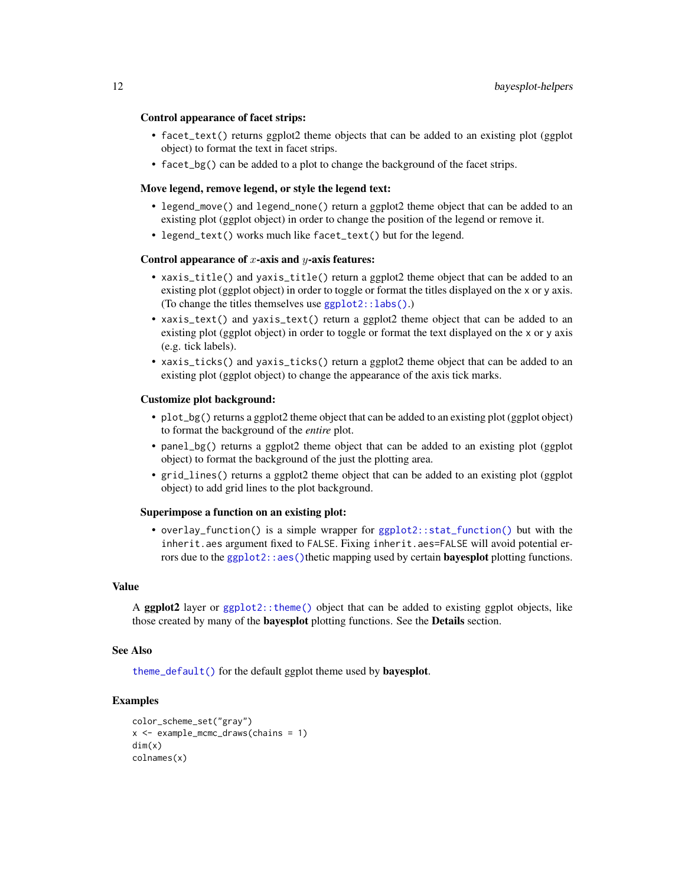#### Control appearance of facet strips:

- facet\_text() returns ggplot2 theme objects that can be added to an existing plot (ggplot object) to format the text in facet strips.
- facet\_bg() can be added to a plot to change the background of the facet strips.

#### Move legend, remove legend, or style the legend text:

- legend\_move() and legend\_none() return a ggplot2 theme object that can be added to an existing plot (ggplot object) in order to change the position of the legend or remove it.
- legend\_text() works much like facet\_text() but for the legend.

### Control appearance of  $x$ -axis and  $y$ -axis features:

- xaxis\_title() and yaxis\_title() return a ggplot2 theme object that can be added to an existing plot (ggplot object) in order to toggle or format the titles displayed on the x or y axis. (To change the titles themselves use [ggplot2::labs\(\)](#page-0-0).)
- xaxis\_text() and yaxis\_text() return a ggplot2 theme object that can be added to an existing plot (ggplot object) in order to toggle or format the text displayed on the x or y axis (e.g. tick labels).
- xaxis\_ticks() and yaxis\_ticks() return a ggplot2 theme object that can be added to an existing plot (ggplot object) to change the appearance of the axis tick marks.

#### Customize plot background:

- plot\_bg() returns a ggplot2 theme object that can be added to an existing plot (ggplot object) to format the background of the *entire* plot.
- panel\_bg() returns a ggplot2 theme object that can be added to an existing plot (ggplot object) to format the background of the just the plotting area.
- grid\_lines() returns a ggplot2 theme object that can be added to an existing plot (ggplot object) to add grid lines to the plot background.

#### Superimpose a function on an existing plot:

• overlay\_function() is a simple wrapper for [ggplot2::stat\\_function\(\)](#page-0-0) but with the inherit.aes argument fixed to FALSE. Fixing inherit.aes=FALSE will avoid potential errors due to the [ggplot2::aes\(\)](#page-0-0)thetic mapping used by certain **bayesplot** plotting functions.

## Value

A ggplot2 layer or [ggplot2::theme\(\)](#page-0-0) object that can be added to existing ggplot objects, like those created by many of the **bayesplot** plotting functions. See the **Details** section.

## See Also

[theme\\_default\(\)](#page-82-1) for the default ggplot theme used by bayesplot.

```
color_scheme_set("gray")
x <- example_mcmc_draws(chains = 1)
dim(x)
colnames(x)
```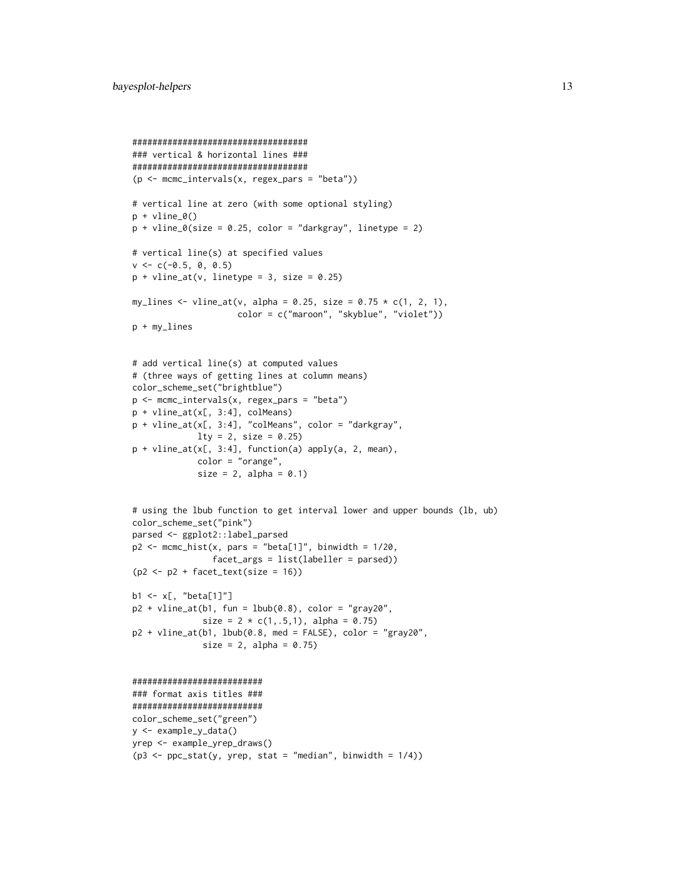```
###################################
### vertical & horizontal lines ###
###################################
(p <- mcmc_intervals(x, regex_pars = "beta"))
# vertical line at zero (with some optional styling)
p + vline_0()p + vline_0(size = 0.25, color = "darkgray", linetype = 2)
# vertical line(s) at specified values
v \leq -c(-0.5, 0, 0.5)p + vline_at(v, linetype = 3, size = 0.25)
my_lines <- vline_at(v, alpha = 0.25, size = 0.75 * c(1, 2, 1),
                     color = c("maroon", "skyblue", "violet"))
p + my_lines
# add vertical line(s) at computed values
# (three ways of getting lines at column means)
color_scheme_set("brightblue")
p <- mcmc_intervals(x, regex_pars = "beta")
p + vline_at(x[, 3:4], colMeans)
p + vline_at(x[, 3:4], "colMeans", color = "darkgray",
             lty = 2, size = 0.25)
p + vline_at(x[, 3:4], function(a) apply(a, 2, mean),
             color = "orange",
             size = 2, alpha = 0.1)
# using the lbub function to get interval lower and upper bounds (lb, ub)
color_scheme_set("pink")
parsed <- ggplot2::label_parsed
p2 \leq mcmc_hist(x, pars = "beta[1]", binwidth = 1/20,
                facet_args = list(labeller = parsed))
(p2 < -p2 + facet\_text(size = 16))b1 <- x[, "beta[1]"]
p2 + vline_at(b1, fun = 1bub(0.8), color = "gray20",size = 2 * c(1, .5, 1), alpha = 0.75)p2 + vline_at(b1, lbub(0.8, med = FALSE), color = "gray20",
              size = 2, alpha = 0.75)
##########################
### format axis titles ###
##########################
color_scheme_set("green")
y <- example_y_data()
yrep <- example_yrep_draws()
(p3 \leq ppc\_stat(y, yrep, stat = "median", binwidth = 1/4))
```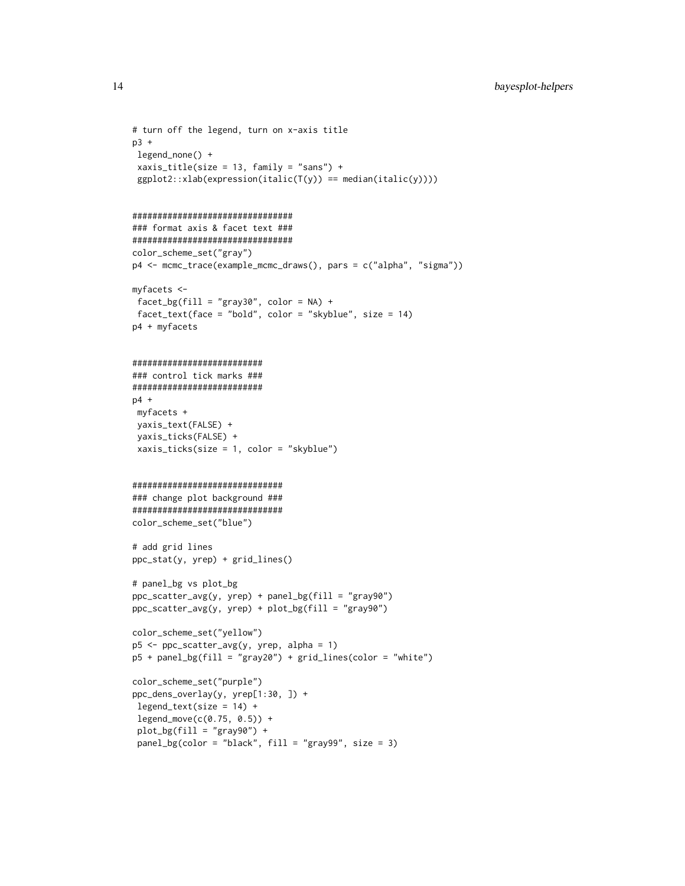```
# turn off the legend, turn on x-axis title
p3 +
legend_none() +
 xaxis_title(size = 13, family = "sans") +
 ggplot2::xlab(expression(italic(T(y)) == median(italic(y))))################################
### format axis & facet text ###
################################
color_scheme_set("gray")
p4 <- mcmc_trace(example_mcmc_draws(), pars = c("alpha", "sigma"))
myfacets <-
facet_bg(fill = "gray30", color = NA) +facet_text(face = "bold", color = "skyblue", size = 14)
p4 + myfacets
##########################
### control tick marks ###
##########################
p4 +
myfacets +
 yaxis_text(FALSE) +
 yaxis_ticks(FALSE) +
xaxis_ticks(size = 1, color = "skyblue")
##############################
### change plot background ###
##############################
color_scheme_set("blue")
# add grid lines
ppc_stat(y, yrep) + grid_lines()
# panel_bg vs plot_bg
ppc_scatter_avg(y, yrep) + panel_bg(fill = "gray90")
ppc_scatter_avg(y, yrep) + plot_bg(fill = "gray90")
color_scheme_set("yellow")
p5 <- ppc_scatter_avg(y, yrep, alpha = 1)
p5 + panel_bg(fill = "gray20") + grid_lines(color = "white")
color_scheme_set("purple")
ppc_dens_overlay(y, yrep[1:30, ]) +
legend_test(size = 14) +legend_move(c(0.75, 0.5)) +
 plot_bg(fill = "gray90") +
 panel_bg(color = "black", fill = "gray99", size = 3)
```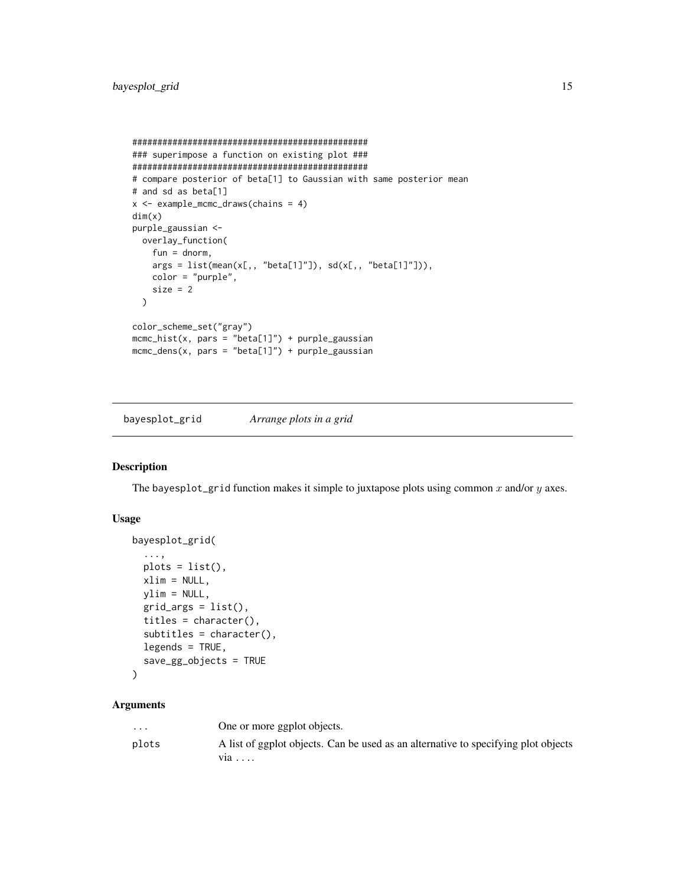```
###############################################
### superimpose a function on existing plot ###
###############################################
# compare posterior of beta[1] to Gaussian with same posterior mean
# and sd as beta[1]
x <- example_mcmc_draws(chains = 4)
dim(x)
purple_gaussian <-
 overlay_function(
   fun = dnorm,
   args = list(mean(x[,, "beta[1]"]), sd(x[,, "beta[1]"])),color = "purple",
   size = 2)
color_scheme_set("gray")
mcmc_hist(x, pars = "beta[1]") + purple_gaussian
mcmc\_dens(x, pars = "beta[1]") + purple\_gaussian
```
bayesplot\_grid *Arrange plots in a grid*

# Description

The bayesplot\_grid function makes it simple to juxtapose plots using common  $x$  and/or  $y$  axes.

#### Usage

```
bayesplot_grid(
  ...,
 plots = list(),
 xlim = NULL,
 ylim = NULL,
 grid_{args} = list(),
  titles = character(),
  subtitles = character(),
 legends = TRUE,
  save_gg_objects = TRUE
)
```

| $\cdot$ $\cdot$ $\cdot$ | One or more ggplot objects.                                                               |
|-------------------------|-------------------------------------------------------------------------------------------|
| plots                   | A list of ggplot objects. Can be used as an alternative to specifying plot objects<br>via |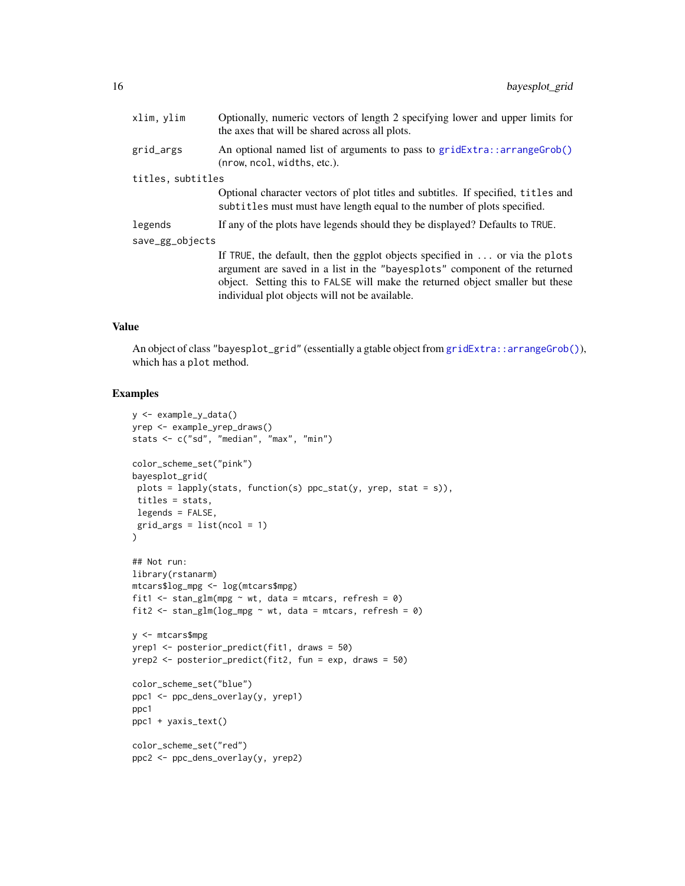| xlim, ylim        | Optionally, numeric vectors of length 2 specifying lower and upper limits for<br>the axes that will be shared across all plots.                                                                                                                                                                       |
|-------------------|-------------------------------------------------------------------------------------------------------------------------------------------------------------------------------------------------------------------------------------------------------------------------------------------------------|
| grid_args         | An optional named list of arguments to pass to gridExtra:: arrangeGrob()<br>(nrow, ncol, widths, etc.).                                                                                                                                                                                               |
| titles, subtitles |                                                                                                                                                                                                                                                                                                       |
|                   | Optional character vectors of plot titles and subtitles. If specified, titles and<br>subtitles must must have length equal to the number of plots specified.                                                                                                                                          |
| legends           | If any of the plots have legends should they be displayed? Defaults to TRUE.                                                                                                                                                                                                                          |
| save_gg_objects   |                                                                                                                                                                                                                                                                                                       |
|                   | If TRUE, the default, then the ggplot objects specified in $\ldots$ or via the plots<br>argument are saved in a list in the "bayesplots" component of the returned<br>object. Setting this to FALSE will make the returned object smaller but these<br>individual plot objects will not be available. |

## Value

An object of class "bayesplot\_grid" (essentially a gtable object from [gridExtra::arrangeGrob\(\)](#page-0-0)), which has a plot method.

```
y <- example_y_data()
yrep <- example_yrep_draws()
stats <- c("sd", "median", "max", "min")
color_scheme_set("pink")
bayesplot_grid(
plots = lapply(stats, function(s) ppc_stat(y, yrep, stat = s)),
titles = stats,
legends = FALSE,
grid_{args} = list(ncol = 1))
## Not run:
library(rstanarm)
mtcars$log_mpg <- log(mtcars$mpg)
fit1 \le stan_glm(mpg \sim wt, data = mtcars, refresh = 0)
fit2 \le stan_glm(log_mpg \sim wt, data = mtcars, refresh = 0)
y <- mtcars$mpg
yrep1 <- posterior_predict(fit1, draws = 50)
yrep2 <- posterior_predict(fit2, fun = exp, draws = 50)
color_scheme_set("blue")
ppc1 <- ppc_dens_overlay(y, yrep1)
ppc1
ppc1 + yaxis_text()
color_scheme_set("red")
ppc2 <- ppc_dens_overlay(y, yrep2)
```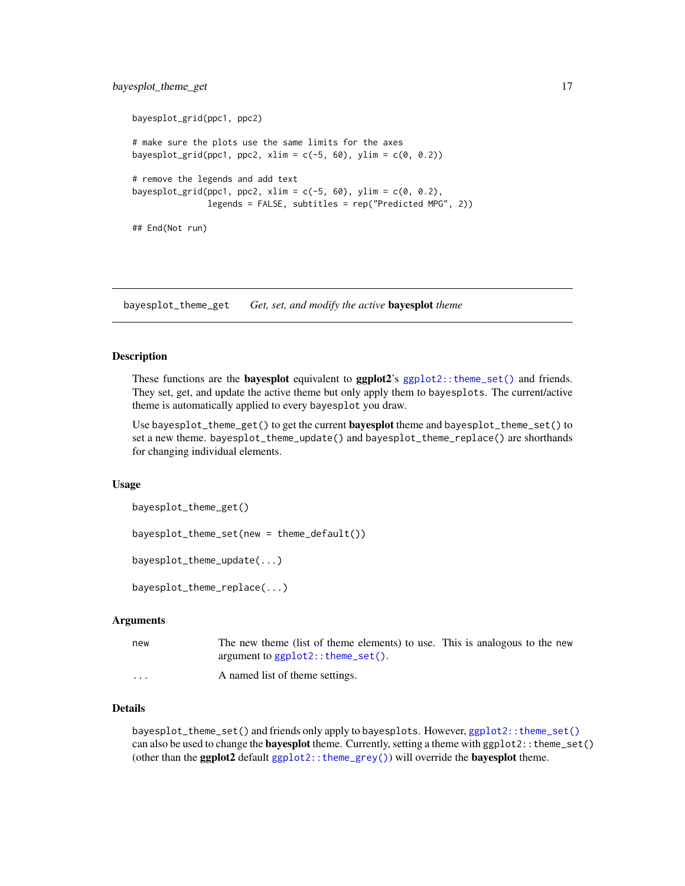# <span id="page-16-0"></span>bayesplot\_theme\_get 17

```
bayesplot_grid(ppc1, ppc2)
# make sure the plots use the same limits for the axes
bayesplot_grid(ppc1, ppc2, xlim = c(-5, 60), ylim = c(0, 0.2))
# remove the legends and add text
bayesplot_grid(ppc1, ppc2, xlim = c(-5, 60), ylim = c(0, 0.2),
              legends = FALSE, subtitles = rep("Predicted MPG", 2))
## End(Not run)
```
bayesplot\_theme\_get *Get, set, and modify the active* bayesplot *theme*

#### <span id="page-16-1"></span>Description

These functions are the **bayesplot** equivalent to **ggplot2**'s [ggplot2::theme\\_set\(\)](#page-0-0) and friends. They set, get, and update the active theme but only apply them to bayesplots. The current/active theme is automatically applied to every bayesplot you draw.

Use bayesplot\_theme\_get() to get the current **bayesplot** theme and bayesplot\_theme\_set() to set a new theme. bayesplot\_theme\_update() and bayesplot\_theme\_replace() are shorthands for changing individual elements.

## Usage

```
bayesplot_theme_get()
```
bayesplot\_theme\_set(new = theme\_default())

bayesplot\_theme\_update(...)

bayesplot\_theme\_replace(...)

# Arguments

| new                     | The new theme (list of theme elements) to use. This is analogous to the new |  |
|-------------------------|-----------------------------------------------------------------------------|--|
|                         | argument to $ggplot2$ :: theme_set().                                       |  |
| $\cdot$ $\cdot$ $\cdot$ | A named list of theme settings.                                             |  |

#### Details

bayesplot\_theme\_set() and friends only apply to bayesplots. However, [ggplot2::theme\\_set\(\)](#page-0-0) can also be used to change the **bayesplot** theme. Currently, setting a theme with ggplot2::theme\_set() (other than the ggplot2 default [ggplot2::theme\\_grey\(\)](#page-0-0)) will override the **bayesplot** theme.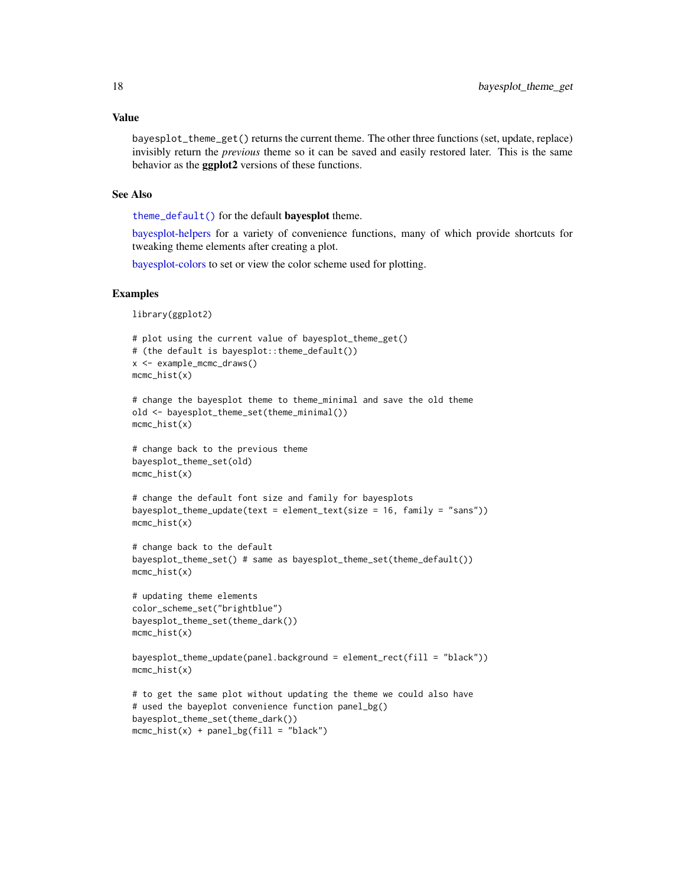## Value

bayesplot\_theme\_get() returns the current theme. The other three functions (set, update, replace) invisibly return the *previous* theme so it can be saved and easily restored later. This is the same behavior as the ggplot2 versions of these functions.

#### See Also

[theme\\_default\(\)](#page-82-1) for the default bayesplot theme.

 $mcmc\_hist(x) + panel_bg(fill = "black")$ 

[bayesplot-helpers](#page-9-1) for a variety of convenience functions, many of which provide shortcuts for tweaking theme elements after creating a plot.

[bayesplot-colors](#page-4-1) to set or view the color scheme used for plotting.

## Examples

library(ggplot2)

```
# plot using the current value of bayesplot_theme_get()
# (the default is bayesplot::theme_default())
x <- example_mcmc_draws()
mcmc_hist(x)
# change the bayesplot theme to theme_minimal and save the old theme
old <- bayesplot_theme_set(theme_minimal())
mcmc_hist(x)
# change back to the previous theme
bayesplot_theme_set(old)
mcmc_hist(x)
# change the default font size and family for bayesplots
bayesplot_theme_update(text = element_text(size = 16, family = "sans"))
mcmc_hist(x)
# change back to the default
bayesplot_theme_set() # same as bayesplot_theme_set(theme_default())
mcmc_hist(x)
# updating theme elements
color_scheme_set("brightblue")
bayesplot_theme_set(theme_dark())
mcmc_hist(x)
bayesplot_theme_update(panel.background = element_rect(fill = "black"))
mcmc_hist(x)
# to get the same plot without updating the theme we could also have
# used the bayeplot convenience function panel_bg()
bayesplot_theme_set(theme_dark())
```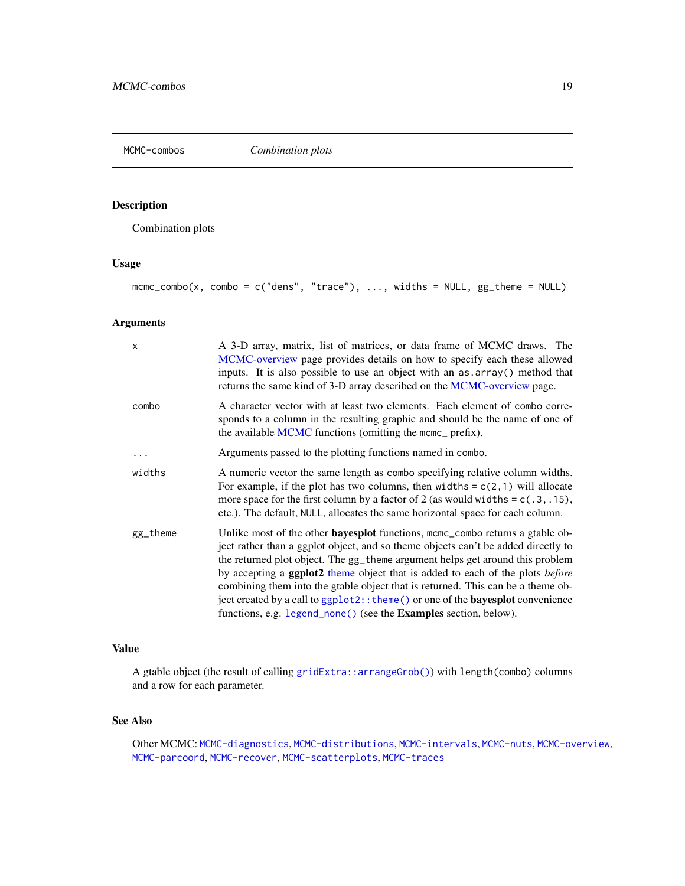<span id="page-18-1"></span><span id="page-18-0"></span>MCMC-combos *Combination plots*

# Description

Combination plots

# Usage

 $mcmc\_combo(x, combo = c("dens", "trace"), ..., width s = NULL, gg_theme = NULL)$ 

# Arguments

| X        | A 3-D array, matrix, list of matrices, or data frame of MCMC draws. The<br>MCMC-overview page provides details on how to specify each these allowed<br>inputs. It is also possible to use an object with an as array () method that<br>returns the same kind of 3-D array described on the MCMC-overview page.                                                                                                                                                                                                                                                                                                    |
|----------|-------------------------------------------------------------------------------------------------------------------------------------------------------------------------------------------------------------------------------------------------------------------------------------------------------------------------------------------------------------------------------------------------------------------------------------------------------------------------------------------------------------------------------------------------------------------------------------------------------------------|
| combo    | A character vector with at least two elements. Each element of combo corre-<br>sponds to a column in the resulting graphic and should be the name of one of<br>the available MCMC functions (omitting the mcmc_ prefix).                                                                                                                                                                                                                                                                                                                                                                                          |
|          | Arguments passed to the plotting functions named in combo.                                                                                                                                                                                                                                                                                                                                                                                                                                                                                                                                                        |
| widths   | A numeric vector the same length as combo specifying relative column widths.<br>For example, if the plot has two columns, then widths = $c(2,1)$ will allocate<br>more space for the first column by a factor of 2 (as would widths = $c(.3, .15)$ ,<br>etc.). The default, NULL, allocates the same horizontal space for each column.                                                                                                                                                                                                                                                                            |
| gg_theme | Unlike most of the other <b>bayesplot</b> functions, mcmc_combo returns a gtable ob-<br>ject rather than a ggplot object, and so theme objects can't be added directly to<br>the returned plot object. The gg_theme argument helps get around this problem<br>by accepting a <b>ggplot2</b> theme object that is added to each of the plots <i>before</i><br>combining them into the gtable object that is returned. This can be a theme ob-<br>ject created by a call to ggplot2:: theme() or one of the <b>bayesplot</b> convenience<br>functions, e.g. legend_none() (see the <b>Examples</b> section, below). |

# Value

A gtable object (the result of calling [gridExtra::arrangeGrob\(\)](#page-0-0)) with length(combo) columns and a row for each parameter.

# See Also

Other MCMC: [MCMC-diagnostics](#page-19-1), [MCMC-distributions](#page-23-1), [MCMC-intervals](#page-27-1), [MCMC-nuts](#page-33-2), [MCMC-overview](#page-36-1), [MCMC-parcoord](#page-37-1), [MCMC-recover](#page-40-1), [MCMC-scatterplots](#page-43-1), [MCMC-traces](#page-50-1)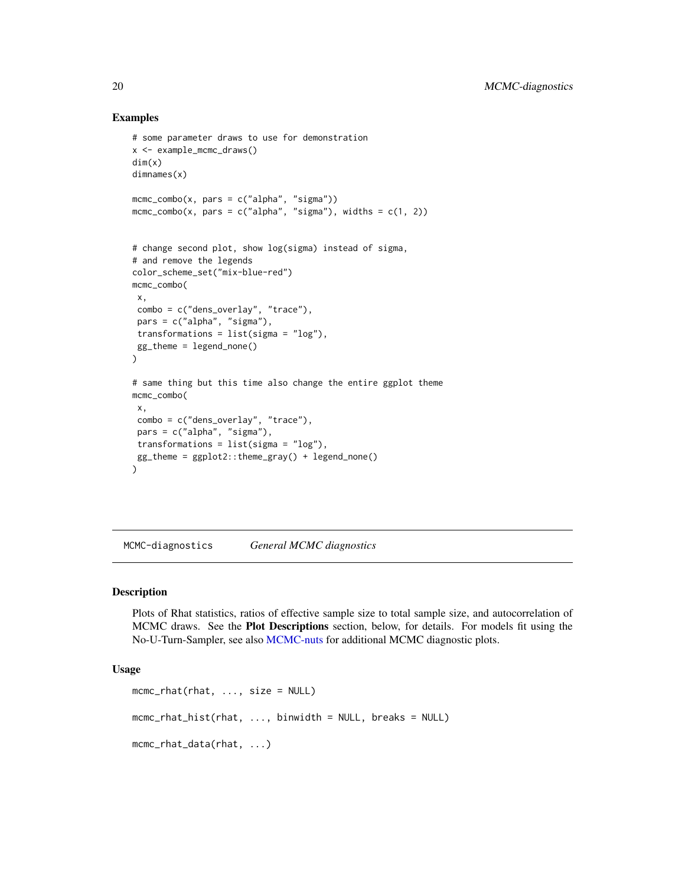## Examples

```
# some parameter draws to use for demonstration
x <- example_mcmc_draws()
dim(x)
dimnames(x)
mcmc_combo(x, pars = c("alpha", "sigma"))
mcmc\_combo(x, pars = c("alpha", "sigma"), widths = c(1, 2))# change second plot, show log(sigma) instead of sigma,
# and remove the legends
color_scheme_set("mix-blue-red")
mcmc_combo(
 x,
 combo = c("dens_overlay", "trace"),
 pars = c("alpha", "sigma"),
 transformations = list(sigma = "log"),
 gg_theme = legend_none()
\lambda# same thing but this time also change the entire ggplot theme
mcmc_combo(
x,
 combo = c("dens_overlay", "trace"),
 pars = c("alpha", "sigma"),
 transformations = list(sigma = "log"),
 gg_theme = ggplot2::theme_gray() + legend_none()
)
```
<span id="page-19-1"></span>MCMC-diagnostics *General MCMC diagnostics*

## Description

Plots of Rhat statistics, ratios of effective sample size to total sample size, and autocorrelation of MCMC draws. See the Plot Descriptions section, below, for details. For models fit using the No-U-Turn-Sampler, see also [MCMC-nuts](#page-33-2) for additional MCMC diagnostic plots.

## Usage

```
mcmc_rhat(rhat, ..., size = NULL)
mcmc_rhat_hist(rhat, ..., binwidth = NULL, breaks = NULL)
mcmc_rhat_data(rhat, ...)
```
<span id="page-19-0"></span>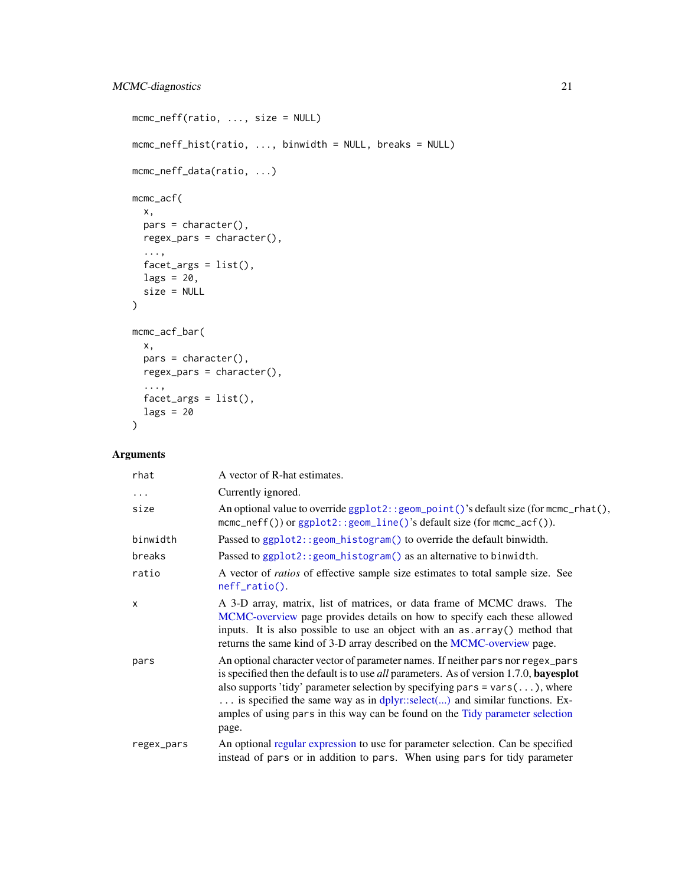```
mcmc_neff(ratio, ..., size = NULL)
mcmc_neff_hist(ratio, ..., binwidth = NULL, breaks = NULL)
mcmc_neff_data(ratio, ...)
mcmc_acf(
  x,
  pars = character(),
  regex_pars = character(),
  ...,
  factor_{args} = list(),
  lags = 20,size = NULL
)
mcmc_acf_bar(
  x,
  pars = character(),
  regex_pars = character(),
 ...,
 facet_args = list(),
  lags = 20
\mathcal{L}
```

| rhat       | A vector of R-hat estimates.                                                                                                                                                                                                                                                                                                                                                                                                                            |
|------------|---------------------------------------------------------------------------------------------------------------------------------------------------------------------------------------------------------------------------------------------------------------------------------------------------------------------------------------------------------------------------------------------------------------------------------------------------------|
| $\cdots$   | Currently ignored.                                                                                                                                                                                                                                                                                                                                                                                                                                      |
| size       | An optional value to override ggplot2:: geom_point()'s default size (for mcmc_rhat(),<br>mcmc_neff()) or ggplot2::geom_line()'s default size (for mcmc_acf()).                                                                                                                                                                                                                                                                                          |
| binwidth   | Passed to ggplot2:: geom_histogram() to override the default binwidth.                                                                                                                                                                                                                                                                                                                                                                                  |
| breaks     | Passed to ggplot2:: geom_histogram() as an alternative to binwidth.                                                                                                                                                                                                                                                                                                                                                                                     |
| ratio      | A vector of <i>ratios</i> of effective sample size estimates to total sample size. See<br>$neff\_ratio()$ .                                                                                                                                                                                                                                                                                                                                             |
| $\times$   | A 3-D array, matrix, list of matrices, or data frame of MCMC draws. The<br>MCMC-overview page provides details on how to specify each these allowed<br>inputs. It is also possible to use an object with an as array() method that<br>returns the same kind of 3-D array described on the MCMC-overview page.                                                                                                                                           |
| pars       | An optional character vector of parameter names. If neither pars nor regex_pars<br>is specified then the default is to use <i>all</i> parameters. As of version 1.7.0, <b>bayesplot</b><br>also supports 'tidy' parameter selection by specifying pars = $vars(\ldots)$ , where<br>is specified the same way as in dplyr::select() and similar functions. Ex-<br>amples of using pars in this way can be found on the Tidy parameter selection<br>page. |
| regex_pars | An optional regular expression to use for parameter selection. Can be specified<br>instead of pars or in addition to pars. When using pars for tidy parameter                                                                                                                                                                                                                                                                                           |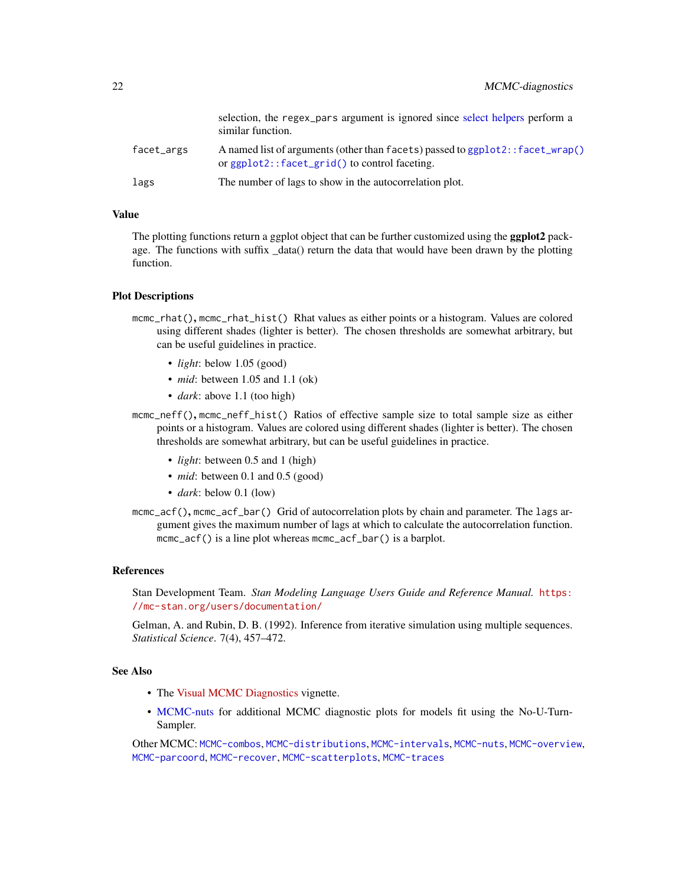|            | selection, the regex_pars argument is ignored since select helpers perform a<br>similar function.                                       |
|------------|-----------------------------------------------------------------------------------------------------------------------------------------|
| facet_args | A named list of arguments (other than facets) passed to $ggplot2$ : facet_wrap()<br>or $ggplot2$ : $facet\_grid()$ to control faceting. |
| lags       | The number of lags to show in the autocorrelation plot.                                                                                 |

## Value

The plotting functions return a ggplot object that can be further customized using the **ggplot2** package. The functions with suffix \_data() return the data that would have been drawn by the plotting function.

#### Plot Descriptions

- mcmc\_rhat(), mcmc\_rhat\_hist() Rhat values as either points or a histogram. Values are colored using different shades (lighter is better). The chosen thresholds are somewhat arbitrary, but can be useful guidelines in practice.
	- *light*: below 1.05 (good)
	- *mid*: between 1.05 and 1.1 (ok)
	- *dark*: above 1.1 (too high)
- mcmc\_neff(), mcmc\_neff\_hist() Ratios of effective sample size to total sample size as either points or a histogram. Values are colored using different shades (lighter is better). The chosen thresholds are somewhat arbitrary, but can be useful guidelines in practice.
	- *light*: between 0.5 and 1 (high)
	- *mid*: between 0.1 and 0.5 (good)
	- *dark*: below 0.1 (low)
- mcmc\_acf(), mcmc\_acf\_bar() Grid of autocorrelation plots by chain and parameter. The lags argument gives the maximum number of lags at which to calculate the autocorrelation function. mcmc\_acf() is a line plot whereas mcmc\_acf\_bar() is a barplot.

# References

Stan Development Team. *Stan Modeling Language Users Guide and Reference Manual.* [https:](https://mc-stan.org/users/documentation/) [//mc-stan.org/users/documentation/](https://mc-stan.org/users/documentation/)

Gelman, A. and Rubin, D. B. (1992). Inference from iterative simulation using multiple sequences. *Statistical Science*. 7(4), 457–472.

# See Also

- The [Visual MCMC Diagnostics](https://mc-stan.org/bayesplot/articles/visual-mcmc-diagnostics.html) vignette.
- [MCMC-nuts](#page-33-2) for additional MCMC diagnostic plots for models fit using the No-U-Turn-Sampler.

Other MCMC: [MCMC-combos](#page-18-1), [MCMC-distributions](#page-23-1), [MCMC-intervals](#page-27-1), [MCMC-nuts](#page-33-2), [MCMC-overview](#page-36-1), [MCMC-parcoord](#page-37-1), [MCMC-recover](#page-40-1), [MCMC-scatterplots](#page-43-1), [MCMC-traces](#page-50-1)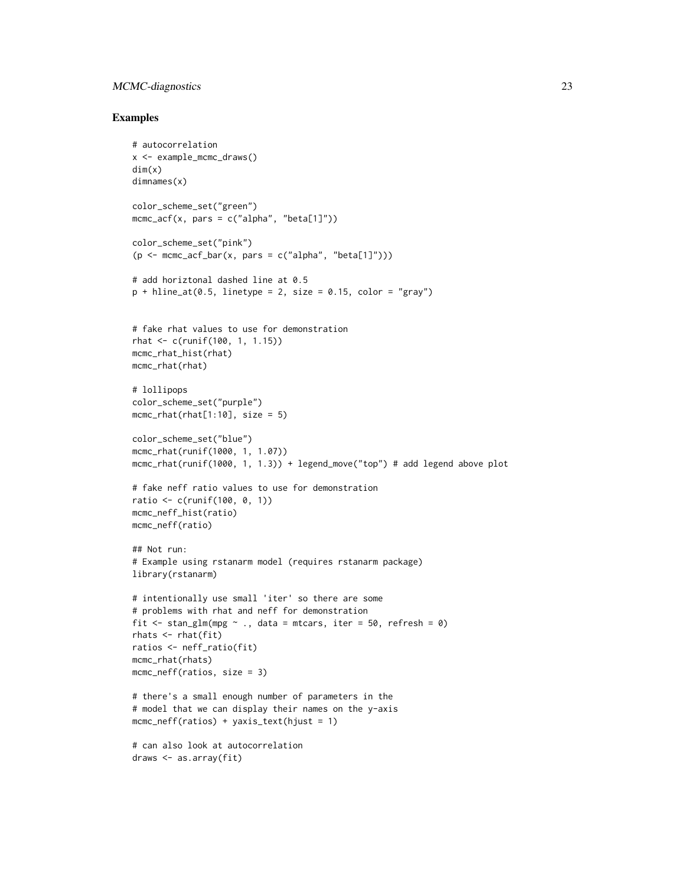# MCMC-diagnostics 23

```
# autocorrelation
x <- example_mcmc_draws()
dim(x)
dimnames(x)
color_scheme_set("green")
mcmc_acf(x, pars = c("alpha", "beta[1]"))
color_scheme_set("pink")
(p <- mcmc_acf_bar(x, pars = c("alpha", "beta[1]")))
# add horiztonal dashed line at 0.5
p + hline_at(0.5, linetype = 2, size = 0.15, color = "gray")# fake rhat values to use for demonstration
rhat <- c(runif(100, 1, 1.15))
mcmc_rhat_hist(rhat)
mcmc_rhat(rhat)
# lollipops
color_scheme_set("purple")
mcmc_rhat(rhat[1:10], size = 5)color_scheme_set("blue")
mcmc_rhat(runif(1000, 1, 1.07))
mcmc_rhat(runif(1000, 1, 1.3)) + legend_move("top") # add legend above plot
# fake neff ratio values to use for demonstration
ratio <- c(runif(100, 0, 1))
mcmc_neff_hist(ratio)
mcmc_neff(ratio)
## Not run:
# Example using rstanarm model (requires rstanarm package)
library(rstanarm)
# intentionally use small 'iter' so there are some
# problems with rhat and neff for demonstration
fit \le stan_glm(mpg \sim ., data = mtcars, iter = 50, refresh = 0)
rhats <- rhat(fit)
ratios <- neff_ratio(fit)
mcmc_rhat(rhats)
mcmc_neff(ratios, size = 3)
# there's a small enough number of parameters in the
# model that we can display their names on the y-axis
mcmc_neff(ratios) + yaxis_text(hjust = 1)
# can also look at autocorrelation
draws <- as.array(fit)
```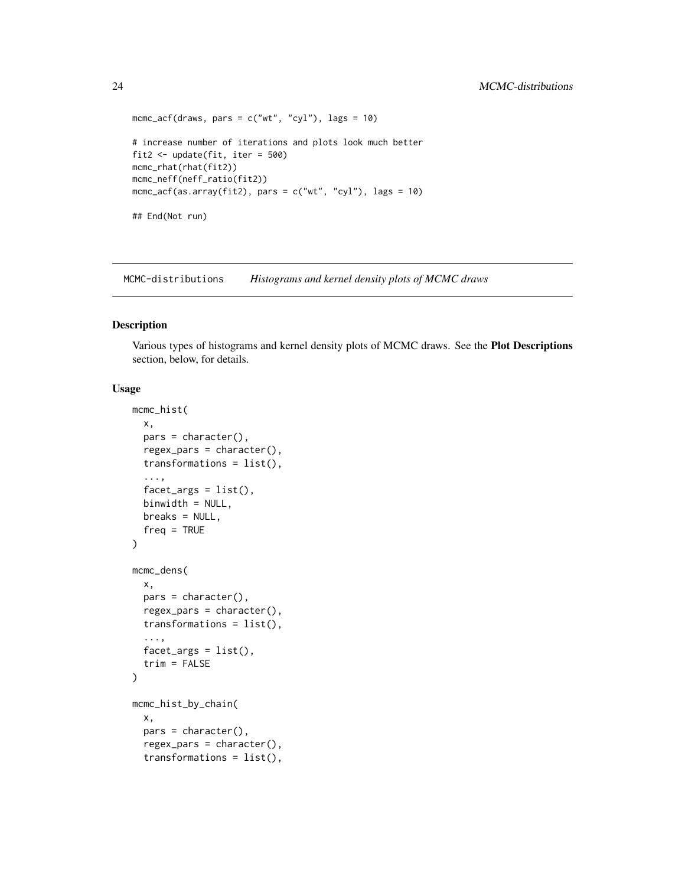```
mcmc_acf(draws, pars = c("wt", "cyl"), lags = 10)# increase number of iterations and plots look much better
fit2 <- update(fit, iter = 500)
mcmc_rhat(rhat(fit2))
mcmc_neff(neff_ratio(fit2))
mcmc_acf(as.array(fit2), pars = c("wt", "cyl"), lags = 10)
## End(Not run)
```
<span id="page-23-1"></span>MCMC-distributions *Histograms and kernel density plots of MCMC draws*

## Description

Various types of histograms and kernel density plots of MCMC draws. See the Plot Descriptions section, below, for details.

# Usage

```
mcmc_hist(
  x,
  pars = character(),
  regex_pars = character(),
  transformations = list(),
  ...,
  facet_{args} = list(),
 binwidth = NULL,
 breaks = NULL,
  freq = TRUE
\lambdamcmc_dens(
  x,
 pars = character(),
  regex\_pars = character(),transformations = list(),
  ...,
  factor_{args} = list(),
  trim = FALSE
\mathcal{L}mcmc_hist_by_chain(
  x,
  pars = character(),
  regex_pars = character(),
  transformations = list(),
```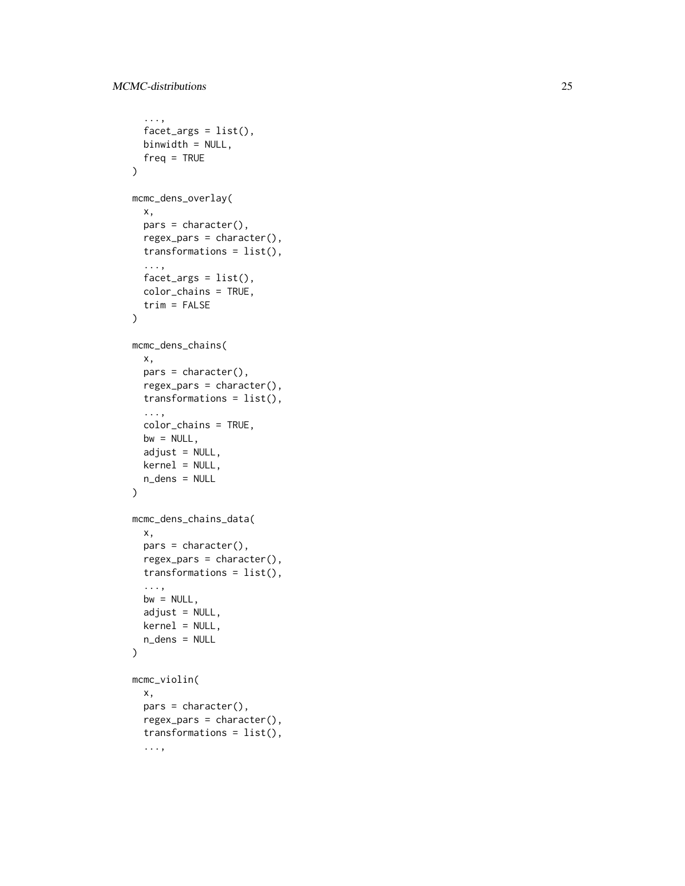```
...,
  factor_{args} = list(),
 binwidth = NULL,freq = TRUE
\mathcal{L}mcmc_dens_overlay(
  x,
 pars = character(),
  regex_pars = character(),
  transformations = list(),
  ...,
  factor_{args} = list(),
 color_chains = TRUE,
  trim = FALSE
\mathcal{L}mcmc_dens_chains(
 x,
 pars = character(),regex_pars = character(),
  transformations = list(),
  ...,
  color_chains = TRUE,
 bw = NULL,adjust = NULL,kernel = NULL,
 n_dens = NULL
\mathcal{L}mcmc_dens_chains_data(
 x,
 pars = character(),regex_pars = character(),
  transformations = list(),
  ...,
 bw = NULL,adjust = NULL,kernel = NULL,
 n_dens = NULL
\mathcal{L}mcmc_violin(
 x,
 pars = character(),
  regex_pars = character(),
  transformations = list(),
  ...,
```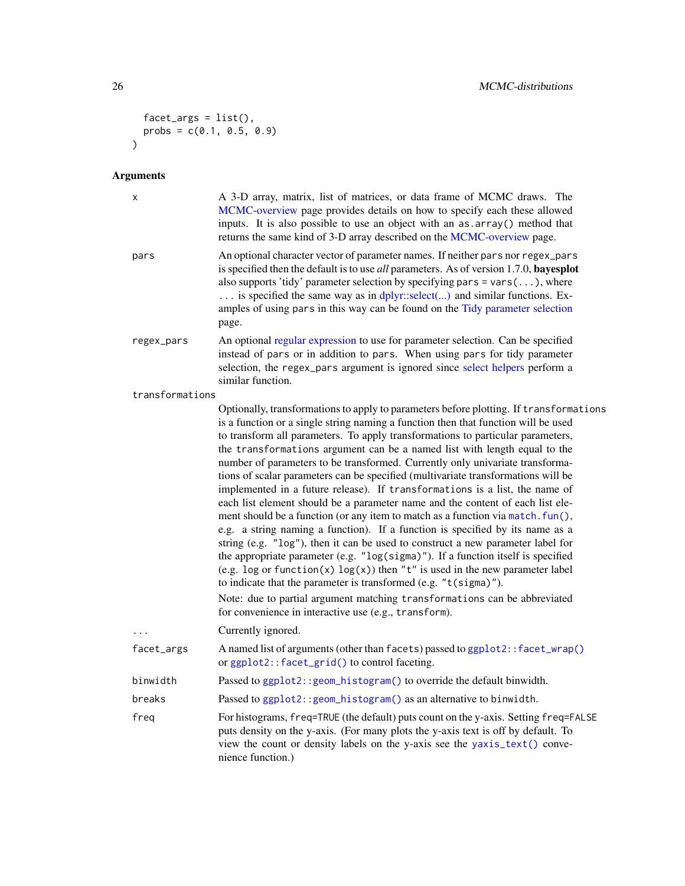```
factor_{args} = list(),
   probs = c(0.1, 0.5, 0.9)
\mathcal{L}
```

| х               | A 3-D array, matrix, list of matrices, or data frame of MCMC draws. The<br>MCMC-overview page provides details on how to specify each these allowed<br>inputs. It is also possible to use an object with an as . array () method that<br>returns the same kind of 3-D array described on the MCMC-overview page.                                                                                                                                                                                                                                                                                                                                                                                                                                                                                                                                                                                                                                                                                                                                                                                                                                                                                                                                                                                                            |
|-----------------|-----------------------------------------------------------------------------------------------------------------------------------------------------------------------------------------------------------------------------------------------------------------------------------------------------------------------------------------------------------------------------------------------------------------------------------------------------------------------------------------------------------------------------------------------------------------------------------------------------------------------------------------------------------------------------------------------------------------------------------------------------------------------------------------------------------------------------------------------------------------------------------------------------------------------------------------------------------------------------------------------------------------------------------------------------------------------------------------------------------------------------------------------------------------------------------------------------------------------------------------------------------------------------------------------------------------------------|
| pars            | An optional character vector of parameter names. If neither pars nor regex_pars<br>is specified then the default is to use <i>all</i> parameters. As of version 1.7.0, <b>bayesplot</b><br>also supports 'tidy' parameter selection by specifying pars = $vars()$ , where<br>is specified the same way as in dplyr::select() and similar functions. Ex-<br>amples of using pars in this way can be found on the Tidy parameter selection<br>page.                                                                                                                                                                                                                                                                                                                                                                                                                                                                                                                                                                                                                                                                                                                                                                                                                                                                           |
| regex_pars      | An optional regular expression to use for parameter selection. Can be specified<br>instead of pars or in addition to pars. When using pars for tidy parameter<br>selection, the regex_pars argument is ignored since select helpers perform a<br>similar function.                                                                                                                                                                                                                                                                                                                                                                                                                                                                                                                                                                                                                                                                                                                                                                                                                                                                                                                                                                                                                                                          |
| transformations |                                                                                                                                                                                                                                                                                                                                                                                                                                                                                                                                                                                                                                                                                                                                                                                                                                                                                                                                                                                                                                                                                                                                                                                                                                                                                                                             |
|                 | Optionally, transformations to apply to parameters before plotting. If transformations<br>is a function or a single string naming a function then that function will be used<br>to transform all parameters. To apply transformations to particular parameters,<br>the transformations argument can be a named list with length equal to the<br>number of parameters to be transformed. Currently only univariate transforma-<br>tions of scalar parameters can be specified (multivariate transformations will be<br>implemented in a future release). If transformations is a list, the name of<br>each list element should be a parameter name and the content of each list ele-<br>ment should be a function (or any item to match as a function via match. fun(),<br>e.g. a string naming a function). If a function is specified by its name as a<br>string (e.g. "log"), then it can be used to construct a new parameter label for<br>the appropriate parameter (e.g. "log(sigma)"). If a function itself is specified<br>(e.g. log or function(x) $log(x)$ ) then "t" is used in the new parameter label<br>to indicate that the parameter is transformed (e.g. "t(sigma)").<br>Note: due to partial argument matching transformations can be abbreviated<br>for convenience in interactive use (e.g., transform). |
| .               | Currently ignored.                                                                                                                                                                                                                                                                                                                                                                                                                                                                                                                                                                                                                                                                                                                                                                                                                                                                                                                                                                                                                                                                                                                                                                                                                                                                                                          |
| facet_args      | A named list of arguments (other than facets) passed to ggplot2:: facet_wrap()<br>or ggplot2::facet_grid() to control faceting.                                                                                                                                                                                                                                                                                                                                                                                                                                                                                                                                                                                                                                                                                                                                                                                                                                                                                                                                                                                                                                                                                                                                                                                             |
| binwidth        | Passed to ggplot2:: geom_histogram() to override the default binwidth.                                                                                                                                                                                                                                                                                                                                                                                                                                                                                                                                                                                                                                                                                                                                                                                                                                                                                                                                                                                                                                                                                                                                                                                                                                                      |
| breaks          | Passed to ggplot2:: geom_histogram() as an alternative to binwidth.                                                                                                                                                                                                                                                                                                                                                                                                                                                                                                                                                                                                                                                                                                                                                                                                                                                                                                                                                                                                                                                                                                                                                                                                                                                         |
| freq            | For histograms, freq=TRUE (the default) puts count on the y-axis. Setting freq=FALSE<br>puts density on the y-axis. (For many plots the y-axis text is off by default. To<br>view the count or density labels on the y-axis see the yaxis_text() conve-<br>nience function.)                                                                                                                                                                                                                                                                                                                                                                                                                                                                                                                                                                                                                                                                                                                                                                                                                                                                                                                                                                                                                                                |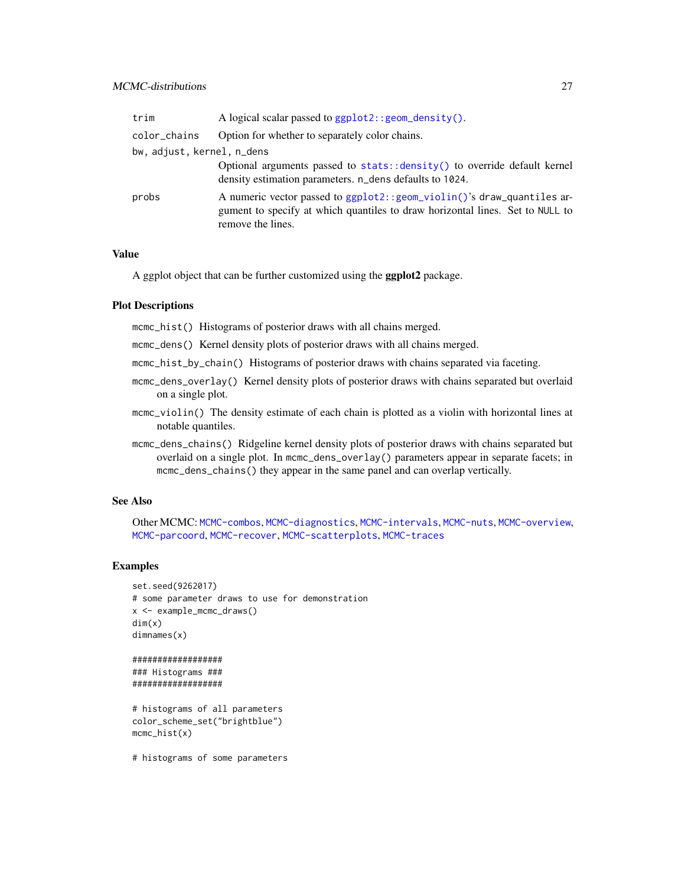# MCMC-distributions 27

| trim                       | A logical scalar passed to $ggplot2::geom\_density()$ .                                                                                                                       |
|----------------------------|-------------------------------------------------------------------------------------------------------------------------------------------------------------------------------|
| color_chains               | Option for whether to separately color chains.                                                                                                                                |
| bw, adjust, kernel, n_dens |                                                                                                                                                                               |
|                            | Optional arguments passed to stats::density() to override default kernel<br>density estimation parameters. n_dens defaults to 1024.                                           |
| probs                      | A numeric vector passed to ggplot2:: geom_violin()'s draw_quantiles ar-<br>gument to specify at which quantiles to draw horizontal lines. Set to NULL to<br>remove the lines. |

## Value

A ggplot object that can be further customized using the ggplot2 package.

#### Plot Descriptions

mcmc\_hist() Histograms of posterior draws with all chains merged.

- mcmc\_dens() Kernel density plots of posterior draws with all chains merged.
- mcmc\_hist\_by\_chain() Histograms of posterior draws with chains separated via faceting.
- mcmc\_dens\_overlay() Kernel density plots of posterior draws with chains separated but overlaid on a single plot.
- mcmc\_violin() The density estimate of each chain is plotted as a violin with horizontal lines at notable quantiles.
- mcmc\_dens\_chains() Ridgeline kernel density plots of posterior draws with chains separated but overlaid on a single plot. In mcmc\_dens\_overlay() parameters appear in separate facets; in mcmc\_dens\_chains() they appear in the same panel and can overlap vertically.

# See Also

Other MCMC: [MCMC-combos](#page-18-1), [MCMC-diagnostics](#page-19-1), [MCMC-intervals](#page-27-1), [MCMC-nuts](#page-33-2), [MCMC-overview](#page-36-1), [MCMC-parcoord](#page-37-1), [MCMC-recover](#page-40-1), [MCMC-scatterplots](#page-43-1), [MCMC-traces](#page-50-1)

## Examples

```
set.seed(9262017)
# some parameter draws to use for demonstration
x <- example_mcmc_draws()
dim(x)
dimnames(x)
##################
### Histograms ###
##################
```

```
# histograms of all parameters
color_scheme_set("brightblue")
mcmc_hist(x)
```
# histograms of some parameters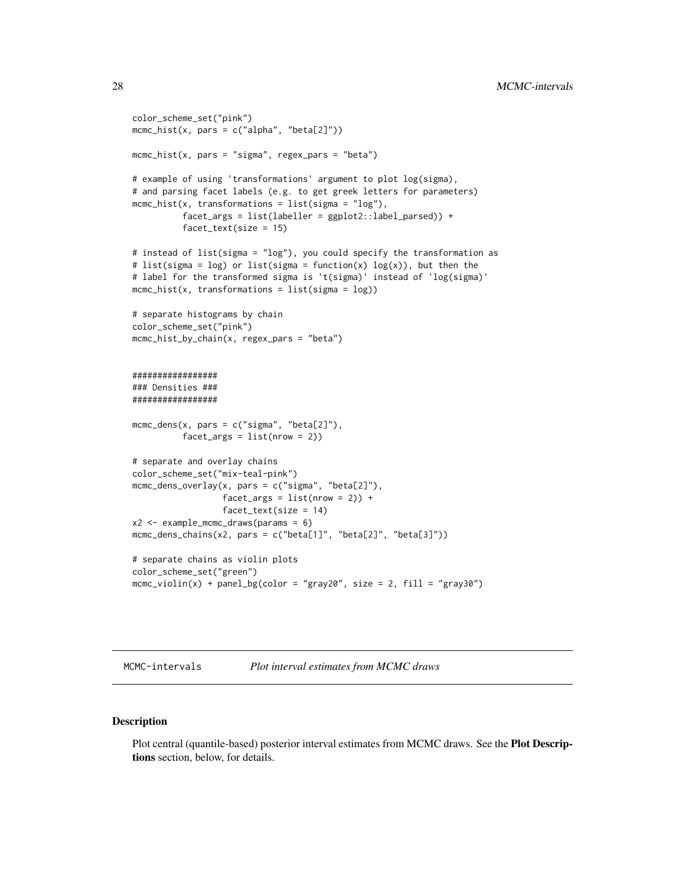```
color_scheme_set("pink")
mcmc_hist(x, pars = c("alpha", "beta[2]"))
mcmc_hist(x, pars = "sigma", regex_pars = "beta")
# example of using 'transformations' argument to plot log(sigma),
# and parsing facet labels (e.g. to get greek letters for parameters)
mcmc_hist(x, transformations = list(sigma = "log"),
          facet_args = list(labeller = ggplot2::label_parsed)) +
          facet_text(size = 15)
# instead of list(sigma = "log"), you could specify the transformation as
# list(sigma = log) or list(sigma = function(x) log(x)), but then the
# label for the transformed sigma is 't(sigma)' instead of 'log(sigma)'
mcmc_hist(x, transformations = list(sigma = log))# separate histograms by chain
color_scheme_set("pink")
mcmc_hist_by_chain(x, regex_pars = "beta")
#################
### Densities ###
#################
mcmc_dens(x, pars = c("sigma", "beta[2]"),
          facet_{args} = list(nrow = 2)# separate and overlay chains
color_scheme_set("mix-teal-pink")
mcmc_dens_overlay(x, pars = c("sigma", "beta[2]"),
                  facet_{args} = list(nrow = 2) +
                  facet_text(size = 14)
x2 \le - example_mcmc_draws(params = 6)
mcmc_dens_chains(x2, pars = c("beta[1]", "beta[2]", "beta[3]"))
# separate chains as violin plots
color_scheme_set("green")
mcmc_violin(x) + panel_bg(color = "gray20", size = 2, fill = "gray30")
```
<span id="page-27-1"></span>MCMC-intervals *Plot interval estimates from MCMC draws*

#### Description

Plot central (quantile-based) posterior interval estimates from MCMC draws. See the Plot Descriptions section, below, for details.

<span id="page-27-0"></span>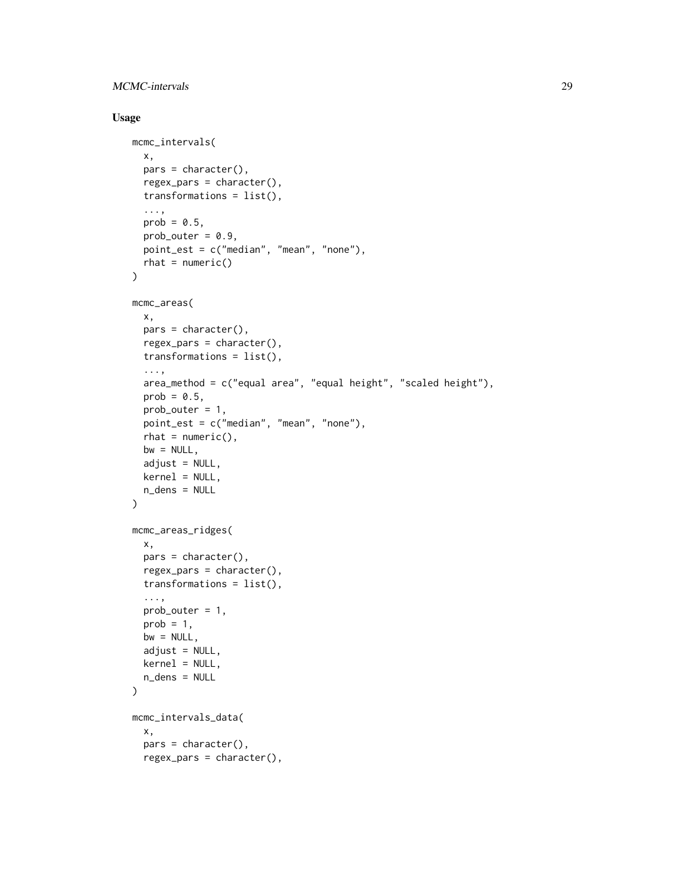# MCMC-intervals 29

# Usage

```
mcmc_intervals(
 x,
 pars = character(),
  regex_pars = character(),
  transformations = list(),
  ...,
 prob = 0.5,
 prob_outer = 0.9,
 point_est = c("median", "mean", "none"),
  rhat = numeric()\mathcal{L}mcmc_areas(
 x,
  pars = character(),regex_pars = character(),
  transformations = list(),
  ...,
  area_method = c("equal area", "equal height", "scaled height"),prob = 0.5,
 prob_outer = 1,
 point_est = c("median", "mean", "none"),
  rhat = numeric(),bw = NULL,adjust = NULL,kernel = NULL,
 n_dens = NULL
)
mcmc_areas_ridges(
 x,
 pars = character(),regex_pars = character(),
  transformations = list(),
  ...,
 prob_outer = 1,
 prob = 1,
 bw = NULL,adjust = NULL,kernel = NULL,
 n_dens = NULL
\lambdamcmc_intervals_data(
  x,
 pars = character(),
  regex_pars = character(),
```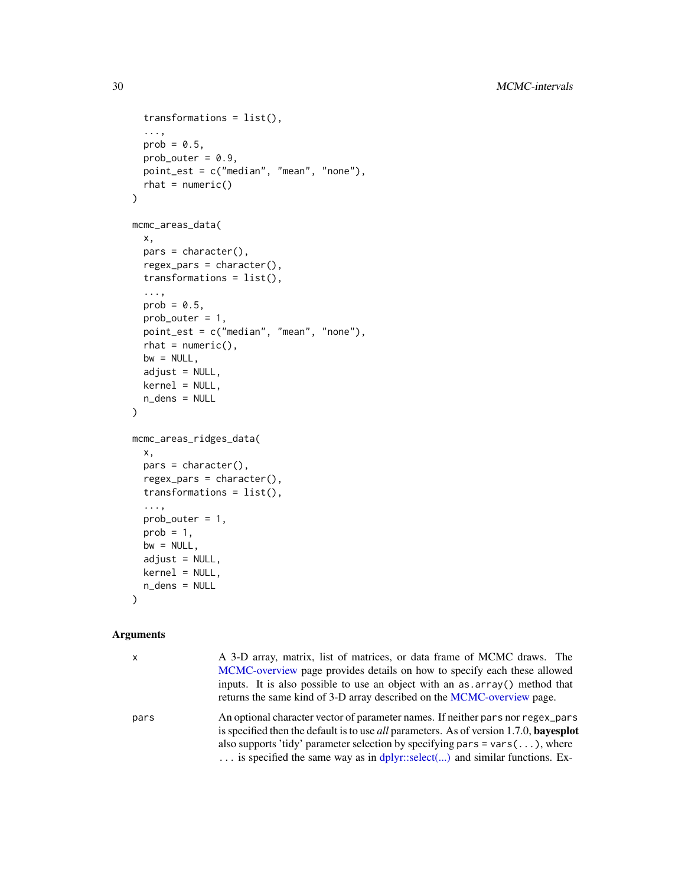```
transformations = list(),
  ...,
 prob = 0.5,
 prob_outer = 0.9,point_est = c("median", "mean", "none"),
 rhat = numeric())
mcmc_areas_data(
 x,
 pars = character(),
 regex_pars = character(),
  transformations = list(),
  ...,
 prob = 0.5,
 prob_outer = 1,
 point_est = c("median", "mean", "none"),
  rhat = numeric(),
 bw = NULL,adjust = NULL,kernel = NULL,
 n_dens = NULL
\mathcal{L}mcmc_areas_ridges_data(
 x,
 pars = character(),regex_pars = character(),
  transformations = list(),
  ...,
  prob_outer = 1,
 prob = 1,
 bw = NULL,adjust = NULL,kernel = NULL,
 n_dens = NULL
)
```

| $\mathsf{x}$ | A 3-D array, matrix, list of matrices, or data frame of MCMC draws. The<br>MCMC-overview page provides details on how to specify each these allowed<br>inputs. It is also possible to use an object with an as array () method that<br>returns the same kind of 3-D array described on the MCMC-overview page.                                                         |
|--------------|------------------------------------------------------------------------------------------------------------------------------------------------------------------------------------------------------------------------------------------------------------------------------------------------------------------------------------------------------------------------|
| pars         | An optional character vector of parameter names. If neither pars nor regex pars<br>is specified then the default is to use <i>all</i> parameters. As of version 1.7.0, <b>bayesplot</b><br>also supports 'tidy' parameter selection by specifying pars = $vars(\ldots)$ , where<br>$\ldots$ is specified the same way as in dplyr::select() and similar functions. Ex- |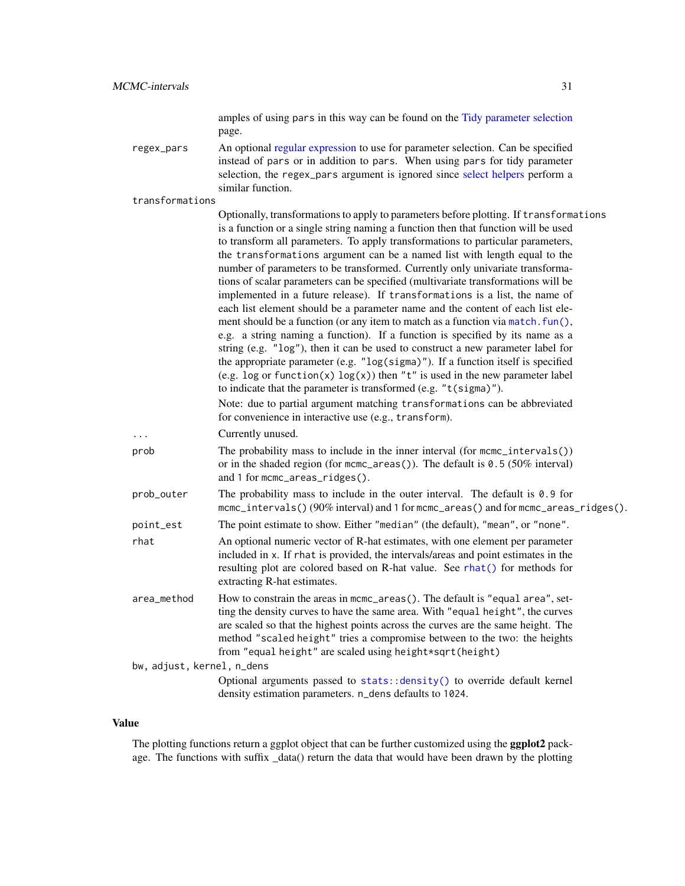amples of using pars in this way can be found on the [Tidy parameter selection](#page-83-1) page.

regex\_pars An optional [regular expression](#page-0-0) to use for parameter selection. Can be specified instead of pars or in addition to pars. When using pars for tidy parameter selection, the regex\_pars argument is ignored since [select helpers](#page-0-0) perform a similar function.

transformations

| transformations            |                                                                                                                                                                                                                                                                                                                                                                                                                                                                                                                                                                                                                                                                                                                                                                                                                                                                                                                                                                                                          |
|----------------------------|----------------------------------------------------------------------------------------------------------------------------------------------------------------------------------------------------------------------------------------------------------------------------------------------------------------------------------------------------------------------------------------------------------------------------------------------------------------------------------------------------------------------------------------------------------------------------------------------------------------------------------------------------------------------------------------------------------------------------------------------------------------------------------------------------------------------------------------------------------------------------------------------------------------------------------------------------------------------------------------------------------|
|                            | Optionally, transformations to apply to parameters before plotting. If transformations<br>is a function or a single string naming a function then that function will be used                                                                                                                                                                                                                                                                                                                                                                                                                                                                                                                                                                                                                                                                                                                                                                                                                             |
|                            | to transform all parameters. To apply transformations to particular parameters,<br>the transformations argument can be a named list with length equal to the<br>number of parameters to be transformed. Currently only univariate transforma-<br>tions of scalar parameters can be specified (multivariate transformations will be<br>implemented in a future release). If transformations is a list, the name of<br>each list element should be a parameter name and the content of each list ele-<br>ment should be a function (or any item to match as a function via match. fun(),<br>e.g. a string naming a function). If a function is specified by its name as a<br>string (e.g. "log"), then it can be used to construct a new parameter label for<br>the appropriate parameter (e.g. $"log(sigma)"$ ). If a function itself is specified<br>(e.g. log or function(x) $log(x)$ ) then "t" is used in the new parameter label<br>to indicate that the parameter is transformed (e.g. "t(sigma)"). |
|                            | Note: due to partial argument matching transformations can be abbreviated<br>for convenience in interactive use (e.g., transform).                                                                                                                                                                                                                                                                                                                                                                                                                                                                                                                                                                                                                                                                                                                                                                                                                                                                       |
| $\cdots$                   | Currently unused.                                                                                                                                                                                                                                                                                                                                                                                                                                                                                                                                                                                                                                                                                                                                                                                                                                                                                                                                                                                        |
| prob                       | The probability mass to include in the inner interval (for $mcmc\_intervals()$ )<br>or in the shaded region (for $m$ cmc_areas()). The default is $0.5$ (50% interval)<br>and 1 for mcmc_areas_ridges().                                                                                                                                                                                                                                                                                                                                                                                                                                                                                                                                                                                                                                                                                                                                                                                                 |
| prob_outer                 | The probability mass to include in the outer interval. The default is $0.9$ for<br>mcmc_intervals()(90% interval) and 1 for mcmc_areas() and for mcmc_areas_ridges().                                                                                                                                                                                                                                                                                                                                                                                                                                                                                                                                                                                                                                                                                                                                                                                                                                    |
| point_est                  | The point estimate to show. Either "median" (the default), "mean", or "none".                                                                                                                                                                                                                                                                                                                                                                                                                                                                                                                                                                                                                                                                                                                                                                                                                                                                                                                            |
| rhat                       | An optional numeric vector of R-hat estimates, with one element per parameter<br>included in x. If rhat is provided, the intervals/areas and point estimates in the<br>resulting plot are colored based on R-hat value. See rhat() for methods for<br>extracting R-hat estimates.                                                                                                                                                                                                                                                                                                                                                                                                                                                                                                                                                                                                                                                                                                                        |
| area_method                | How to constrain the areas in mcmc_areas(). The default is "equal area", set-<br>ting the density curves to have the same area. With "equal height", the curves<br>are scaled so that the highest points across the curves are the same height. The<br>method "scaled height" tries a compromise between to the two: the heights<br>from "equal height" are scaled using height*sqrt(height)                                                                                                                                                                                                                                                                                                                                                                                                                                                                                                                                                                                                             |
| bw, adjust, kernel, n_dens |                                                                                                                                                                                                                                                                                                                                                                                                                                                                                                                                                                                                                                                                                                                                                                                                                                                                                                                                                                                                          |
|                            | Optional arguments passed to stats:: density() to override default kernel<br>density estimation parameters. n_dens defaults to 1024.                                                                                                                                                                                                                                                                                                                                                                                                                                                                                                                                                                                                                                                                                                                                                                                                                                                                     |

## Value

The plotting functions return a ggplot object that can be further customized using the ggplot2 package. The functions with suffix \_data() return the data that would have been drawn by the plotting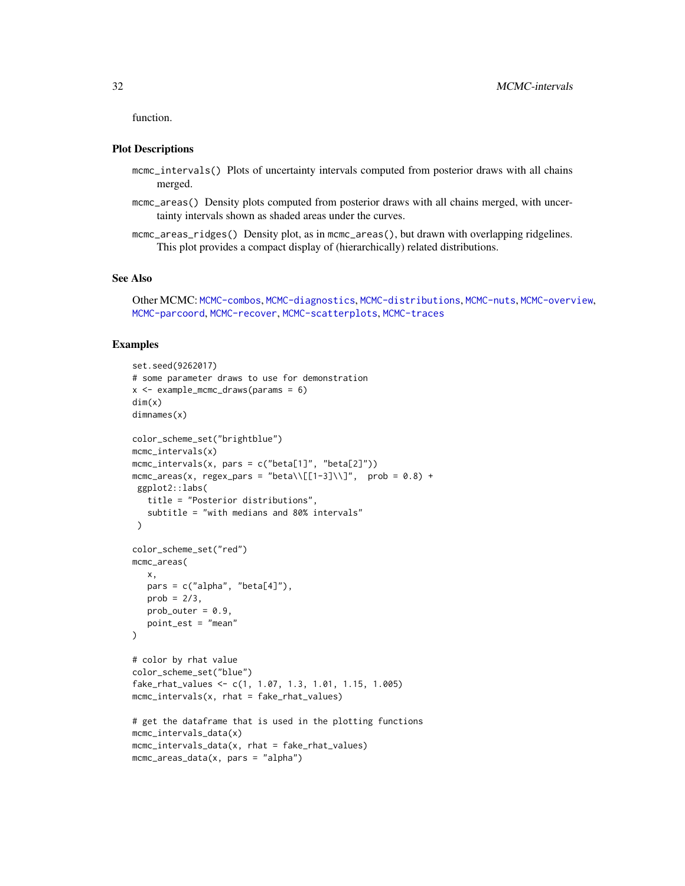function.

#### Plot Descriptions

- mcmc\_intervals() Plots of uncertainty intervals computed from posterior draws with all chains merged.
- mcmc\_areas() Density plots computed from posterior draws with all chains merged, with uncertainty intervals shown as shaded areas under the curves.
- mcmc\_areas\_ridges() Density plot, as in mcmc\_areas(), but drawn with overlapping ridgelines. This plot provides a compact display of (hierarchically) related distributions.

#### See Also

```
Other MCMC: MCMC-combos, MCMC-diagnostics, MCMC-distributions, MCMC-nuts, MCMC-overview,
MCMC-parcoord, MCMC-recover, MCMC-scatterplots, MCMC-traces
```

```
set.seed(9262017)
# some parameter draws to use for demonstration
x \le - example_mcmc_draws(params = 6)
dim(x)
dimnames(x)
color_scheme_set("brightblue")
mcmc_intervals(x)
mcmc_intervals(x, pars = c("beta[1]", "beta[2]"))mcmc_areas(x, regex_pars = "beta\\[[1-3]\\]", prob = 0.8) +
 ggplot2::labs(
   title = "Posterior distributions",
   subtitle = "with medians and 80% intervals"
 )
color_scheme_set("red")
mcmc_areas(
  x,
  pars = c("alpha", "beta[4]");prob = 2/3,
   prob_outer = 0.9,
   point_est = "mean"
)
# color by rhat value
color_scheme_set("blue")
fake_rhat_values <- c(1, 1.07, 1.3, 1.01, 1.15, 1.005)
mcmc_intervals(x, rhat = fake_rhat_values)
# get the dataframe that is used in the plotting functions
mcmc_intervals_data(x)
mcmc_intervals_data(x, rhat = fake_rhat_values)
mcmc_areas_data(x, pars = "alpha")
```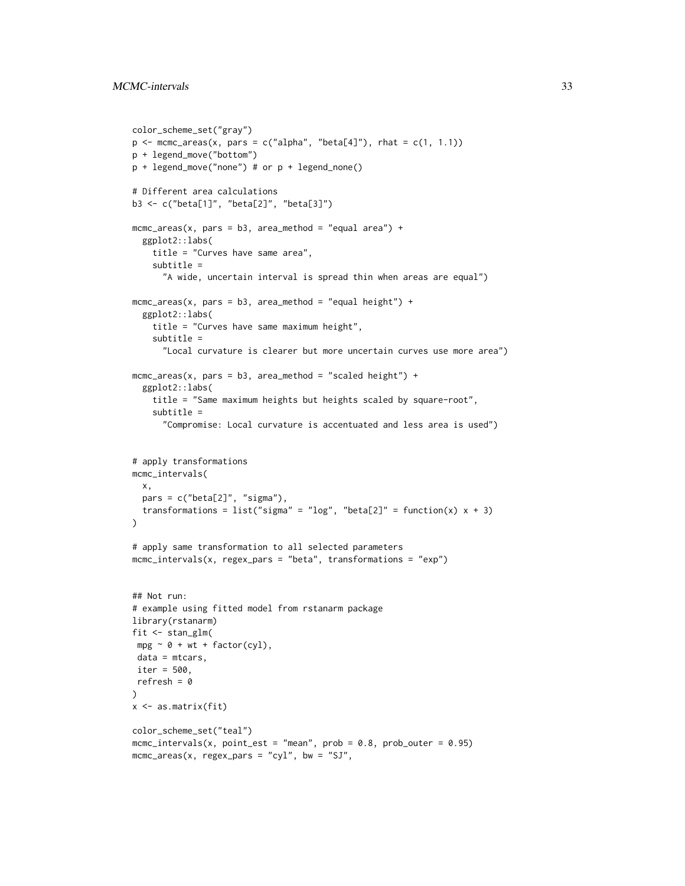```
color_scheme_set("gray")
p \leftarrow mcmc_areas(x, pars = c("alpha", "beta[4]"), rhat = c(1, 1.1))
p + legend_move("bottom")
p + legend_move("none") # or p + legend_none()
# Different area calculations
b3 <- c("beta[1]", "beta[2]", "beta[3]")
mcmc_areas(x, pars = b3, area_method = "equal area") +
  ggplot2::labs(
    title = "Curves have same area",
    subtitle =
      "A wide, uncertain interval is spread thin when areas are equal")
mcmc_areas(x, pars = b3, area_method = "equal height") +
  ggplot2::labs(
    title = "Curves have same maximum height",
    subtitle =
      "Local curvature is clearer but more uncertain curves use more area")
mcmc_2areas(x, pars = b3, area_method = "scaled height") +
  ggplot2::labs(
    title = "Same maximum heights but heights scaled by square-root",
    subtitle =
      "Compromise: Local curvature is accentuated and less area is used")
# apply transformations
mcmc_intervals(
  x,
 pars = c("beta[2]", "sigma"),transformations = list("sigma" = "log", "beta[2]" = function(x) x + 3)
\mathcal{L}# apply same transformation to all selected parameters
mcmc_intervals(x, regex_pars = "beta", transformations = "exp")
## Not run:
# example using fitted model from rstanarm package
library(rstanarm)
fit \le stan_glm(
mpg \sim \theta + wt + factor(cyl),data = mtcars,
iter = 500,
refresh = 0
\lambdax <- as.matrix(fit)
color_scheme_set("teal")
mcmc_intervals(x, point_est = "mean", prob = 0.8, prob\_outer = 0.95)mcmc_areas(x, regex_pars = "cyl", bw = "SJ",
```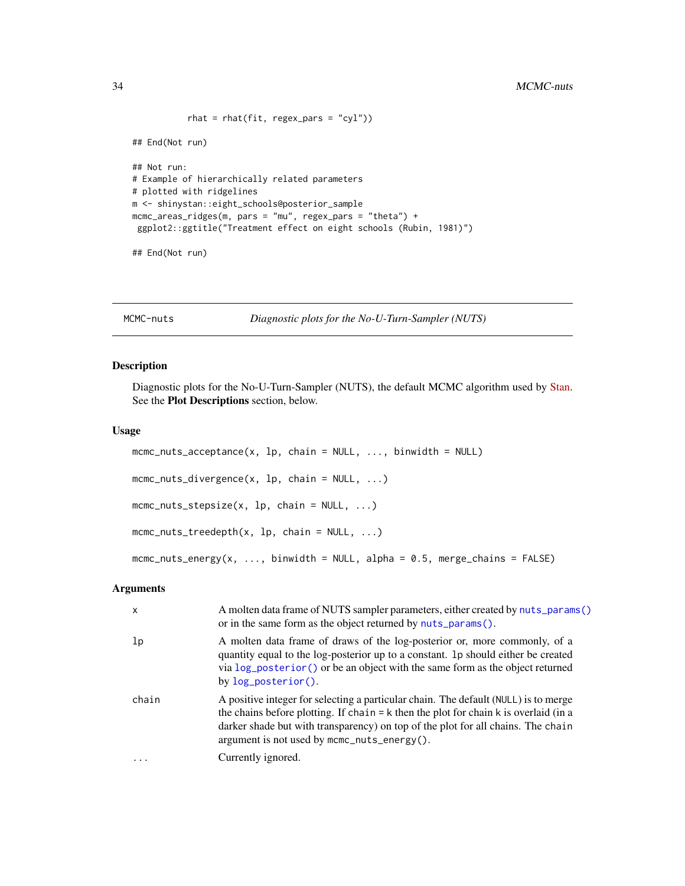```
rhat = rhat(fit, regex_pars = "cyl"))
## End(Not run)
## Not run:
# Example of hierarchically related parameters
# plotted with ridgelines
m <- shinystan::eight_schools@posterior_sample
mcmc_areas_ridges(m, pars = "mu", regex_pars = "theta") +
 ggplot2::ggtitle("Treatment effect on eight schools (Rubin, 1981)")
```

```
## End(Not run)
```
<span id="page-33-2"></span>MCMC-nuts *Diagnostic plots for the No-U-Turn-Sampler (NUTS)*

#### <span id="page-33-1"></span>Description

Diagnostic plots for the No-U-Turn-Sampler (NUTS), the default MCMC algorithm used by [Stan.](https://mc-stan.org) See the Plot Descriptions section, below.

#### Usage

```
mcmc_nuts_acceptance(x, lp, chain = NULL, ..., binwidth = NULL)
mcmc_nuts_divergence(x, lp, chain = NULL, ...)
mcmc_nuts_stepsize(x, lp, chain = NULL, \dots)
mcmc_nuts\_treedepth(x, lp, chain = NULL, ...)mcmc_nuts_energy(x, ..., binwidth = NULL, alpha = 0.5, merge_chains = FALSE)
```

| $\mathsf{x}$ | A molten data frame of NUTS sampler parameters, either created by nuts_params()<br>or in the same form as the object returned by nuts_params().                                                                                                                                                                        |
|--------------|------------------------------------------------------------------------------------------------------------------------------------------------------------------------------------------------------------------------------------------------------------------------------------------------------------------------|
| 1p           | A molten data frame of draws of the log-posterior or, more commonly, of a<br>quantity equal to the log-posterior up to a constant. 1p should either be created<br>via log_posterior() or be an object with the same form as the object returned<br>by $log_{10}$ posterior().                                          |
| chain        | A positive integer for selecting a particular chain. The default (NULL) is to merge<br>the chains before plotting. If chain $= k$ then the plot for chain $k$ is overlaid (in a<br>darker shade but with transparency) on top of the plot for all chains. The chain<br>argument is not used by $mcm\_nuts\_energy()$ . |
| $\cdot$      | Currently ignored.                                                                                                                                                                                                                                                                                                     |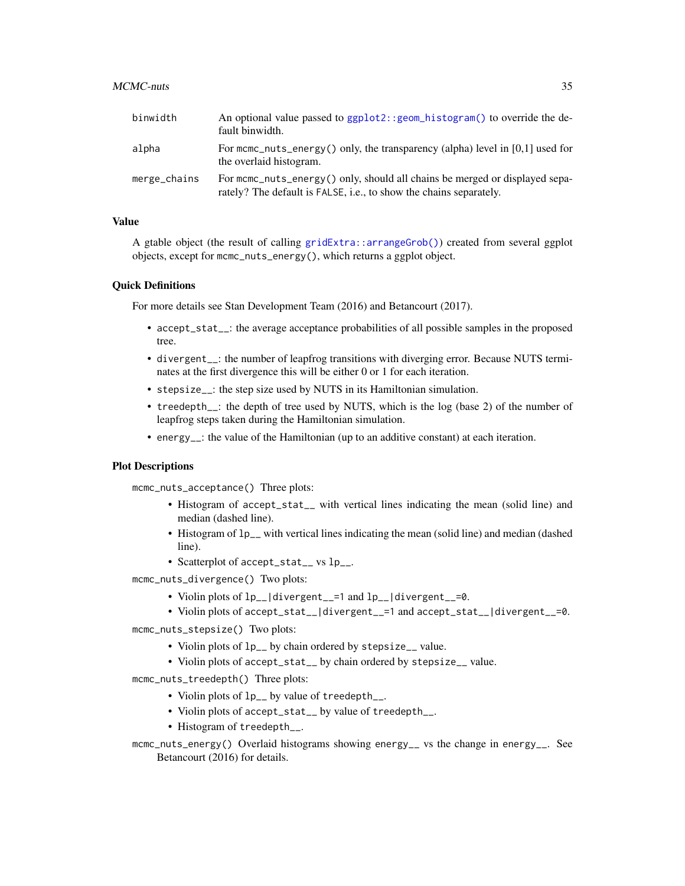#### $MCMC$ -nuts  $35$

| binwidth     | An optional value passed to $ggplot2$ : : $geom_histogram()$ to override the de-<br>fault binwidth.                                                |
|--------------|----------------------------------------------------------------------------------------------------------------------------------------------------|
| alpha        | For mcmc_nuts_energy() only, the transparency (alpha) level in $[0,1]$ used for<br>the overlaid histogram.                                         |
| merge_chains | For mome nuts energy () only, should all chains be merged or displayed sepa-<br>rately? The default is FALSE, i.e., to show the chains separately. |

# Value

A gtable object (the result of calling [gridExtra::arrangeGrob\(\)](#page-0-0)) created from several ggplot objects, except for mcmc\_nuts\_energy(), which returns a ggplot object.

#### Quick Definitions

For more details see Stan Development Team (2016) and Betancourt (2017).

- accept\_stat<sub>\_\_</sub>: the average acceptance probabilities of all possible samples in the proposed tree.
- divergent\_\_: the number of leapfrog transitions with diverging error. Because NUTS terminates at the first divergence this will be either 0 or 1 for each iteration.
- stepsize\_\_: the step size used by NUTS in its Hamiltonian simulation.
- treedepth<sub>--</sub>: the depth of tree used by NUTS, which is the log (base 2) of the number of leapfrog steps taken during the Hamiltonian simulation.
- energy\_\_: the value of the Hamiltonian (up to an additive constant) at each iteration.

#### Plot Descriptions

mcmc\_nuts\_acceptance() Three plots:

- Histogram of accept\_stat\_\_ with vertical lines indicating the mean (solid line) and median (dashed line).
- Histogram of lp\_\_ with vertical lines indicating the mean (solid line) and median (dashed line).
- Scatterplot of accept\_stat\_\_ vs lp\_\_.
- mcmc\_nuts\_divergence() Two plots:
	- Violin plots of lp\_\_|divergent\_\_=1 and lp\_\_|divergent\_\_=0.
	- Violin plots of accept\_stat\_\_|divergent\_\_=1 and accept\_stat\_\_|divergent\_\_=0.
- mcmc\_nuts\_stepsize() Two plots:
	- Violin plots of lp\_\_ by chain ordered by stepsize\_\_ value.
	- Violin plots of accept\_stat\_\_ by chain ordered by stepsize\_\_ value.
- mcmc\_nuts\_treedepth() Three plots:
	- Violin plots of lp\_\_ by value of treedepth\_\_.
	- Violin plots of accept\_stat\_\_ by value of treedepth\_\_.
	- Histogram of treedepth\_\_.
- mcmc\_nuts\_energy() Overlaid histograms showing energy\_\_ vs the change in energy\_\_. See Betancourt (2016) for details.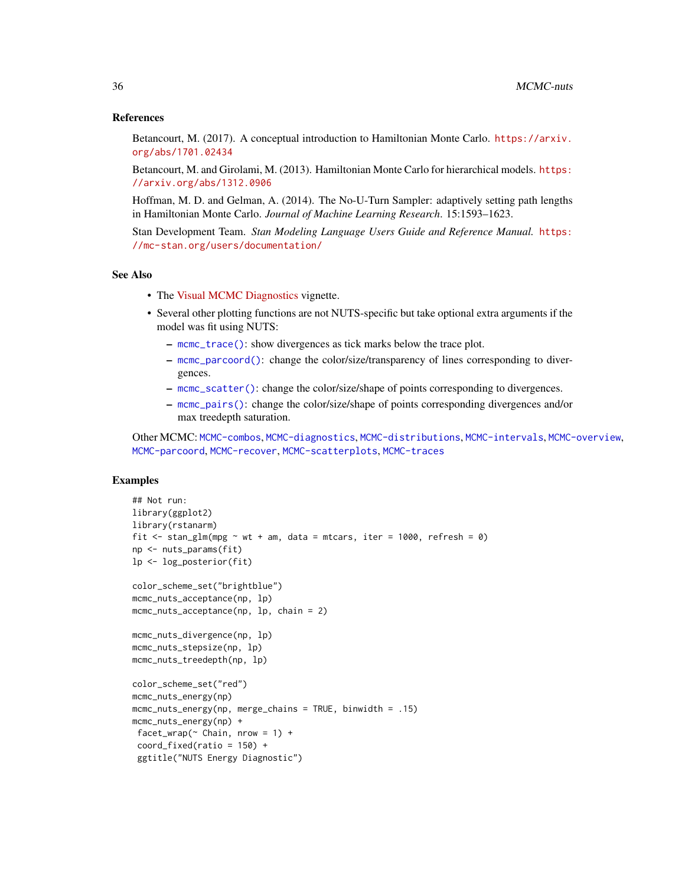#### References

Betancourt, M. (2017). A conceptual introduction to Hamiltonian Monte Carlo. [https://arxiv.](https://arxiv.org/abs/1701.02434) [org/abs/1701.02434](https://arxiv.org/abs/1701.02434)

Betancourt, M. and Girolami, M. (2013). Hamiltonian Monte Carlo for hierarchical models. [https:](https://arxiv.org/abs/1312.0906) [//arxiv.org/abs/1312.0906](https://arxiv.org/abs/1312.0906)

Hoffman, M. D. and Gelman, A. (2014). The No-U-Turn Sampler: adaptively setting path lengths in Hamiltonian Monte Carlo. *Journal of Machine Learning Research*. 15:1593–1623.

Stan Development Team. *Stan Modeling Language Users Guide and Reference Manual.* [https:](https://mc-stan.org/users/documentation/) [//mc-stan.org/users/documentation/](https://mc-stan.org/users/documentation/)

## See Also

- The [Visual MCMC Diagnostics](https://mc-stan.org/bayesplot/articles/visual-mcmc-diagnostics.html) vignette.
- Several other plotting functions are not NUTS-specific but take optional extra arguments if the model was fit using NUTS:
	- [mcmc\\_trace\(\)](#page-50-2): show divergences as tick marks below the trace plot.
	- [mcmc\\_parcoord\(\)](#page-37-2): change the color/size/transparency of lines corresponding to divergences.
	- [mcmc\\_scatter\(\)](#page-43-2): change the color/size/shape of points corresponding to divergences.
	- [mcmc\\_pairs\(\)](#page-43-2): change the color/size/shape of points corresponding divergences and/or max treedepth saturation.

Other MCMC: [MCMC-combos](#page-18-1), [MCMC-diagnostics](#page-19-1), [MCMC-distributions](#page-23-1), [MCMC-intervals](#page-27-1), [MCMC-overview](#page-36-1), [MCMC-parcoord](#page-37-1), [MCMC-recover](#page-40-1), [MCMC-scatterplots](#page-43-1), [MCMC-traces](#page-50-1)

```
## Not run:
library(ggplot2)
library(rstanarm)
fit \le stan_glm(mpg \sim wt + am, data = mtcars, iter = 1000, refresh = 0)
np <- nuts_params(fit)
lp <- log_posterior(fit)
color_scheme_set("brightblue")
mcmc_nuts_acceptance(np, lp)
mcmc_nuts_acceptance(np, lp, chain = 2)
mcmc_nuts_divergence(np, lp)
mcmc_nuts_stepsize(np, lp)
mcmc_nuts_treedepth(np, lp)
color_scheme_set("red")
mcmc_nuts_energy(np)
mcmc_nuts_energy(np, merge_chains = TRUE, binwidth = .15)
mcmc_nuts_energy(np) +
 facet_wrap(\sim Chain, nrow = 1) +
 coord\_fixed(ratio = 150) +ggtitle("NUTS Energy Diagnostic")
```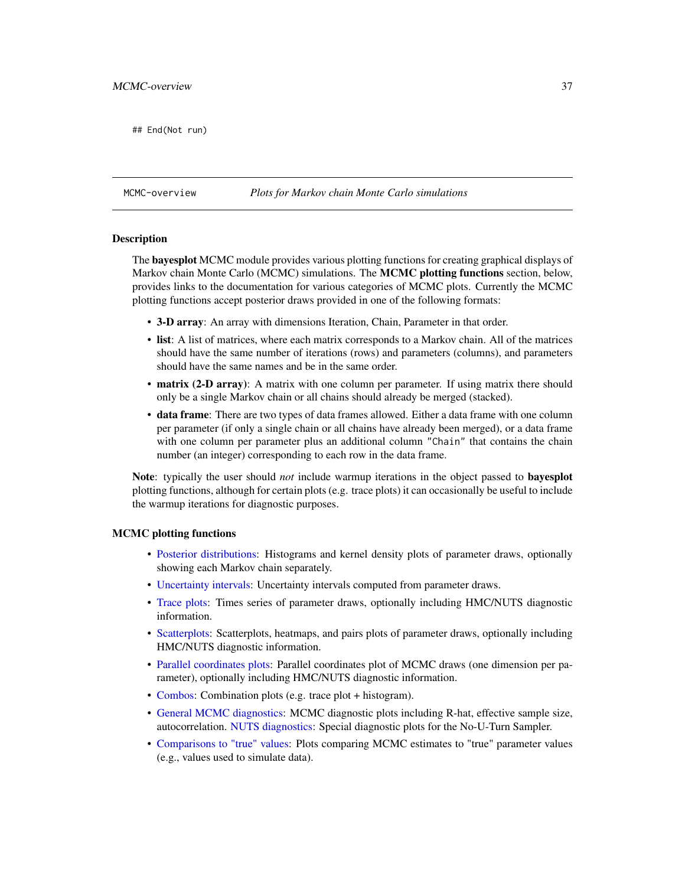## End(Not run)

### <span id="page-36-0"></span>MCMC-overview *Plots for Markov chain Monte Carlo simulations*

#### Description

The **bayesplot** MCMC module provides various plotting functions for creating graphical displays of Markov chain Monte Carlo (MCMC) simulations. The MCMC plotting functions section, below, provides links to the documentation for various categories of MCMC plots. Currently the MCMC plotting functions accept posterior draws provided in one of the following formats:

- 3-D array: An array with dimensions Iteration, Chain, Parameter in that order.
- list: A list of matrices, where each matrix corresponds to a Markov chain. All of the matrices should have the same number of iterations (rows) and parameters (columns), and parameters should have the same names and be in the same order.
- matrix (2-D array): A matrix with one column per parameter. If using matrix there should only be a single Markov chain or all chains should already be merged (stacked).
- data frame: There are two types of data frames allowed. Either a data frame with one column per parameter (if only a single chain or all chains have already been merged), or a data frame with one column per parameter plus an additional column "Chain" that contains the chain number (an integer) corresponding to each row in the data frame.

Note: typically the user should *not* include warmup iterations in the object passed to bayesplot plotting functions, although for certain plots (e.g. trace plots) it can occasionally be useful to include the warmup iterations for diagnostic purposes.

#### MCMC plotting functions

- [Posterior distributions:](#page-23-0) Histograms and kernel density plots of parameter draws, optionally showing each Markov chain separately.
- [Uncertainty intervals:](#page-27-0) Uncertainty intervals computed from parameter draws.
- [Trace plots:](#page-50-0) Times series of parameter draws, optionally including HMC/NUTS diagnostic information.
- [Scatterplots:](#page-43-0) Scatterplots, heatmaps, and pairs plots of parameter draws, optionally including HMC/NUTS diagnostic information.
- [Parallel coordinates plots:](#page-37-0) Parallel coordinates plot of MCMC draws (one dimension per parameter), optionally including HMC/NUTS diagnostic information.
- [Combos:](#page-18-0) Combination plots (e.g. trace plot + histogram).
- [General MCMC diagnostics:](#page-19-0) MCMC diagnostic plots including R-hat, effective sample size, autocorrelation. [NUTS diagnostics:](#page-33-0) Special diagnostic plots for the No-U-Turn Sampler.
- [Comparisons to "true" values:](#page-40-0) Plots comparing MCMC estimates to "true" parameter values (e.g., values used to simulate data).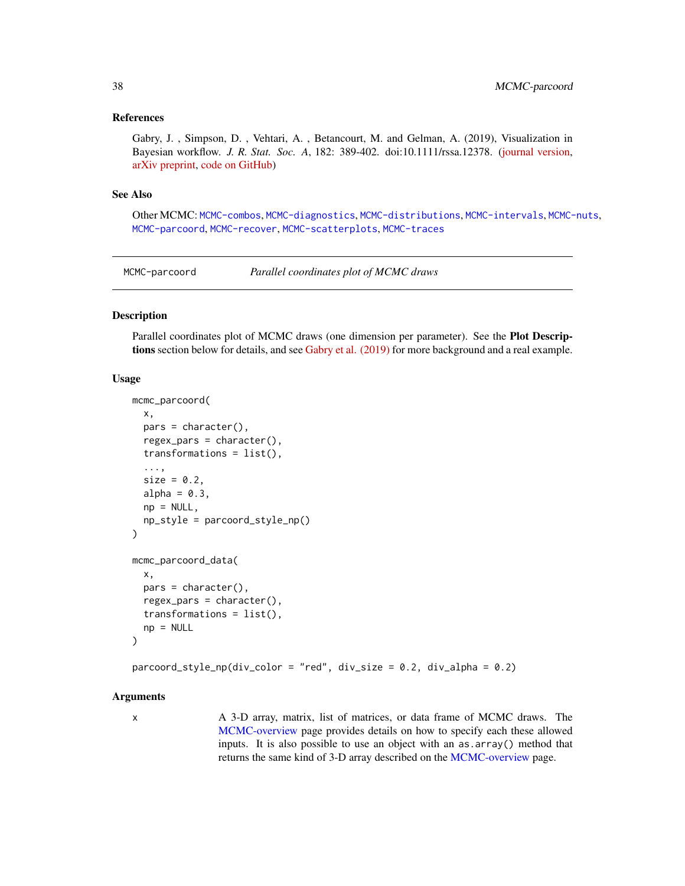### References

Gabry, J. , Simpson, D. , Vehtari, A. , Betancourt, M. and Gelman, A. (2019), Visualization in Bayesian workflow. *J. R. Stat. Soc. A*, 182: 389-402. doi:10.1111/rssa.12378. [\(journal version,](https://rss.onlinelibrary.wiley.com/doi/full/10.1111/rssa.12378) [arXiv preprint,](https://arxiv.org/abs/1709.01449) [code on GitHub\)](https://github.com/jgabry/bayes-vis-paper)

#### See Also

Other MCMC: [MCMC-combos](#page-18-0), [MCMC-diagnostics](#page-19-0), [MCMC-distributions](#page-23-0), [MCMC-intervals](#page-27-0), [MCMC-nuts](#page-33-0), [MCMC-parcoord](#page-37-0), [MCMC-recover](#page-40-0), [MCMC-scatterplots](#page-43-0), [MCMC-traces](#page-50-0)

<span id="page-37-0"></span>MCMC-parcoord *Parallel coordinates plot of MCMC draws*

#### Description

Parallel coordinates plot of MCMC draws (one dimension per parameter). See the Plot Descriptions section below for details, and see [Gabry et al. \(2019\)](https://github.com/jgabry/bayes-vis-paper#readme) for more background and a real example.

#### Usage

```
mcmc_parcoord(
  x,
 pars = character(),regex_pars = character(),
  transformations = list(),
  ...,
  size = 0.2,
  alpha = 0.3,
 np = NULL,
  np_style = parcoord_style_np()
)
mcmc_parcoord_data(
 x,
 pars = character(),
 regex_pars = character(),
  transformations = list(),
  np = NULL)
```
parcoord\_style\_np(div\_color = "red", div\_size = 0.2, div\_alpha = 0.2)

## Arguments

x A 3-D array, matrix, list of matrices, or data frame of MCMC draws. The [MCMC-overview](#page-36-0) page provides details on how to specify each these allowed inputs. It is also possible to use an object with an as.array() method that returns the same kind of 3-D array described on the [MCMC-overview](#page-36-0) page.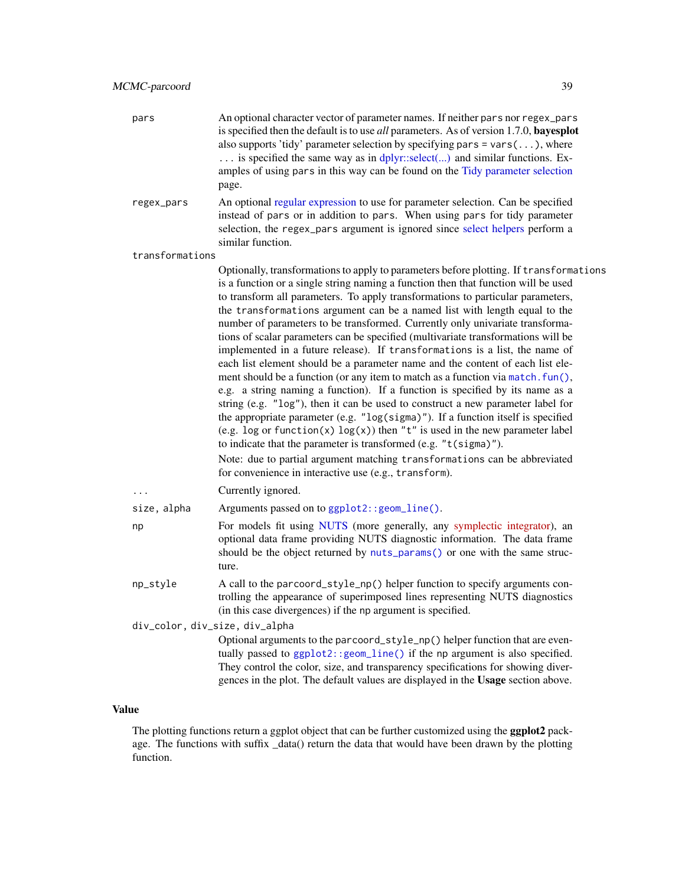- pars An optional character vector of parameter names. If neither pars nor regex\_pars is specified then the default is to use *all* parameters. As of version 1.7.0, bayesplot also supports 'tidy' parameter selection by specifying pars  $=$  vars $( \ldots )$ , where ... is specified the same way as in [dplyr::select\(...\)](#page-0-0) and similar functions. Examples of using pars in this way can be found on the [Tidy parameter selection](#page-83-0) page.
- regex\_pars An optional [regular expression](#page-0-0) to use for parameter selection. Can be specified instead of pars or in addition to pars. When using pars for tidy parameter selection, the regex\_pars argument is ignored since [select helpers](#page-0-0) perform a similar function.

transformations

Optionally, transformations to apply to parameters before plotting. If transformations is a function or a single string naming a function then that function will be used to transform all parameters. To apply transformations to particular parameters, the transformations argument can be a named list with length equal to the number of parameters to be transformed. Currently only univariate transformations of scalar parameters can be specified (multivariate transformations will be implemented in a future release). If transformations is a list, the name of each list element should be a parameter name and the content of each list element should be a function (or any item to match as a function via match.  $fun()$ , e.g. a string naming a function). If a function is specified by its name as a string (e.g. "log"), then it can be used to construct a new parameter label for the appropriate parameter (e.g. "log(sigma)"). If a function itself is specified (e.g. log or function(x)  $log(x)$ ) then "t" is used in the new parameter label to indicate that the parameter is transformed (e.g. "t(sigma)").

Note: due to partial argument matching transformations can be abbreviated for convenience in interactive use (e.g., transform).

... Currently ignored.

size, alpha Arguments passed on to [ggplot2::geom\\_line\(\)](#page-0-0).

np For models fit using [NUTS](#page-33-1) (more generally, any [symplectic integrator\)](https://en.wikipedia.org/wiki/Symplectic_integrator), an optional data frame providing NUTS diagnostic information. The data frame should be the object returned by [nuts\\_params\(\)](#page-7-0) or one with the same structure.

np\_style A call to the parcoord\_style\_np() helper function to specify arguments controlling the appearance of superimposed lines representing NUTS diagnostics (in this case divergences) if the np argument is specified.

div\_color, div\_size, div\_alpha

Optional arguments to the parcoord\_style\_np() helper function that are eventually passed to [ggplot2::geom\\_line\(\)](#page-0-0) if the np argument is also specified. They control the color, size, and transparency specifications for showing divergences in the plot. The default values are displayed in the Usage section above.

## Value

The plotting functions return a ggplot object that can be further customized using the **ggplot2** package. The functions with suffix \_data() return the data that would have been drawn by the plotting function.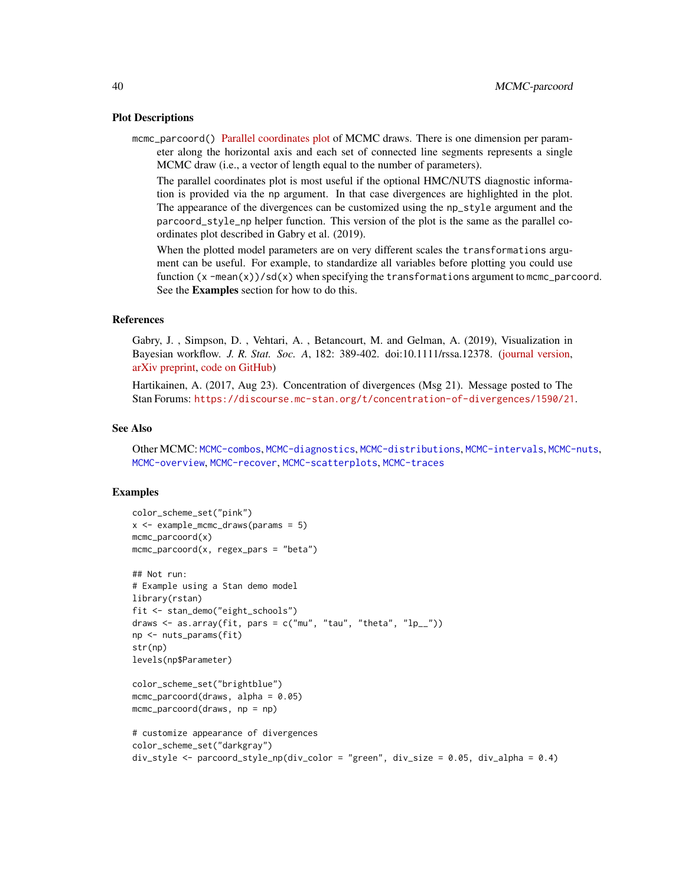#### Plot Descriptions

mcmc\_parcoord() [Parallel coordinates plot](https://en.wikipedia.org/wiki/Parallel_coordinates) of MCMC draws. There is one dimension per parameter along the horizontal axis and each set of connected line segments represents a single MCMC draw (i.e., a vector of length equal to the number of parameters).

The parallel coordinates plot is most useful if the optional HMC/NUTS diagnostic information is provided via the np argument. In that case divergences are highlighted in the plot. The appearance of the divergences can be customized using the np\_style argument and the parcoord\_style\_np helper function. This version of the plot is the same as the parallel coordinates plot described in Gabry et al. (2019).

When the plotted model parameters are on very different scales the transformations argument can be useful. For example, to standardize all variables before plotting you could use function  $(x - mean(x))/sd(x)$  when specifying the transformations argument to mcmc\_parcoord. See the Examples section for how to do this.

## References

Gabry, J. , Simpson, D. , Vehtari, A. , Betancourt, M. and Gelman, A. (2019), Visualization in Bayesian workflow. *J. R. Stat. Soc. A*, 182: 389-402. doi:10.1111/rssa.12378. [\(journal version,](https://rss.onlinelibrary.wiley.com/doi/full/10.1111/rssa.12378) [arXiv preprint,](https://arxiv.org/abs/1709.01449) [code on GitHub\)](https://github.com/jgabry/bayes-vis-paper)

Hartikainen, A. (2017, Aug 23). Concentration of divergences (Msg 21). Message posted to The Stan Forums: <https://discourse.mc-stan.org/t/concentration-of-divergences/1590/21>.

#### See Also

Other MCMC: [MCMC-combos](#page-18-0), [MCMC-diagnostics](#page-19-0), [MCMC-distributions](#page-23-0), [MCMC-intervals](#page-27-0), [MCMC-nuts](#page-33-0), [MCMC-overview](#page-36-0), [MCMC-recover](#page-40-0), [MCMC-scatterplots](#page-43-0), [MCMC-traces](#page-50-0)

## Examples

```
color_scheme_set("pink")
x \le - example_mcmc_draws(params = 5)
mcmc_parcoord(x)
mcmc\_parcoord(x, regex\_pars = "beta")## Not run:
# Example using a Stan demo model
library(rstan)
fit <- stan_demo("eight_schools")
draws \leq as.array(fit, pars = c("mu", "tau", "theta", "lp_{-}"))
np <- nuts_params(fit)
str(np)
levels(np$Parameter)
color_scheme_set("brightblue")
mcmc_parcoord(draws, alpha = 0.05)
mcmc_parcoord(draws, np = np)
# customize appearance of divergences
color_scheme_set("darkgray")
```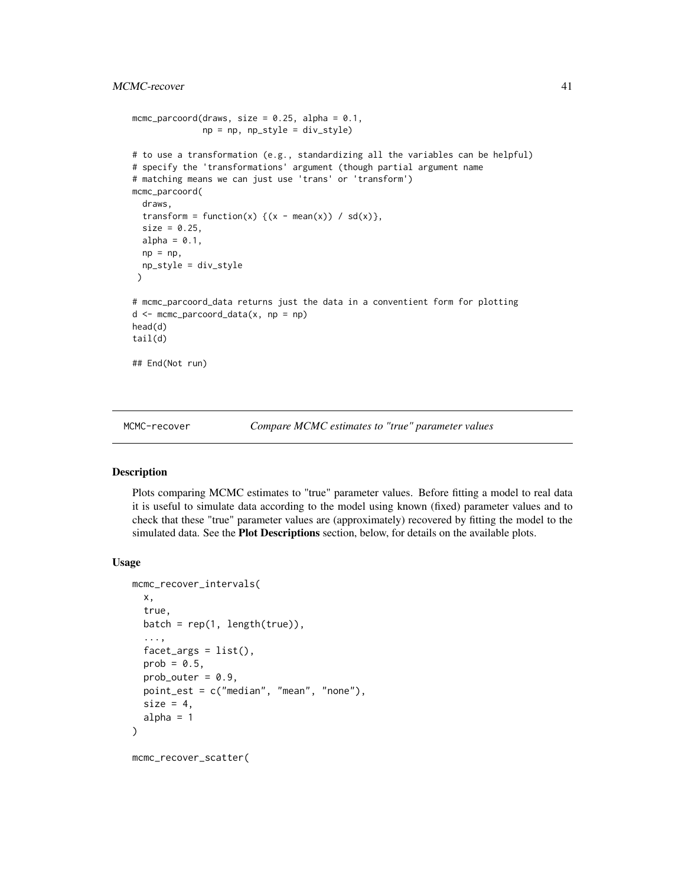```
mcmc_parcoord(draws, size = 0.25, alpha = 0.1,
              np = np, np_style = div_style)
# to use a transformation (e.g., standardizing all the variables can be helpful)
# specify the 'transformations' argument (though partial argument name
# matching means we can just use 'trans' or 'transform')
mcmc_parcoord(
  draws,
  transform = function(x) {(x - mean(x)) / sd(x)},
  size = 0.25,alpha = 0.1,
  np = np,
  np_style = div_style
 \lambda# mcmc_parcoord_data returns just the data in a conventient form for plotting
d <- mcmc_parcoord_data(x, np = np)
head(d)
tail(d)
## End(Not run)
```
MCMC-recover *Compare MCMC estimates to "true" parameter values*

## Description

Plots comparing MCMC estimates to "true" parameter values. Before fitting a model to real data it is useful to simulate data according to the model using known (fixed) parameter values and to check that these "true" parameter values are (approximately) recovered by fitting the model to the simulated data. See the Plot Descriptions section, below, for details on the available plots.

#### Usage

```
mcmc_recover_intervals(
  x,
  true,
 batch = rep(1, length(true)),...,
  factor_{args} = list(),prob = 0.5,
 prob_outer = 0.9,
  point_est = c("median", "mean", "none"),
  size = 4.
  alpha = 1)
mcmc_recover_scatter(
```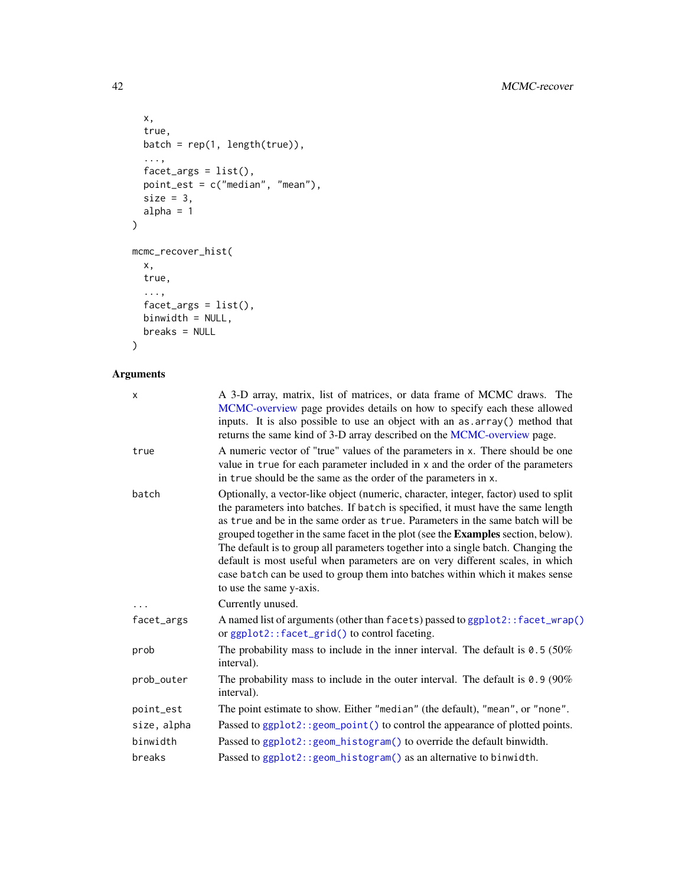```
x,
  true,
  batch = rep(1, length(true)),...,
 factor_{args} = list(),point_est = c("median", "mean"),
  size = 3,
  alpha = 1\mathcal{L}mcmc_recover_hist(
  x,
  true,
  ...,
 factor_{args} = list(),
 binwidth = NULL,
  breaks = NULL
\mathcal{L}
```

| X           | A 3-D array, matrix, list of matrices, or data frame of MCMC draws. The<br>MCMC-overview page provides details on how to specify each these allowed<br>inputs. It is also possible to use an object with an as array () method that<br>returns the same kind of 3-D array described on the MCMC-overview page.                                                                                                                                                                                                                                                                                                                           |
|-------------|------------------------------------------------------------------------------------------------------------------------------------------------------------------------------------------------------------------------------------------------------------------------------------------------------------------------------------------------------------------------------------------------------------------------------------------------------------------------------------------------------------------------------------------------------------------------------------------------------------------------------------------|
| true        | A numeric vector of "true" values of the parameters in x. There should be one<br>value in true for each parameter included in x and the order of the parameters<br>in true should be the same as the order of the parameters in x.                                                                                                                                                                                                                                                                                                                                                                                                       |
| batch       | Optionally, a vector-like object (numeric, character, integer, factor) used to split<br>the parameters into batches. If batch is specified, it must have the same length<br>as true and be in the same order as true. Parameters in the same batch will be<br>grouped together in the same facet in the plot (see the <b>Examples</b> section, below).<br>The default is to group all parameters together into a single batch. Changing the<br>default is most useful when parameters are on very different scales, in which<br>case batch can be used to group them into batches within which it makes sense<br>to use the same y-axis. |
|             | Currently unused.                                                                                                                                                                                                                                                                                                                                                                                                                                                                                                                                                                                                                        |
| facet_args  | A named list of arguments (other than facets) passed to ggplot2:: facet_wrap()<br>or ggplot2::facet_grid() to control faceting.                                                                                                                                                                                                                                                                                                                                                                                                                                                                                                          |
| prob        | The probability mass to include in the inner interval. The default is $0.5$ (50%)<br>interval).                                                                                                                                                                                                                                                                                                                                                                                                                                                                                                                                          |
| prob_outer  | The probability mass to include in the outer interval. The default is $0.9$ (90%)<br>interval).                                                                                                                                                                                                                                                                                                                                                                                                                                                                                                                                          |
| point_est   | The point estimate to show. Either "median" (the default), "mean", or "none".                                                                                                                                                                                                                                                                                                                                                                                                                                                                                                                                                            |
| size, alpha | Passed to ggplot2:: geom_point() to control the appearance of plotted points.                                                                                                                                                                                                                                                                                                                                                                                                                                                                                                                                                            |
| binwidth    | Passed to ggplot2:: geom_histogram() to override the default binwidth.                                                                                                                                                                                                                                                                                                                                                                                                                                                                                                                                                                   |
| breaks      | Passed to ggplot2:: geom_histogram() as an alternative to binwidth.                                                                                                                                                                                                                                                                                                                                                                                                                                                                                                                                                                      |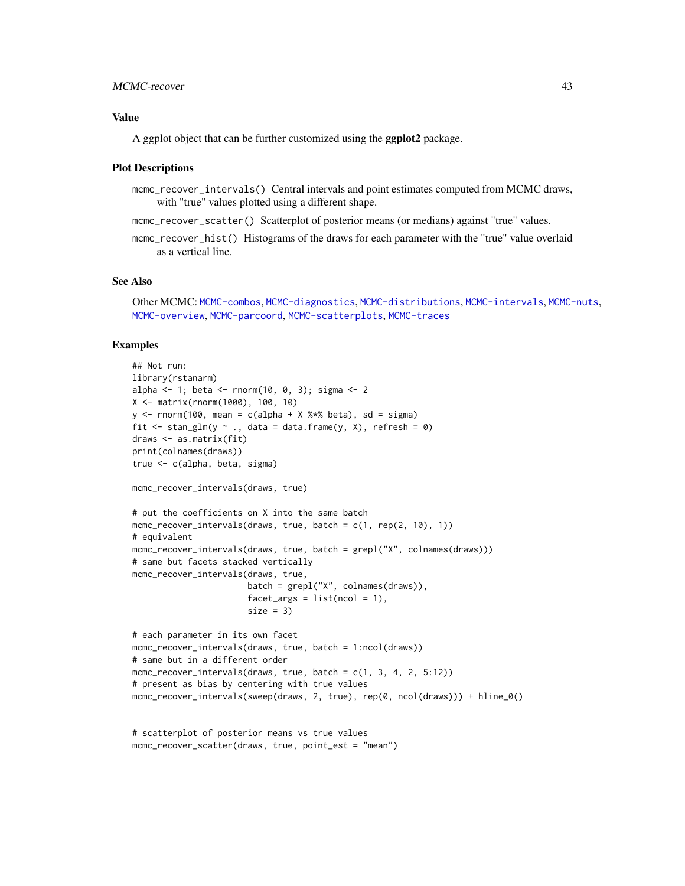## MCMC-recover 43

## Value

A ggplot object that can be further customized using the **ggplot2** package.

#### Plot Descriptions

- mcmc\_recover\_intervals() Central intervals and point estimates computed from MCMC draws, with "true" values plotted using a different shape.
- mcmc\_recover\_scatter() Scatterplot of posterior means (or medians) against "true" values.
- mcmc\_recover\_hist() Histograms of the draws for each parameter with the "true" value overlaid as a vertical line.

## See Also

```
Other MCMC: MCMC-combos, MCMC-diagnostics, MCMC-distributions, MCMC-intervals, MCMC-nuts,
MCMC-overview, MCMC-parcoord, MCMC-scatterplots, MCMC-traces
```
### Examples

```
## Not run:
library(rstanarm)
alpha <- 1; beta <- rnorm(10, 0, 3); sigma <- 2
X <- matrix(rnorm(1000), 100, 10)
y \le - rnorm(100, mean = c(alpha + X %*% beta), sd = sigma)
fit \le stan_glm(y \sim ., data = data.frame(y, X), refresh = 0)
draws <- as.matrix(fit)
print(colnames(draws))
true <- c(alpha, beta, sigma)
mcmc_recover_intervals(draws, true)
# put the coefficients on X into the same batch
mcmc_recover_intervals(draws, true, batch = c(1, rep(2, 10), 1))
# equivalent
mcmc_recover_intervals(draws, true, batch = grepl("X", colnames(draws)))
# same but facets stacked vertically
mcmc_recover_intervals(draws, true,
                       batch = grepl("X", colnames(dxaws)),facet_{args} = list(ncol = 1),size = 3)# each parameter in its own facet
mcmc_recover_intervals(draws, true, batch = 1:ncol(draws))
# same but in a different order
mcmc_recover_intervals(draws, true, batch = c(1, 3, 4, 2, 5:12))
# present as bias by centering with true values
mcmc_recover_intervals(sweep(draws, 2, true), rep(0, ncol(draws))) + hline_0()
# scatterplot of posterior means vs true values
mcmc_recover_scatter(draws, true, point_est = "mean")
```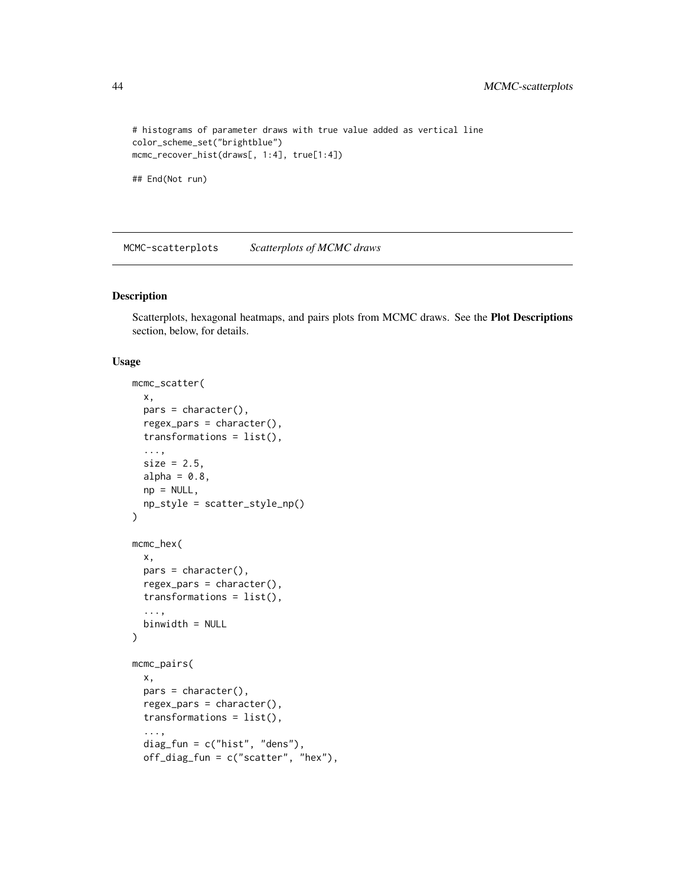```
# histograms of parameter draws with true value added as vertical line
color_scheme_set("brightblue")
mcmc_recover_hist(draws[, 1:4], true[1:4])
```

```
## End(Not run)
```
<span id="page-43-0"></span>MCMC-scatterplots *Scatterplots of MCMC draws*

## Description

Scatterplots, hexagonal heatmaps, and pairs plots from MCMC draws. See the Plot Descriptions section, below, for details.

#### Usage

```
mcmc_scatter(
 x,
 pars = character(),regex_pars = character(),
  transformations = list(),
  ...,
  size = 2.5,
 alpha = 0.8,
  np = NULL,
 np_style = scatter_style_np()
\mathcal{L}mcmc_hex(
  x,
 pars = character(),
  regex_pars = character(),
  transformations = list(),
  ...,
 binwidth = NULL
\mathcal{L}mcmc_pairs(
 x,
 pars = character(),
  regex_pars = character(),
  transformations = list(),
  ...,
  diag_fun = c("hist", "dens"),
  off_diag_fun = c("scatter", "hex"),
```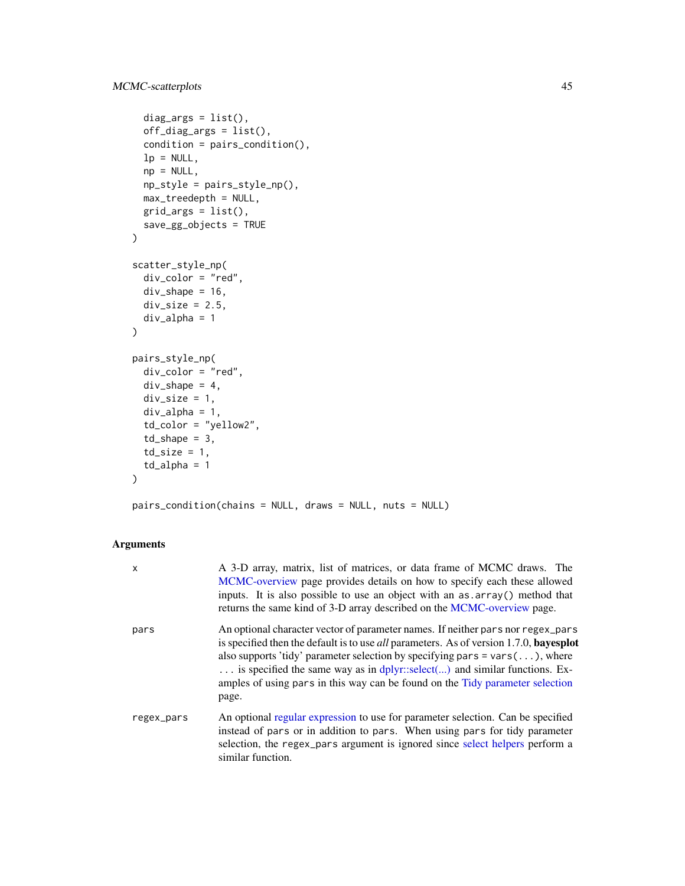```
diag_args = list(),
 off_diag_args = list(),
  condition = pairs_condition(),
  lp = NULL,np = NULL,np_style = pairs_style_np(),
 max_treedepth = NULL,
 grid_{args} = list(),
  save_gg_objects = TRUE
)
scatter_style_np(
 div_color = "red",
 div_{\text{}}shape = 16,
 div\_size = 2.5,
 div_alpha = 1
\mathcal{L}pairs_style_np(
 div_color = "red",
 div\_shape = 4,
 div\_size = 1,
 div_alpha = 1,
  td_color = "yellow2",
  td_shape = 3,
  td\_size = 1,
  td_alpha = 1)
```
pairs\_condition(chains = NULL, draws = NULL, nuts = NULL)

| $\mathsf{x}$ | A 3-D array, matrix, list of matrices, or data frame of MCMC draws. The<br>MCMC-overview page provides details on how to specify each these allowed<br>inputs. It is also possible to use an object with an as array() method that<br>returns the same kind of 3-D array described on the MCMC-overview page.                                                                                                                                           |
|--------------|---------------------------------------------------------------------------------------------------------------------------------------------------------------------------------------------------------------------------------------------------------------------------------------------------------------------------------------------------------------------------------------------------------------------------------------------------------|
| pars         | An optional character vector of parameter names. If neither pars nor regex_pars<br>is specified then the default is to use <i>all</i> parameters. As of version 1.7.0, <b>bayesplot</b><br>also supports 'tidy' parameter selection by specifying pars = $vars(\ldots)$ , where<br>is specified the same way as in dplyr::select() and similar functions. Ex-<br>amples of using pars in this way can be found on the Tidy parameter selection<br>page. |
| regex_pars   | An optional regular expression to use for parameter selection. Can be specified<br>instead of pars or in addition to pars. When using pars for tidy parameter<br>selection, the regex_pars argument is ignored since select helpers perform a<br>similar function.                                                                                                                                                                                      |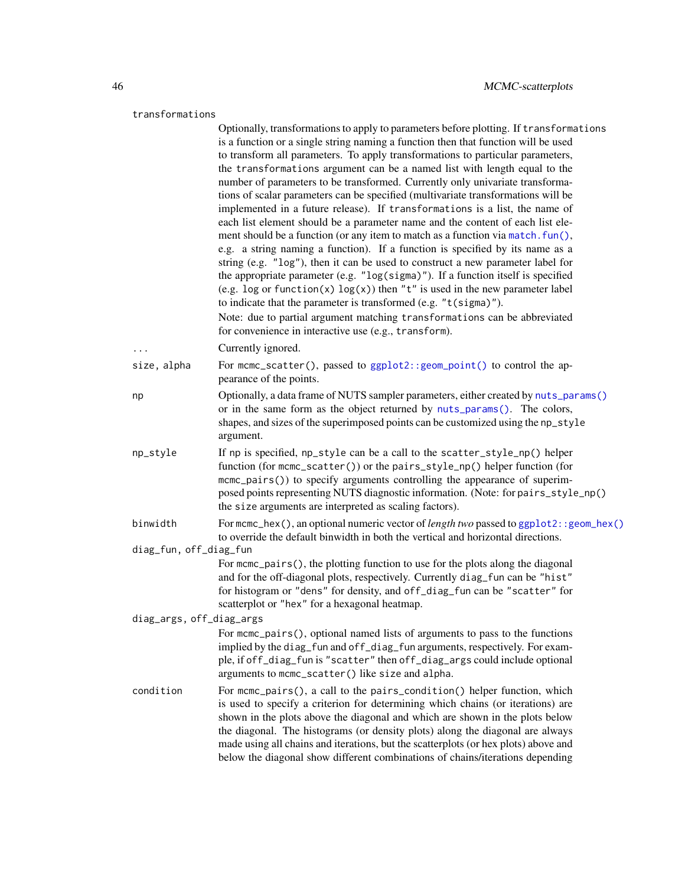## transformations

|                          | Optionally, transformations to apply to parameters before plotting. If transformations<br>is a function or a single string naming a function then that function will be used<br>to transform all parameters. To apply transformations to particular parameters,<br>the transformations argument can be a named list with length equal to the<br>number of parameters to be transformed. Currently only univariate transforma-<br>tions of scalar parameters can be specified (multivariate transformations will be<br>implemented in a future release). If transformations is a list, the name of<br>each list element should be a parameter name and the content of each list ele-<br>ment should be a function (or any item to match as a function via match. fun(),<br>e.g. a string naming a function). If a function is specified by its name as a<br>string (e.g. "log"), then it can be used to construct a new parameter label for<br>the appropriate parameter (e.g. "log(sigma)"). If a function itself is specified<br>(e.g. log or function(x) $log(x)$ ) then "t" is used in the new parameter label<br>to indicate that the parameter is transformed (e.g. "t(sigma)"). |
|--------------------------|---------------------------------------------------------------------------------------------------------------------------------------------------------------------------------------------------------------------------------------------------------------------------------------------------------------------------------------------------------------------------------------------------------------------------------------------------------------------------------------------------------------------------------------------------------------------------------------------------------------------------------------------------------------------------------------------------------------------------------------------------------------------------------------------------------------------------------------------------------------------------------------------------------------------------------------------------------------------------------------------------------------------------------------------------------------------------------------------------------------------------------------------------------------------------------------|
|                          | Note: due to partial argument matching transformations can be abbreviated<br>for convenience in interactive use (e.g., transform).                                                                                                                                                                                                                                                                                                                                                                                                                                                                                                                                                                                                                                                                                                                                                                                                                                                                                                                                                                                                                                                    |
|                          | Currently ignored.                                                                                                                                                                                                                                                                                                                                                                                                                                                                                                                                                                                                                                                                                                                                                                                                                                                                                                                                                                                                                                                                                                                                                                    |
| size, alpha              | For mcmc_scatter(), passed to ggplot2:: geom_point() to control the ap-<br>pearance of the points.                                                                                                                                                                                                                                                                                                                                                                                                                                                                                                                                                                                                                                                                                                                                                                                                                                                                                                                                                                                                                                                                                    |
| np                       | Optionally, a data frame of NUTS sampler parameters, either created by nuts_params()<br>or in the same form as the object returned by nuts_params(). The colors,<br>shapes, and sizes of the superimposed points can be customized using the np_style<br>argument.                                                                                                                                                                                                                                                                                                                                                                                                                                                                                                                                                                                                                                                                                                                                                                                                                                                                                                                    |
| np_style                 | If np is specified, np_style can be a call to the scatter_style_np() helper<br>function (for mcmc_scatter()) or the pairs_style_np() helper function (for<br>mcmc_pairs()) to specify arguments controlling the appearance of superim-<br>posed points representing NUTS diagnostic information. (Note: for pairs_style_np()<br>the size arguments are interpreted as scaling factors).                                                                                                                                                                                                                                                                                                                                                                                                                                                                                                                                                                                                                                                                                                                                                                                               |
| binwidth                 | For mcmc_hex(), an optional numeric vector of <i>length two</i> passed to $ggplot2$ : : $geom_{\text{hex}}()$<br>to override the default binwidth in both the vertical and horizontal directions.                                                                                                                                                                                                                                                                                                                                                                                                                                                                                                                                                                                                                                                                                                                                                                                                                                                                                                                                                                                     |
| diag_fun, off_diag_fun   |                                                                                                                                                                                                                                                                                                                                                                                                                                                                                                                                                                                                                                                                                                                                                                                                                                                                                                                                                                                                                                                                                                                                                                                       |
|                          | For mcmc_pairs(), the plotting function to use for the plots along the diagonal<br>and for the off-diagonal plots, respectively. Currently diag_fun can be "hist"<br>for histogram or "dens" for density, and off_diag_fun can be "scatter" for<br>scatterplot or "hex" for a hexagonal heatmap.                                                                                                                                                                                                                                                                                                                                                                                                                                                                                                                                                                                                                                                                                                                                                                                                                                                                                      |
| diag_args, off_diag_args |                                                                                                                                                                                                                                                                                                                                                                                                                                                                                                                                                                                                                                                                                                                                                                                                                                                                                                                                                                                                                                                                                                                                                                                       |
|                          | For mcmc_pairs(), optional named lists of arguments to pass to the functions<br>implied by the diag_fun and off_diag_fun arguments, respectively. For exam-<br>ple, if off_diag_fun is "scatter" then off_diag_args could include optional<br>arguments to mcmc_scatter() like size and alpha.                                                                                                                                                                                                                                                                                                                                                                                                                                                                                                                                                                                                                                                                                                                                                                                                                                                                                        |
| condition                | For mcmc_pairs(), a call to the pairs_condition() helper function, which<br>is used to specify a criterion for determining which chains (or iterations) are<br>shown in the plots above the diagonal and which are shown in the plots below<br>the diagonal. The histograms (or density plots) along the diagonal are always<br>made using all chains and iterations, but the scatterplots (or hex plots) above and<br>below the diagonal show different combinations of chains/iterations depending                                                                                                                                                                                                                                                                                                                                                                                                                                                                                                                                                                                                                                                                                  |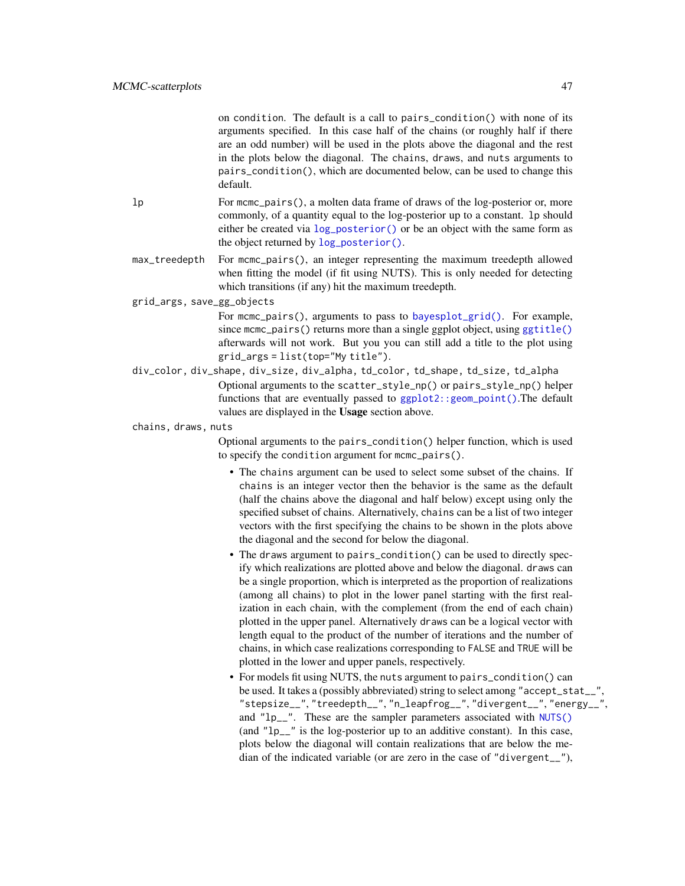on condition. The default is a call to pairs\_condition() with none of its arguments specified. In this case half of the chains (or roughly half if there are an odd number) will be used in the plots above the diagonal and the rest in the plots below the diagonal. The chains, draws, and nuts arguments to pairs\_condition(), which are documented below, can be used to change this default.

- lp For mcmc\_pairs(), a molten data frame of draws of the log-posterior or, more commonly, of a quantity equal to the log-posterior up to a constant. lp should either be created via [log\\_posterior\(\)](#page-7-0) or be an object with the same form as the object returned by [log\\_posterior\(\)](#page-7-0).
- max\_treedepth For mcmc\_pairs(), an integer representing the maximum treedepth allowed when fitting the model (if fit using NUTS). This is only needed for detecting which transitions (if any) hit the maximum treedepth.

grid\_args, save\_gg\_objects

- For mcmc\_pairs(), arguments to pass to [bayesplot\\_grid\(\)](#page-14-0). For example, since mcmc\_pairs() returns more than a single ggplot object, using [ggtitle\(\)](#page-0-0) afterwards will not work. But you you can still add a title to the plot using grid\_args = list(top="My title").
- div\_color, div\_shape, div\_size, div\_alpha, td\_color, td\_shape, td\_size, td\_alpha Optional arguments to the scatter\_style\_np() or pairs\_style\_np() helper functions that are eventually passed to  $ggplot2$ : :  $geom\_point()$ . The default values are displayed in the Usage section above.

chains, draws, nuts

Optional arguments to the pairs\_condition() helper function, which is used to specify the condition argument for mcmc\_pairs().

- The chains argument can be used to select some subset of the chains. If chains is an integer vector then the behavior is the same as the default (half the chains above the diagonal and half below) except using only the specified subset of chains. Alternatively, chains can be a list of two integer vectors with the first specifying the chains to be shown in the plots above the diagonal and the second for below the diagonal.
- The draws argument to pairs\_condition() can be used to directly specify which realizations are plotted above and below the diagonal. draws can be a single proportion, which is interpreted as the proportion of realizations (among all chains) to plot in the lower panel starting with the first realization in each chain, with the complement (from the end of each chain) plotted in the upper panel. Alternatively draws can be a logical vector with length equal to the product of the number of iterations and the number of chains, in which case realizations corresponding to FALSE and TRUE will be plotted in the lower and upper panels, respectively.
- For models fit using NUTS, the nuts argument to pairs\_condition() can be used. It takes a (possibly abbreviated) string to select among "accept\_stat\_\_", "stepsize\_\_", "treedepth\_\_", "n\_leapfrog\_\_", "divergent\_\_", "energy\_\_", and "lp\_\_". These are the sampler parameters associated with [NUTS\(\)](#page-33-1) (and "lp\_\_" is the log-posterior up to an additive constant). In this case, plots below the diagonal will contain realizations that are below the median of the indicated variable (or are zero in the case of "divergent\_\_"),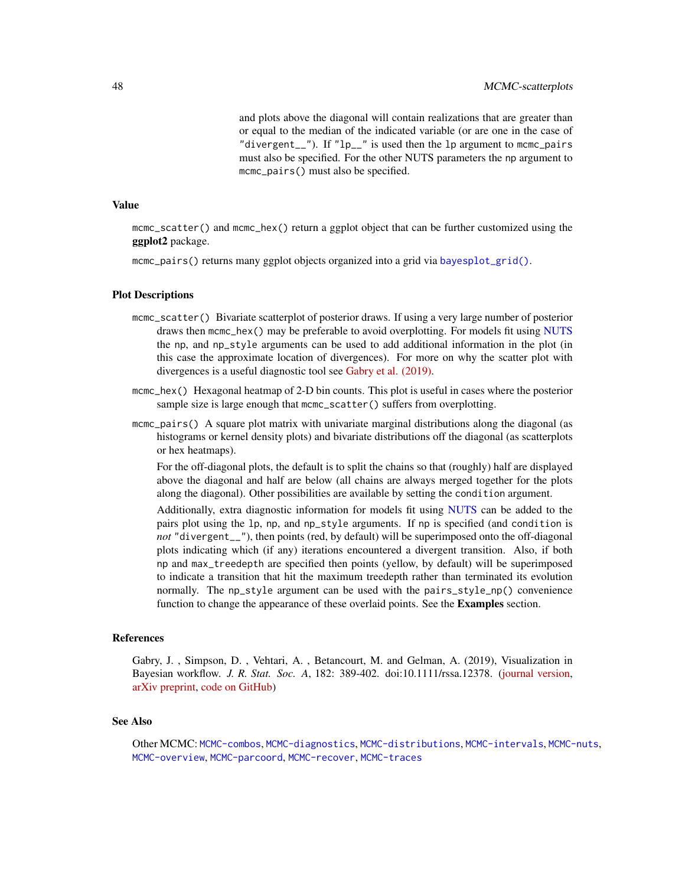and plots above the diagonal will contain realizations that are greater than or equal to the median of the indicated variable (or are one in the case of "divergent $\frac{1}{2}$ "). If "lp $\frac{1}{2}$ " is used then the lp argument to mcmc $\frac{1}{2}$ pairs must also be specified. For the other NUTS parameters the np argument to mcmc\_pairs() must also be specified.

### Value

mcmc\_scatter() and mcmc\_hex() return a ggplot object that can be further customized using the ggplot2 package.

mcmc\_pairs() returns many ggplot objects organized into a grid via [bayesplot\\_grid\(\)](#page-14-0).

#### Plot Descriptions

- mcmc\_scatter() Bivariate scatterplot of posterior draws. If using a very large number of posterior draws then mcmc\_hex() may be preferable to avoid overplotting. For models fit using [NUTS](#page-33-1) the np, and np\_style arguments can be used to add additional information in the plot (in this case the approximate location of divergences). For more on why the scatter plot with divergences is a useful diagnostic tool see [Gabry et al. \(2019\).](https://github.com/jgabry/bayes-vis-paper#readme)
- mcmc\_hex() Hexagonal heatmap of 2-D bin counts. This plot is useful in cases where the posterior sample size is large enough that mcmc\_scatter() suffers from overplotting.
- mcmc\_pairs() A square plot matrix with univariate marginal distributions along the diagonal (as histograms or kernel density plots) and bivariate distributions off the diagonal (as scatterplots or hex heatmaps).

For the off-diagonal plots, the default is to split the chains so that (roughly) half are displayed above the diagonal and half are below (all chains are always merged together for the plots along the diagonal). Other possibilities are available by setting the condition argument.

Additionally, extra diagnostic information for models fit using [NUTS](#page-33-1) can be added to the pairs plot using the lp, np, and np\_style arguments. If np is specified (and condition is *not* "divergent\_\_"), then points (red, by default) will be superimposed onto the off-diagonal plots indicating which (if any) iterations encountered a divergent transition. Also, if both np and max\_treedepth are specified then points (yellow, by default) will be superimposed to indicate a transition that hit the maximum treedepth rather than terminated its evolution normally. The np\_style argument can be used with the pairs\_style\_np() convenience function to change the appearance of these overlaid points. See the Examples section.

### References

Gabry, J. , Simpson, D. , Vehtari, A. , Betancourt, M. and Gelman, A. (2019), Visualization in Bayesian workflow. *J. R. Stat. Soc. A*, 182: 389-402. doi:10.1111/rssa.12378. [\(journal version,](https://rss.onlinelibrary.wiley.com/doi/full/10.1111/rssa.12378) [arXiv preprint,](https://arxiv.org/abs/1709.01449) [code on GitHub\)](https://github.com/jgabry/bayes-vis-paper)

#### See Also

Other MCMC: [MCMC-combos](#page-18-0), [MCMC-diagnostics](#page-19-0), [MCMC-distributions](#page-23-0), [MCMC-intervals](#page-27-0), [MCMC-nuts](#page-33-0), [MCMC-overview](#page-36-0), [MCMC-parcoord](#page-37-0), [MCMC-recover](#page-40-0), [MCMC-traces](#page-50-0)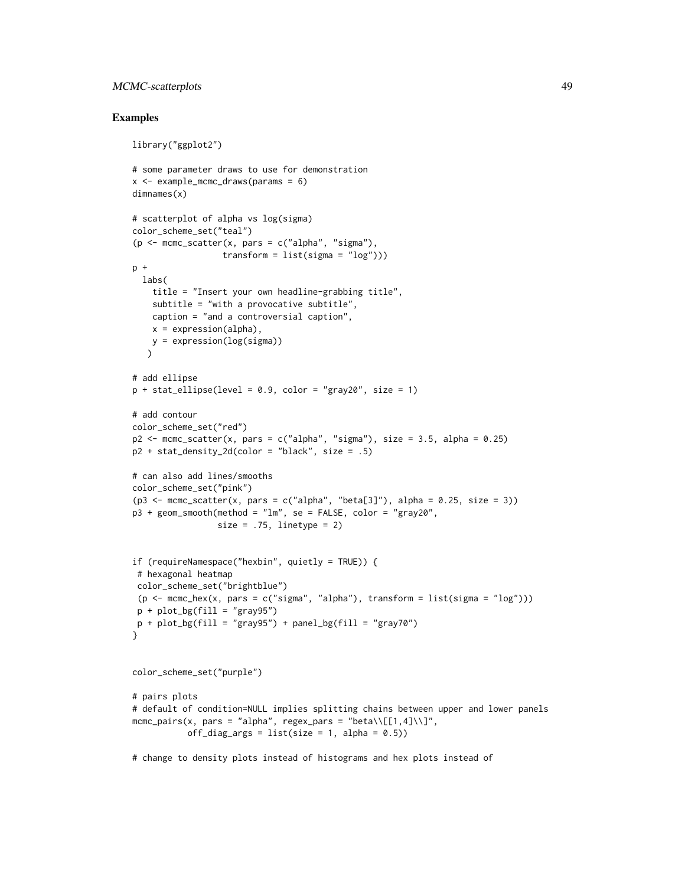## MCMC-scatterplots 49

## Examples

```
library("ggplot2")
# some parameter draws to use for demonstration
x <- example_mcmc_draws(params = 6)
dimnames(x)
# scatterplot of alpha vs log(sigma)
color_scheme_set("teal")
(p \leq -mcmc_scatter(x, pars = c("alpha", "sigma"),
                  transform = list(sigma = "log")))
p +labs(
    title = "Insert your own headline-grabbing title",
   subtitle = "with a provocative subtitle",
   caption = "and a controversial caption",
   x = expression(alpha),
   y = expression(log(sigma))
   \lambda# add ellipse
p + statellipse(level = 0.9, color = "gray20", size = 1)
# add contour
color_scheme_set("red")
p2 \leq mcmc_scatter(x, pars = c("alpha", "sigma"), size = 3.5, alpha = 0.25)
p2 + stat\_density\_2d(color = "black", size = .5)# can also add lines/smooths
color_scheme_set("pink")
(p3 \le mcmc_scatter(x, pars = c("alpha", "beta[3]"), alpha = 0.25, size = 3))
p3 + geom_smooth(method = "lm", se = FALSE, color = "gray20",
                 size = .75, linetype = 2)if (requireNamespace("hexbin", quietly = TRUE)) {
 # hexagonal heatmap
 color_scheme_set("brightblue")
 (p \le m \text{cmc\_hex}(x, \text{pars} = c("sigma", "alpha"), \text{transfer} = list(sigma = "log")))p + plot_bg(fill = "gray95")p + plot_bg(fill = "gray95") + panel_bg(fill = "gray70")}
color_scheme_set("purple")
# pairs plots
# default of condition=NULL implies splitting chains between upper and lower panels
mcmc\_pairs(x, pars = "alpha", regex\_pars = "beta\\|[1,4]\\]\noff\_diag\_args = list(size = 1, alpha = 0.5))# change to density plots instead of histograms and hex plots instead of
```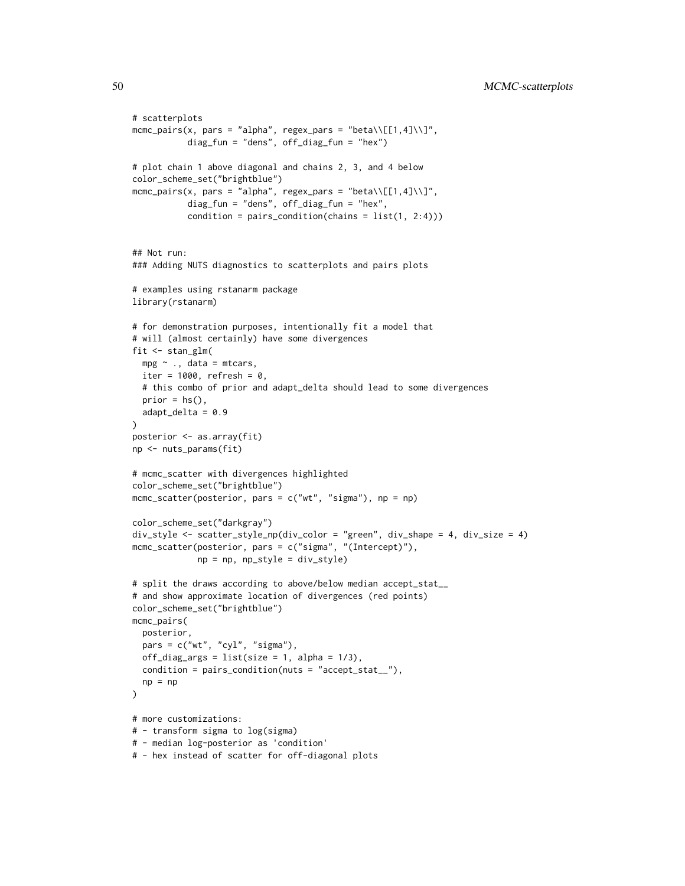```
# scatterplots
mcmc_pairs(x, pars = "alpha", regex_pars = "beta\\[[1,4]\\]",
           diag_fun = "dens", off_diag_fun = "hex")
# plot chain 1 above diagonal and chains 2, 3, and 4 below
color_scheme_set("brightblue")
mcmc_pairs(x, pars = "alpha", regex_pars = "beta\\[[1,4]\\]",
           diag_fun = "dens", off_diag_fun = "hex",
           condition = pairs_condition(chains = list(1, 2:4)))
## Not run:
### Adding NUTS diagnostics to scatterplots and pairs plots
# examples using rstanarm package
library(rstanarm)
# for demonstration purposes, intentionally fit a model that
# will (almost certainly) have some divergences
fit <- stan_glm(
  mpg ~ ., data = mtcars,
  iter = 1000, refresh = 0,
  # this combo of prior and adapt_delta should lead to some divergences
  prior = hs(),adapt_delta = 0.9)
posterior <- as.array(fit)
np <- nuts_params(fit)
# mcmc_scatter with divergences highlighted
color_scheme_set("brightblue")
mcmc_scatter(posterior, pars = c("wt", "sigma"), np = np)
color_scheme_set("darkgray")
div_style <- scatter_style_np(div_color = "green", div_shape = 4, div_size = 4)
mcmc_scatter(posterior, pars = c("sigma", "(Intercept)"),
             np = np, np_style = div_style)
# split the draws according to above/below median accept_stat__
# and show approximate location of divergences (red points)
color_scheme_set("brightblue")
mcmc_pairs(
  posterior,
  pars = c("wt", "cyl", "sigma"),
  off\_diag\_args = list(size = 1, alpha = 1/3),condition = pairs_condition(nuts = "accept_stat__"),
  np = np\lambda# more customizations:
# - transform sigma to log(sigma)
# - median log-posterior as 'condition'
# - hex instead of scatter for off-diagonal plots
```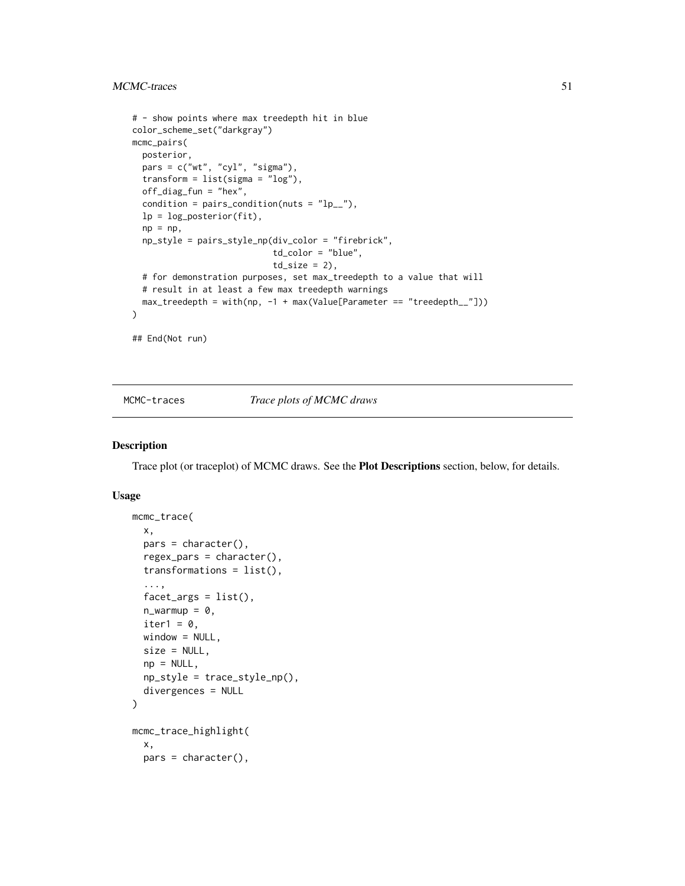## MCMC-traces 51

```
# - show points where max treedepth hit in blue
color_scheme_set("darkgray")
mcmc_pairs(
 posterior,
  pars = c("wt", "cyl", "sigma"),
  transform = list(sigma = "log"),
  off_diag_fun = "hex",
  condition = pairs_condition(nuts = "lp_),
  lp = log_posterior(fit),
  np = np,np_style = pairs_style_np(div_color = "firebrick",
                            td_color = "blue",
                            td\_size = 2,
  # for demonstration purposes, set max_treedepth to a value that will
  # result in at least a few max treedepth warnings
  max_treedepth = with(np, -1 + max(Value[Parameter == "treedepth__"]))
)
## End(Not run)
```
<span id="page-50-0"></span>

MCMC-traces *Trace plots of MCMC draws*

### Description

Trace plot (or traceplot) of MCMC draws. See the Plot Descriptions section, below, for details.

## Usage

```
mcmc_trace(
  x,
  pars = character(),
  regex\_pars = character(),transformations = list(),
  ...,
  factor_{args} = list(),
  n_{\text{warmup}} = 0,
  iter1 = 0,
  window = NULL,size = NULL,
  np = NULL,np_style = trace_style_np(),
  divergences = NULL
)
mcmc_trace_highlight(
  x,
 pars = character(),
```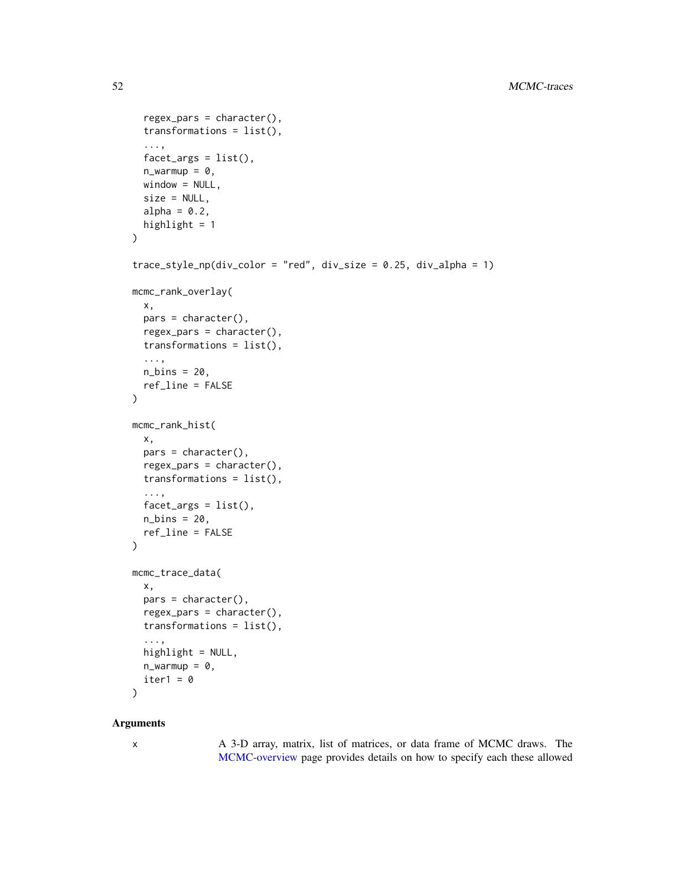```
regex_pars = character(),
  transformations = list(),
  ...,
  factor_{args} = list(),
  n_window = NULL,
  size = NULL,
  alpha = 0.2,
  highlight = 1)
trace\_style_{np}(div\_color = "red", div\_size = 0.25, div\_alpha = 1)mcmc_rank_overlay(
  x,
  pars = character(),
  regex_pars = character(),
  transformations = list(),
  ...,
  n_bins = 20,
  ref_line = FALSE
\mathcal{L}mcmc_rank_hist(
  x,
 pars = character(),regex_pars = character(),
  transformations = list(),
  ...,
  factor_{args} = list(),
 n_{\text{bins}} = 20,
  ref_line = FALSE
)
mcmc_trace_data(
  x,
 pars = character(),regex_pars = character(),
  transformations = list(),
  ...,
  highlight = NULL,
 n_iter1 = 0)
```
### Arguments

x A 3-D array, matrix, list of matrices, or data frame of MCMC draws. The [MCMC-overview](#page-36-0) page provides details on how to specify each these allowed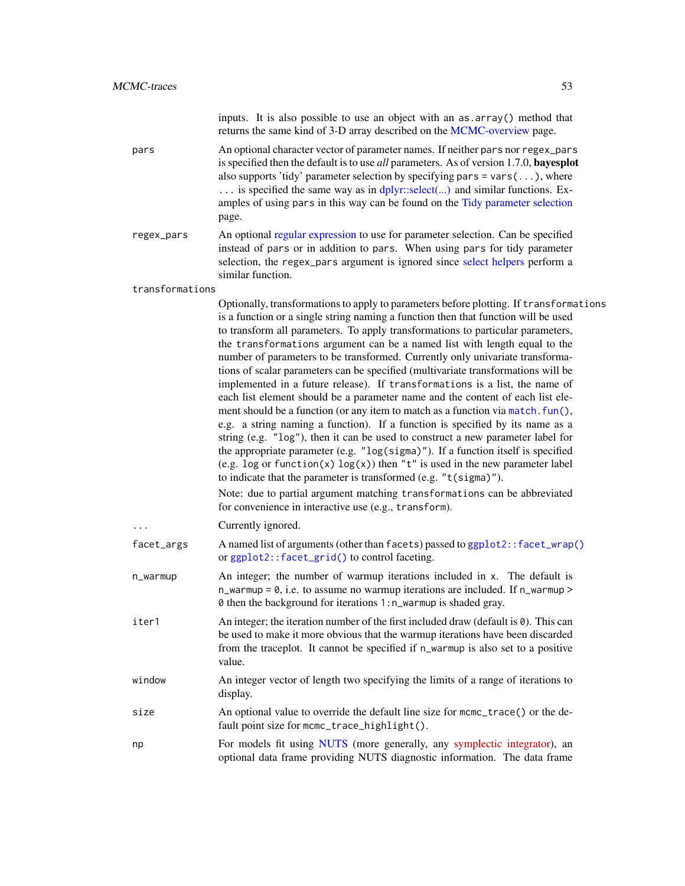|                 | inputs. It is also possible to use an object with an as . array() method that<br>returns the same kind of 3-D array described on the MCMC-overview page.                                                                                                                                                                                                                                                                                                                                                                                                                                                                                                                                                                                                                                                                                                                                                                                                                                                                                                                                                                                                                                                                                                                                                                       |
|-----------------|--------------------------------------------------------------------------------------------------------------------------------------------------------------------------------------------------------------------------------------------------------------------------------------------------------------------------------------------------------------------------------------------------------------------------------------------------------------------------------------------------------------------------------------------------------------------------------------------------------------------------------------------------------------------------------------------------------------------------------------------------------------------------------------------------------------------------------------------------------------------------------------------------------------------------------------------------------------------------------------------------------------------------------------------------------------------------------------------------------------------------------------------------------------------------------------------------------------------------------------------------------------------------------------------------------------------------------|
| pars            | An optional character vector of parameter names. If neither pars nor regex_pars<br>is specified then the default is to use all parameters. As of version 1.7.0, bayesplot<br>also supports 'tidy' parameter selection by specifying pars = $vars(\ldots)$ , where<br>is specified the same way as in dplyr::select() and similar functions. Ex-<br>amples of using pars in this way can be found on the Tidy parameter selection<br>page.                                                                                                                                                                                                                                                                                                                                                                                                                                                                                                                                                                                                                                                                                                                                                                                                                                                                                      |
| regex_pars      | An optional regular expression to use for parameter selection. Can be specified<br>instead of pars or in addition to pars. When using pars for tidy parameter<br>selection, the regex_pars argument is ignored since select helpers perform a<br>similar function.                                                                                                                                                                                                                                                                                                                                                                                                                                                                                                                                                                                                                                                                                                                                                                                                                                                                                                                                                                                                                                                             |
| transformations |                                                                                                                                                                                                                                                                                                                                                                                                                                                                                                                                                                                                                                                                                                                                                                                                                                                                                                                                                                                                                                                                                                                                                                                                                                                                                                                                |
|                 | Optionally, transformations to apply to parameters before plotting. If transformations<br>is a function or a single string naming a function then that function will be used<br>to transform all parameters. To apply transformations to particular parameters,<br>the transformations argument can be a named list with length equal to the<br>number of parameters to be transformed. Currently only univariate transforma-<br>tions of scalar parameters can be specified (multivariate transformations will be<br>implemented in a future release). If transformations is a list, the name of<br>each list element should be a parameter name and the content of each list ele-<br>ment should be a function (or any item to match as a function via match. fun(),<br>e.g. a string naming a function). If a function is specified by its name as a<br>string (e.g. "log"), then it can be used to construct a new parameter label for<br>the appropriate parameter (e.g. "log(sigma)"). If a function itself is specified<br>(e.g. log or function(x) $log(x)$ ) then "t" is used in the new parameter label<br>to indicate that the parameter is transformed (e.g. $"t$ (sigma)").<br>Note: due to partial argument matching transformations can be abbreviated<br>for convenience in interactive use (e.g., transform). |
|                 | Currently ignored.                                                                                                                                                                                                                                                                                                                                                                                                                                                                                                                                                                                                                                                                                                                                                                                                                                                                                                                                                                                                                                                                                                                                                                                                                                                                                                             |
| facet_args      | A named list of arguments (other than facets) passed to ggplot2:: facet_wrap()<br>or ggplot2::facet_grid() to control faceting.                                                                                                                                                                                                                                                                                                                                                                                                                                                                                                                                                                                                                                                                                                                                                                                                                                                                                                                                                                                                                                                                                                                                                                                                |
| n_warmup        | An integer; the number of warmup iterations included in x. The default is<br>n_warmup = 0, i.e. to assume no warmup iterations are included. If n_warmup ><br>0 then the background for iterations 1:n_warmup is shaded gray.                                                                                                                                                                                                                                                                                                                                                                                                                                                                                                                                                                                                                                                                                                                                                                                                                                                                                                                                                                                                                                                                                                  |
| iter1           | An integer; the iteration number of the first included draw (default is $\theta$ ). This can<br>be used to make it more obvious that the warmup iterations have been discarded<br>from the traceplot. It cannot be specified if n_warmup is also set to a positive<br>value.                                                                                                                                                                                                                                                                                                                                                                                                                                                                                                                                                                                                                                                                                                                                                                                                                                                                                                                                                                                                                                                   |
| window          | An integer vector of length two specifying the limits of a range of iterations to<br>display.                                                                                                                                                                                                                                                                                                                                                                                                                                                                                                                                                                                                                                                                                                                                                                                                                                                                                                                                                                                                                                                                                                                                                                                                                                  |
| size            | An optional value to override the default line size for mcmc_trace() or the de-<br>fault point size for mcmc_trace_highlight().                                                                                                                                                                                                                                                                                                                                                                                                                                                                                                                                                                                                                                                                                                                                                                                                                                                                                                                                                                                                                                                                                                                                                                                                |
| np              | For models fit using NUTS (more generally, any symplectic integrator), an<br>optional data frame providing NUTS diagnostic information. The data frame                                                                                                                                                                                                                                                                                                                                                                                                                                                                                                                                                                                                                                                                                                                                                                                                                                                                                                                                                                                                                                                                                                                                                                         |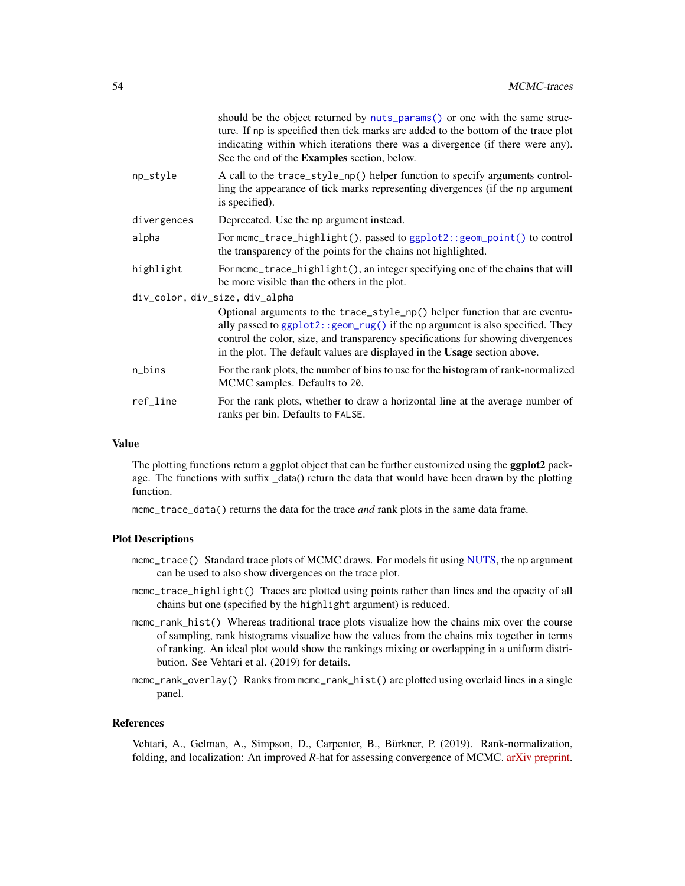|                                | should be the object returned by nuts_params() or one with the same struc-<br>ture. If np is specified then tick marks are added to the bottom of the trace plot<br>indicating within which iterations there was a divergence (if there were any).<br>See the end of the Examples section, below.                              |  |
|--------------------------------|--------------------------------------------------------------------------------------------------------------------------------------------------------------------------------------------------------------------------------------------------------------------------------------------------------------------------------|--|
| np_style                       | A call to the trace_style_np() helper function to specify arguments control-<br>ling the appearance of tick marks representing divergences (if the np argument<br>is specified).                                                                                                                                               |  |
| divergences                    | Deprecated. Use the np argument instead.                                                                                                                                                                                                                                                                                       |  |
| alpha                          | For mcmc_trace_highlight(), passed to ggplot2:: geom_point() to control<br>the transparency of the points for the chains not highlighted.                                                                                                                                                                                      |  |
| highlight                      | For mcmc_trace_highlight(), an integer specifying one of the chains that will<br>be more visible than the others in the plot.                                                                                                                                                                                                  |  |
| div_color, div_size, div_alpha |                                                                                                                                                                                                                                                                                                                                |  |
|                                | Optional arguments to the trace_style_np() helper function that are eventu-<br>ally passed to ggplot2:: geom_rug() if the np argument is also specified. They<br>control the color, size, and transparency specifications for showing divergences<br>in the plot. The default values are displayed in the Usage section above. |  |
| n_bins                         | For the rank plots, the number of bins to use for the histogram of rank-normalized<br>MCMC samples. Defaults to 20.                                                                                                                                                                                                            |  |
| ref_line                       | For the rank plots, whether to draw a horizontal line at the average number of<br>ranks per bin. Defaults to FALSE.                                                                                                                                                                                                            |  |

## Value

The plotting functions return a ggplot object that can be further customized using the **ggplot2** package. The functions with suffix \_data() return the data that would have been drawn by the plotting function.

mcmc\_trace\_data() returns the data for the trace *and* rank plots in the same data frame.

### Plot Descriptions

- mcmc\_trace() Standard trace plots of MCMC draws. For models fit using [NUTS,](#page-33-1) the np argument can be used to also show divergences on the trace plot.
- mcmc\_trace\_highlight() Traces are plotted using points rather than lines and the opacity of all chains but one (specified by the highlight argument) is reduced.
- mcmc\_rank\_hist() Whereas traditional trace plots visualize how the chains mix over the course of sampling, rank histograms visualize how the values from the chains mix together in terms of ranking. An ideal plot would show the rankings mixing or overlapping in a uniform distribution. See Vehtari et al. (2019) for details.
- mcmc\_rank\_overlay() Ranks from mcmc\_rank\_hist() are plotted using overlaid lines in a single panel.

#### References

Vehtari, A., Gelman, A., Simpson, D., Carpenter, B., Bürkner, P. (2019). Rank-normalization, folding, and localization: An improved *R*-hat for assessing convergence of MCMC. [arXiv preprint.](https://arxiv.org/abs/1903.08008)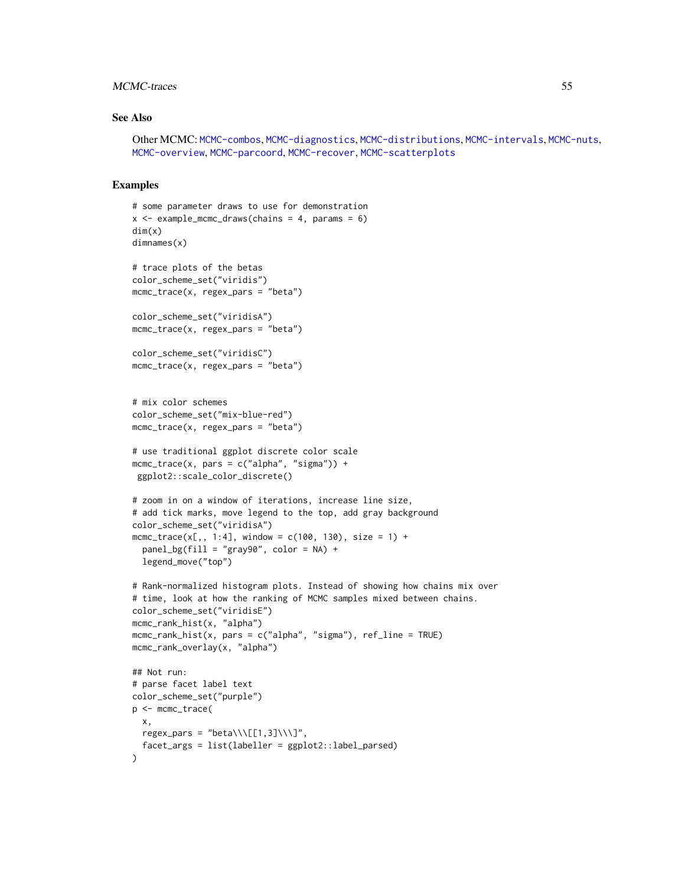## MCMC-traces 55

### See Also

Other MCMC: [MCMC-combos](#page-18-0), [MCMC-diagnostics](#page-19-0), [MCMC-distributions](#page-23-0), [MCMC-intervals](#page-27-0), [MCMC-nuts](#page-33-0), [MCMC-overview](#page-36-0), [MCMC-parcoord](#page-37-0), [MCMC-recover](#page-40-0), [MCMC-scatterplots](#page-43-0)

### Examples

```
# some parameter draws to use for demonstration
x \le - example_mcmc_draws(chains = 4, params = 6)
dim(x)
dimnames(x)
# trace plots of the betas
color_scheme_set("viridis")
mcmc_trace(x, regex_pars = "beta")color_scheme_set("viridisA")
mcmc_trace(x, regex_pars = "beta")
color_scheme_set("viridisC")
mcmc_{\text{r}} regex_pars = "beta")
# mix color schemes
color_scheme_set("mix-blue-red")
mcmc_trace(x, regex_pars = "beta")
# use traditional ggplot discrete color scale
mcmc_trace(x, pars = c("alpha", "sigma")) +
ggplot2::scale_color_discrete()
# zoom in on a window of iterations, increase line size,
# add tick marks, move legend to the top, add gray background
color_scheme_set("viridisA")
mcmc_trace(x[,, 1:4], window = c(100, 130), size = 1) +
  panel_bg(fill = "gray90", color = NA) +
  legend_move("top")
# Rank-normalized histogram plots. Instead of showing how chains mix over
# time, look at how the ranking of MCMC samples mixed between chains.
color_scheme_set("viridisE")
mcmc_rank_hist(x, "alpha")
mcmc\_rank\_hist(x, pars = c("alpha", "sigma"), ref\_line = TRUE)mcmc_rank_overlay(x, "alpha")
## Not run:
# parse facet label text
color_scheme_set("purple")
p <- mcmc_trace(
 x,
 regex_pars = "beta\\\[[1,3]\\\]",
  facet_args = list(labeller = ggplot2::label_parsed)
)
```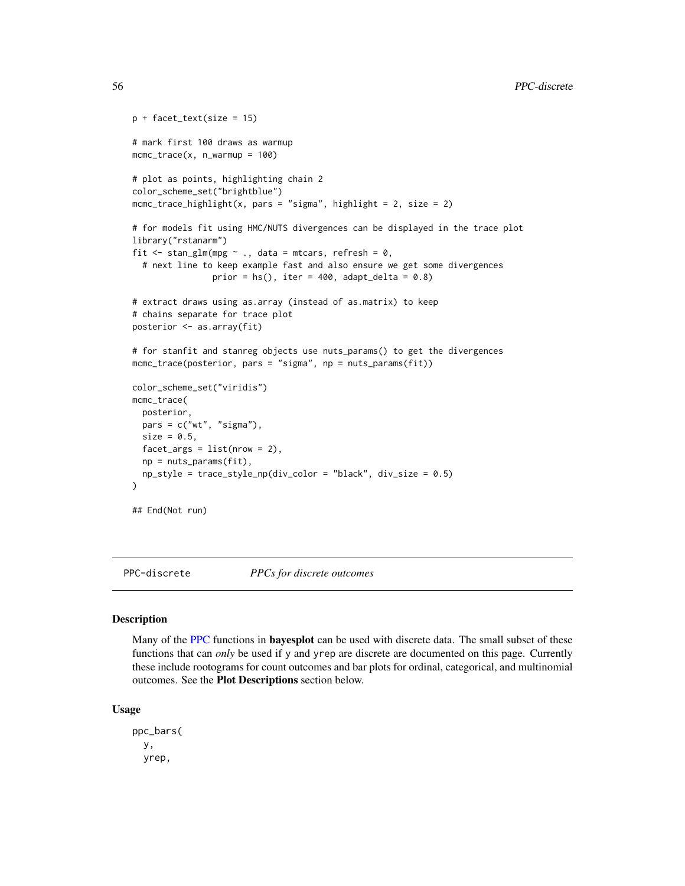```
p + facet_text(size = 15)
# mark first 100 draws as warmup
mcmc_{\text{r}} trace(x, n_warmup = 100)
# plot as points, highlighting chain 2
color_scheme_set("brightblue")
mcmc_{\text{inter}} mcmc<sub>_</sub>trace_highlight(x, pars = "sigma", highlight = 2, size = 2)
# for models fit using HMC/NUTS divergences can be displayed in the trace plot
library("rstanarm")
fit \le stan_glm(mpg \sim ., data = mtcars, refresh = 0,
  # next line to keep example fast and also ensure we get some divergences
                 prior = hs(), iter = 400, adapt_delta = 0.8)
# extract draws using as.array (instead of as.matrix) to keep
# chains separate for trace plot
posterior <- as.array(fit)
# for stanfit and stanreg objects use nuts_params() to get the divergences
mcmc_trace(posterior, pars = "sigma", np = nuts_params(fit))
color_scheme_set("viridis")
mcmc_trace(
  posterior,
  pars = c("wt", "sigma"),
  size = 0.5,
  facet_{args} = list(nrow = 2),
  np = nuts_params(fit),
  np_style = trace_style_np(div_color = "black", div_size = 0.5)
)
## End(Not run)
```
<span id="page-55-0"></span>PPC-discrete *PPCs for discrete outcomes*

#### Description

Many of the [PPC](#page-74-0) functions in **bayesplot** can be used with discrete data. The small subset of these functions that can *only* be used if y and yrep are discrete are documented on this page. Currently these include rootograms for count outcomes and bar plots for ordinal, categorical, and multinomial outcomes. See the Plot Descriptions section below.

#### Usage

ppc\_bars( y, yrep,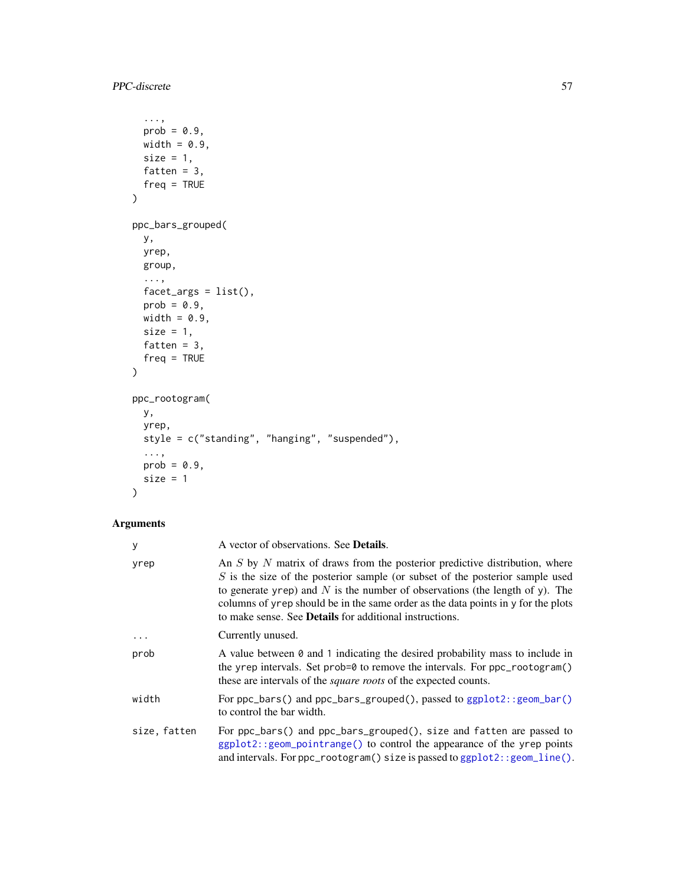```
...,
  prob = 0.9,
  width = 0.9,
  size = 1,
  fatten = 3,freq = TRUE
\mathcal{L}ppc_bars_grouped(
  y,
  yrep,
  group,
  ...,
  facet_{args} = list(),prob = 0.9,
  width = 0.9,
  size = 1,fatten = 3,
  freq = TRUE
\mathcal{L}ppc_rootogram(
  y,
  yrep,
  style = c("standing", "hanging", "suspended"),
  ...,
  prob = 0.9,
  size = 1\mathcal{L}
```

| У            | A vector of observations. See <b>Details</b> .                                                                                                                                                                                                                                                                                                                                                              |
|--------------|-------------------------------------------------------------------------------------------------------------------------------------------------------------------------------------------------------------------------------------------------------------------------------------------------------------------------------------------------------------------------------------------------------------|
| yrep         | An $S$ by $N$ matrix of draws from the posterior predictive distribution, where<br>$S$ is the size of the posterior sample (or subset of the posterior sample used<br>to generate yrep) and $N$ is the number of observations (the length of y). The<br>columns of yrep should be in the same order as the data points in y for the plots<br>to make sense. See <b>Details</b> for additional instructions. |
|              | Currently unused.                                                                                                                                                                                                                                                                                                                                                                                           |
| prob         | A value between 0 and 1 indicating the desired probability mass to include in<br>the yrep intervals. Set prob=0 to remove the intervals. For ppc_rootogram()<br>these are intervals of the <i>square roots</i> of the expected counts.                                                                                                                                                                      |
| width        | For $ppc_{\text{a}}$ and $ppc_{\text{a}}$ and $ppc_{\text{b}}$ are $q$ and $q$ and $q$ and $q$ and $q$ and $q$ and $q$ and $q$ and $q$ and $q$ and $q$ and $q$ and $q$ and $q$ and $q$ and $q$ and $q$ and $q$ and $q$ and $q$ and $q$ and $q$<br>to control the bar width.                                                                                                                                 |
| size, fatten | For ppc_bars() and ppc_bars_grouped(), size and fatten are passed to<br>$ggplot2::geom\_pointrange()$ to control the appearance of the yrep points<br>and intervals. For ppc_rootogram() size is passed to ggplot2:: geom_line().                                                                                                                                                                           |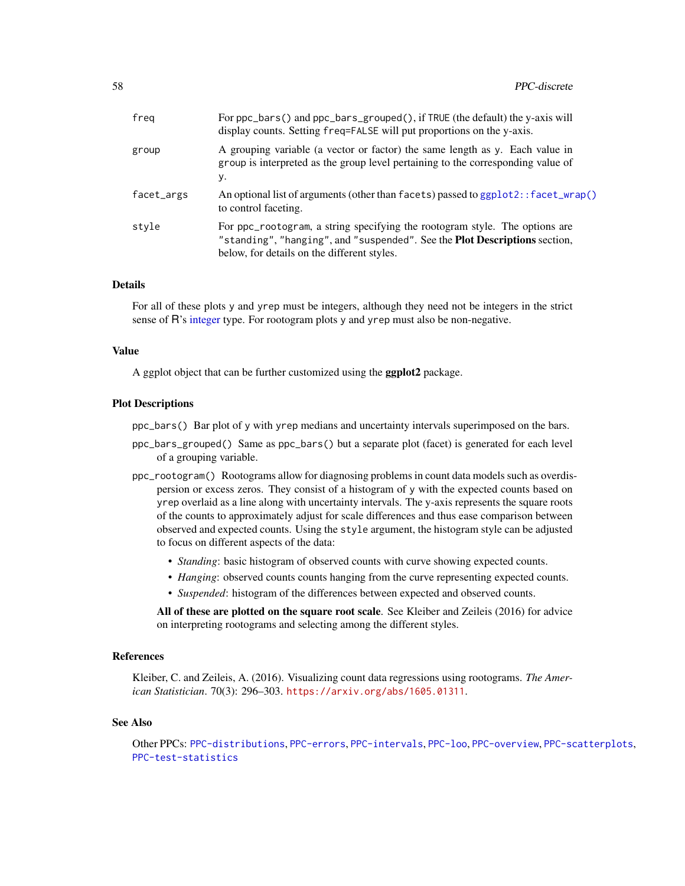| freg       | For ppc_bars() and ppc_bars_grouped(), if TRUE (the default) the y-axis will<br>display counts. Setting freq=FALSE will put proportions on the y-axis.                                                          |
|------------|-----------------------------------------------------------------------------------------------------------------------------------------------------------------------------------------------------------------|
| group      | A grouping variable (a vector or factor) the same length as y. Each value in<br>group is interpreted as the group level pertaining to the corresponding value of<br>у.                                          |
| facet_args | An optional list of arguments (other than facets) passed to ggplot2:: facet_wrap()<br>to control faceting.                                                                                                      |
| style      | For ppc_rootogram, a string specifying the rootogram style. The options are<br>"standing", "hanging", and "suspended". See the <b>Plot Descriptions</b> section,<br>below, for details on the different styles. |

## Details

For all of these plots y and yrep must be integers, although they need not be integers in the strict sense of R's [integer](#page-0-0) type. For rootogram plots y and yrep must also be non-negative.

#### Value

A ggplot object that can be further customized using the **ggplot2** package.

#### Plot Descriptions

ppc\_bars() Bar plot of y with yrep medians and uncertainty intervals superimposed on the bars.

- ppc\_bars\_grouped() Same as ppc\_bars() but a separate plot (facet) is generated for each level of a grouping variable.
- ppc\_rootogram() Rootograms allow for diagnosing problems in count data models such as overdispersion or excess zeros. They consist of a histogram of y with the expected counts based on yrep overlaid as a line along with uncertainty intervals. The y-axis represents the square roots of the counts to approximately adjust for scale differences and thus ease comparison between observed and expected counts. Using the style argument, the histogram style can be adjusted to focus on different aspects of the data:
	- *Standing*: basic histogram of observed counts with curve showing expected counts.
	- *Hanging*: observed counts counts hanging from the curve representing expected counts.
	- *Suspended*: histogram of the differences between expected and observed counts.

All of these are plotted on the square root scale. See Kleiber and Zeileis (2016) for advice on interpreting rootograms and selecting among the different styles.

### References

Kleiber, C. and Zeileis, A. (2016). Visualizing count data regressions using rootograms. *The American Statistician*. 70(3): 296–303. <https://arxiv.org/abs/1605.01311>.

#### See Also

Other PPCs: [PPC-distributions](#page-58-0), [PPC-errors](#page-62-0), [PPC-intervals](#page-65-0), [PPC-loo](#page-69-0), [PPC-overview](#page-74-0), [PPC-scatterplots](#page-76-0), [PPC-test-statistics](#page-77-0)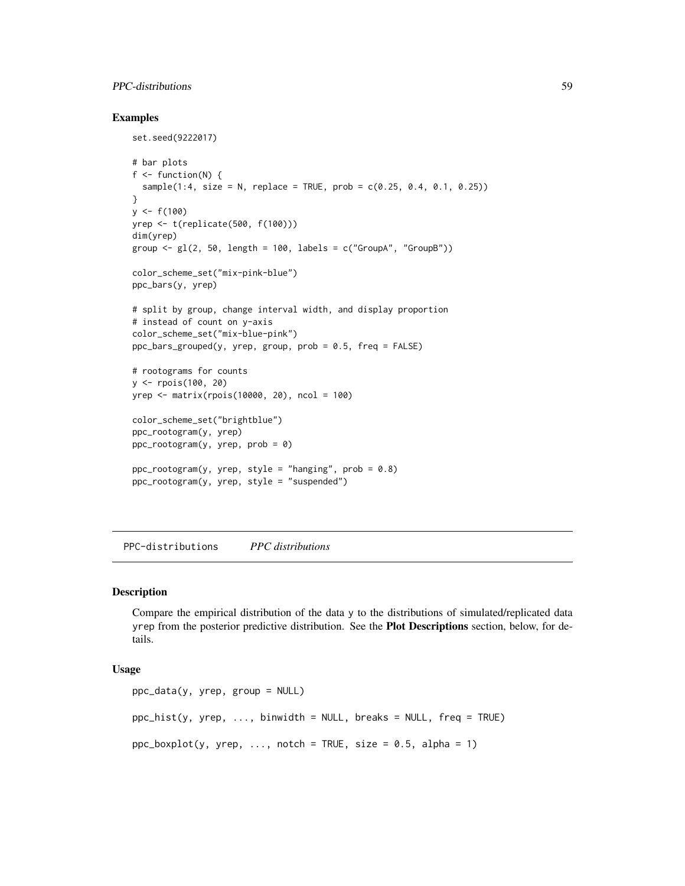## PPC-distributions 59

## Examples

```
set.seed(9222017)
# bar plots
f \leftarrow function(N) {
  sample(1:4, size = N, replace = TRUE, prob = c(0.25, 0.4, 0.1, 0.25))
}
y \le - f(100)yrep <- t(replicate(500, f(100)))
dim(yrep)
group \leq gl(2, 50, length = 100, labels = c("GroupA", "GroupB"))
color_scheme_set("mix-pink-blue")
ppc_bars(y, yrep)
# split by group, change interval width, and display proportion
# instead of count on y-axis
color_scheme_set("mix-blue-pink")
ppc_bars_grouped(y, yrep, group, prob = 0.5, freq = FALSE)
# rootograms for counts
y <- rpois(100, 20)
yrep <- matrix(rpois(10000, 20), ncol = 100)
color_scheme_set("brightblue")
ppc_rootogram(y, yrep)
ppc_rootogram(y, yrep, prob = 0)
ppc_{\text{rootogram}}(y, yrep, style = "hanging", prob = 0.8)ppc_rootogram(y, yrep, style = "suspended")
```
<span id="page-58-0"></span>PPC-distributions *PPC distributions*

#### Description

Compare the empirical distribution of the data y to the distributions of simulated/replicated data yrep from the posterior predictive distribution. See the Plot Descriptions section, below, for details.

## Usage

```
ppc\_data(y, vrep, group = NULL)ppc\_hist(y, yrep, ..., binwidth = NULL, breaks = NULL, freq = TRUE)ppc_boxplot(y, yrep, ..., notch = TRUE, size = 0.5, alpha = 1)
```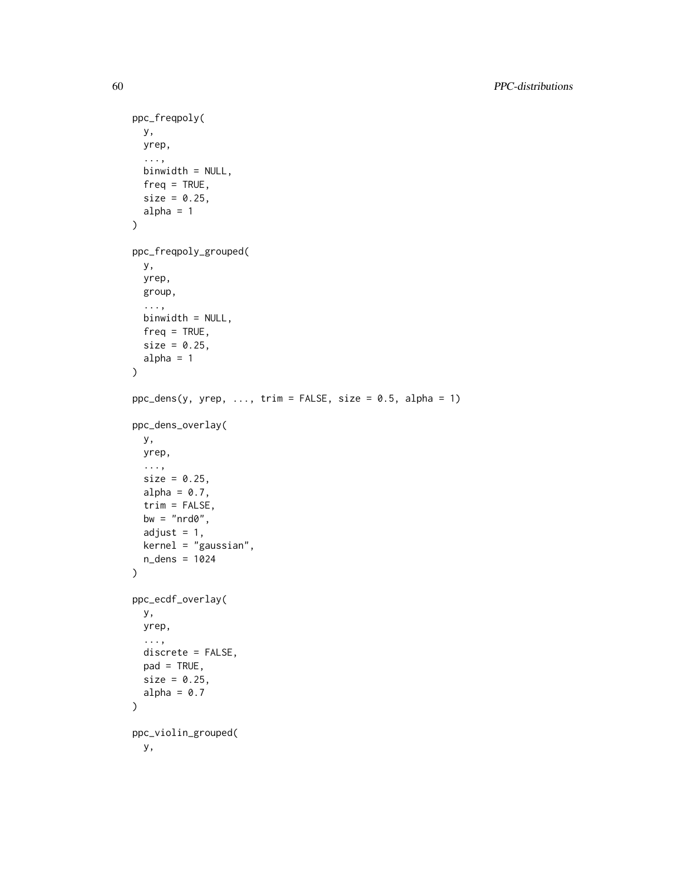```
ppc_freqpoly(
 y,
 yrep,
  ...,
 binwidth = NULL,
 freq = TRUE,size = 0.25,
 alpha = 1\mathcal{L}ppc_freqpoly_grouped(
 y,
 yrep,
 group,
  ...,
 binwidth = NULL,
 freq = TRUE,size = 0.25,
 alpha = 1\lambdappc_{\text{0}} dens(y, yrep, ..., trim = FALSE, size = 0.5, alpha = 1)
ppc_dens_overlay(
 y,
 yrep,
  ...,
 size = 0.25,
 alpha = 0.7,
  trim = FALSE,
 bw = "nrd0",adjust = 1,kernel = "gaussian",
 n_dens = 1024
\mathcal{L}ppc_ecdf_overlay(
 y,
 yrep,
  ...,
 discrete = FALSE,
 pad = TRUE,size = 0.25,
 alpha = 0.7)
ppc_violin_grouped(
 y,
```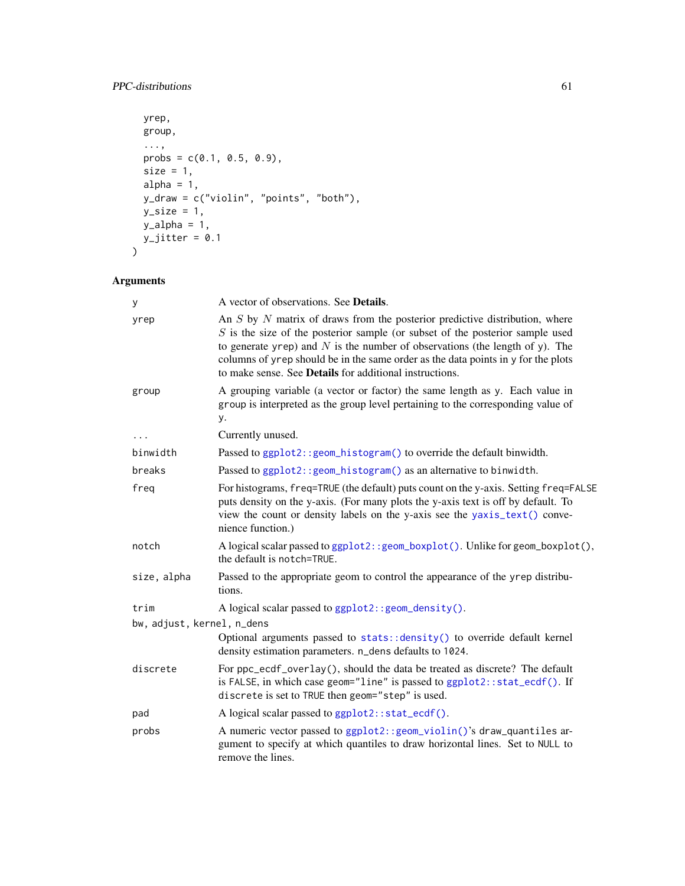## PPC-distributions 61

```
yrep,
 group,
 ...,
 probs = c(0.1, 0.5, 0.9),
 size = 1,
 alpha = 1,y_draw = c("violin", "points", "both"),
 y_size = 1,
 y_alpha = 1,
 y_jjitter = 0.1
\mathcal{L}
```

| У                          | A vector of observations. See <b>Details</b> .                                                                                                                                                                                                                                                                                                                                                              |
|----------------------------|-------------------------------------------------------------------------------------------------------------------------------------------------------------------------------------------------------------------------------------------------------------------------------------------------------------------------------------------------------------------------------------------------------------|
| yrep                       | An $S$ by $N$ matrix of draws from the posterior predictive distribution, where<br>$S$ is the size of the posterior sample (or subset of the posterior sample used<br>to generate yrep) and $N$ is the number of observations (the length of y). The<br>columns of yrep should be in the same order as the data points in y for the plots<br>to make sense. See <b>Details</b> for additional instructions. |
| group                      | A grouping variable (a vector or factor) the same length as y. Each value in<br>group is interpreted as the group level pertaining to the corresponding value of<br>у.                                                                                                                                                                                                                                      |
|                            | Currently unused.                                                                                                                                                                                                                                                                                                                                                                                           |
| binwidth                   | Passed to ggplot2:: geom_histogram() to override the default binwidth.                                                                                                                                                                                                                                                                                                                                      |
| breaks                     | Passed to ggplot2:: geom_histogram() as an alternative to binwidth.                                                                                                                                                                                                                                                                                                                                         |
| freq                       | For histograms, freq=TRUE (the default) puts count on the y-axis. Setting freq=FALSE<br>puts density on the y-axis. (For many plots the y-axis text is off by default. To<br>view the count or density labels on the y-axis see the yaxis_text() conve-<br>nience function.)                                                                                                                                |
| notch                      | A logical scalar passed to ggplot2:: geom_boxplot(). Unlike for geom_boxplot(),<br>the default is notch=TRUE.                                                                                                                                                                                                                                                                                               |
| size, alpha                | Passed to the appropriate geom to control the appearance of the yrep distribu-<br>tions.                                                                                                                                                                                                                                                                                                                    |
| trim                       | A logical scalar passed to ggplot2::geom_density().                                                                                                                                                                                                                                                                                                                                                         |
| bw, adjust, kernel, n_dens |                                                                                                                                                                                                                                                                                                                                                                                                             |
|                            | Optional arguments passed to stats:: density() to override default kernel<br>density estimation parameters. n_dens defaults to 1024.                                                                                                                                                                                                                                                                        |
| discrete                   | For ppc_ecdf_overlay(), should the data be treated as discrete? The default<br>is FALSE, in which case geom="line" is passed to ggplot2::stat_ecdf(). If<br>discrete is set to TRUE then geom="step" is used.                                                                                                                                                                                               |
| pad                        | A logical scalar passed to ggplot2::stat_ecdf().                                                                                                                                                                                                                                                                                                                                                            |
| probs                      | A numeric vector passed to ggplot2:: geom_violin()'s draw_quantiles ar-<br>gument to specify at which quantiles to draw horizontal lines. Set to NULL to<br>remove the lines.                                                                                                                                                                                                                               |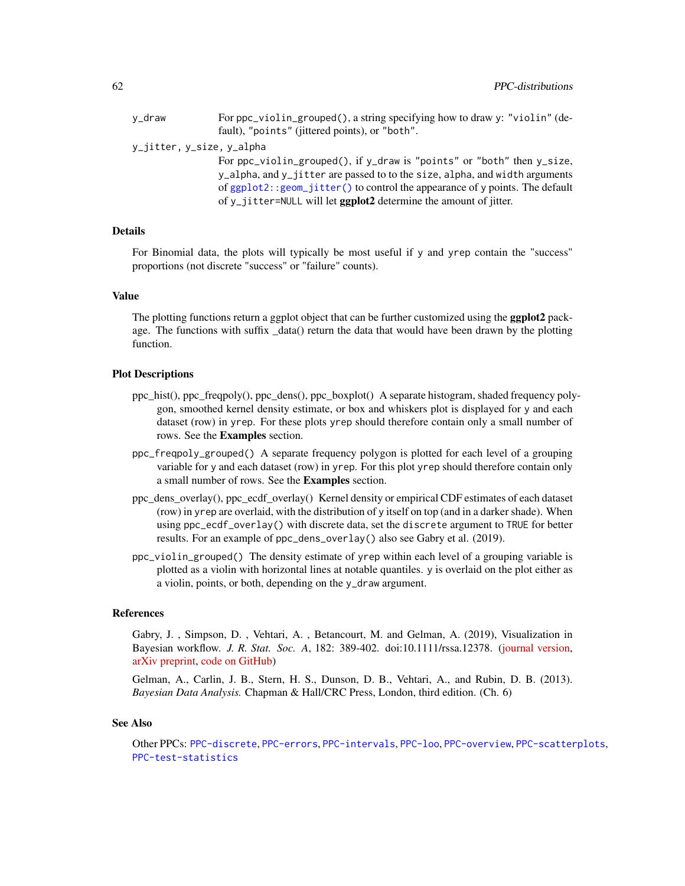| v_draw                    | For ppc_violin_grouped(), a string specifying how to draw y: "violin" (de- |
|---------------------------|----------------------------------------------------------------------------|
|                           | fault), "points" (jittered points), or "both".                             |
| y_jitter, y_size, y_alpha |                                                                            |
|                           | For $ppc_violin_grouped()$ , if y_draw is "points" or "both" then y_size,  |

y\_alpha, and y\_jitter are passed to to the size, alpha, and width arguments of [ggplot2::geom\\_jitter\(\)](#page-0-0) to control the appearance of y points. The default of y\_jitter=NULL will let ggplot2 determine the amount of jitter.

## Details

For Binomial data, the plots will typically be most useful if y and yrep contain the "success" proportions (not discrete "success" or "failure" counts).

## Value

The plotting functions return a ggplot object that can be further customized using the **ggplot2** package. The functions with suffix data() return the data that would have been drawn by the plotting function.

#### Plot Descriptions

- ppc\_hist(), ppc\_freqpoly(), ppc\_dens(), ppc\_boxplot() A separate histogram, shaded frequency polygon, smoothed kernel density estimate, or box and whiskers plot is displayed for y and each dataset (row) in yrep. For these plots yrep should therefore contain only a small number of rows. See the Examples section.
- ppc\_freqpoly\_grouped() A separate frequency polygon is plotted for each level of a grouping variable for y and each dataset (row) in yrep. For this plot yrep should therefore contain only a small number of rows. See the Examples section.
- ppc\_dens\_overlay(), ppc\_ecdf\_overlay() Kernel density or empirical CDF estimates of each dataset (row) in yrep are overlaid, with the distribution of y itself on top (and in a darker shade). When using ppc\_ecdf\_overlay() with discrete data, set the discrete argument to TRUE for better results. For an example of ppc\_dens\_overlay() also see Gabry et al. (2019).
- ppc\_violin\_grouped() The density estimate of yrep within each level of a grouping variable is plotted as a violin with horizontal lines at notable quantiles. y is overlaid on the plot either as a violin, points, or both, depending on the y\_draw argument.

#### References

Gabry, J. , Simpson, D. , Vehtari, A. , Betancourt, M. and Gelman, A. (2019), Visualization in Bayesian workflow. *J. R. Stat. Soc. A*, 182: 389-402. doi:10.1111/rssa.12378. [\(journal version,](https://rss.onlinelibrary.wiley.com/doi/full/10.1111/rssa.12378) [arXiv preprint,](https://arxiv.org/abs/1709.01449) [code on GitHub\)](https://github.com/jgabry/bayes-vis-paper)

Gelman, A., Carlin, J. B., Stern, H. S., Dunson, D. B., Vehtari, A., and Rubin, D. B. (2013). *Bayesian Data Analysis.* Chapman & Hall/CRC Press, London, third edition. (Ch. 6)

#### See Also

Other PPCs: [PPC-discrete](#page-55-0), [PPC-errors](#page-62-0), [PPC-intervals](#page-65-0), [PPC-loo](#page-69-0), [PPC-overview](#page-74-0), [PPC-scatterplots](#page-76-0), [PPC-test-statistics](#page-77-0)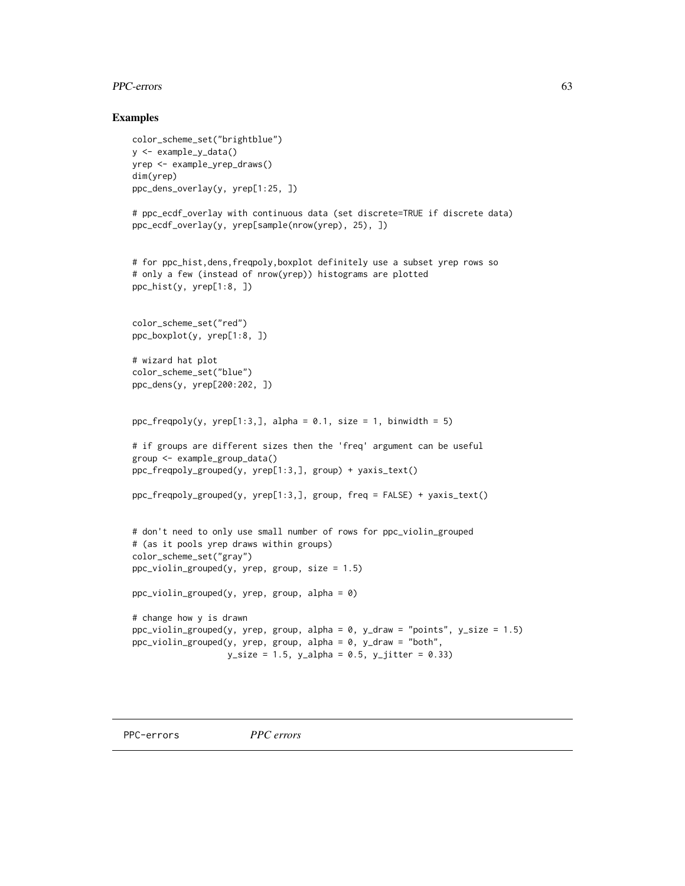## PPC-errors 63

### Examples

```
color_scheme_set("brightblue")
y <- example_y_data()
yrep <- example_yrep_draws()
dim(yrep)
ppc_dens_overlay(y, yrep[1:25, ])
# ppc_ecdf_overlay with continuous data (set discrete=TRUE if discrete data)
ppc_ecdf_overlay(y, yrep[sample(nrow(yrep), 25), ])
# for ppc_hist,dens,freqpoly,boxplot definitely use a subset yrep rows so
# only a few (instead of nrow(yrep)) histograms are plotted
ppc_hist(y, yrep[1:8, ])
color_scheme_set("red")
ppc_boxplot(y, yrep[1:8, ])
# wizard hat plot
color_scheme_set("blue")
ppc_dens(y, yrep[200:202, ])
ppc_freqpoly(y, yrep[1:3,], alpha = 0.1, size = 1, binwidth = 5)# if groups are different sizes then the 'freq' argument can be useful
group <- example_group_data()
ppc_freqpoly_grouped(y, yrep[1:3,], group) + yaxis_text()
ppc_freqpoly_grouped(y, yrep[1:3,], group, freq = FALSE) + yaxis_text()
# don't need to only use small number of rows for ppc_violin_grouped
# (as it pools yrep draws within groups)
color_scheme_set("gray")
ppc_violin_grouped(y, yrep, group, size = 1.5)
ppc\_violin\_grouped(y, yrep, group, alpha = 0)# change how y is drawn
ppc_violin_grouped(y, yrep, group, alpha = 0, y_draw = "points", y_size = 1.5)
ppc_violin_grouped(y, yrep, group, alpha = 0, y_draw = "both",
                   y\_size = 1.5, y\_alpha = 0.5, y\_jitter = 0.33)
```
<span id="page-62-0"></span>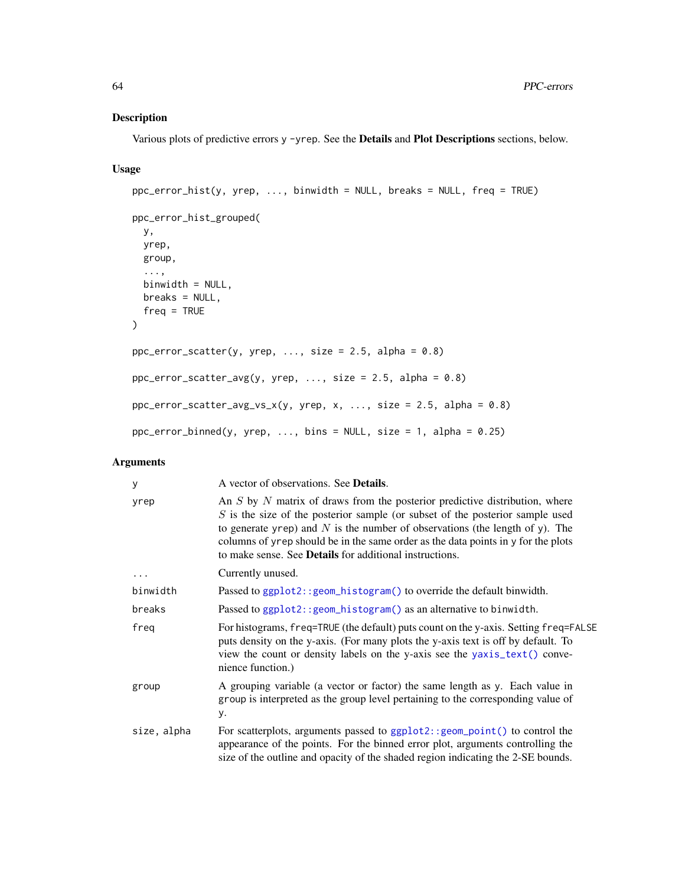## Description

Various plots of predictive errors y -yrep. See the Details and Plot Descriptions sections, below.

## Usage

```
ppc_error_hist(y, yrep, ..., binwidth = NULL, breaks = NULL, freq = TRUE)
ppc_error_hist_grouped(
 y,
 yrep,
 group,
  ...,
 binwidth = NULL,
 breaks = NULL,
 freq = TRUE
\lambdappc_error\_scatter(y, yrep, ..., size = 2.5, alpha = 0.8)ppc_error_scatter_avg(y, yrep, ..., size = 2.5, alpha = 0.8)ppc_error_scatter_avg_vx(y, yrep, x, ..., size = 2.5, alpha = 0.8)ppc_error_binned(y, yrep, ..., bins = NULL, size = 1, alpha = 0.25)
```

| У           | A vector of observations. See <b>Details</b> .                                                                                                                                                                                                                                                                                                                                                              |
|-------------|-------------------------------------------------------------------------------------------------------------------------------------------------------------------------------------------------------------------------------------------------------------------------------------------------------------------------------------------------------------------------------------------------------------|
| yrep        | An $S$ by $N$ matrix of draws from the posterior predictive distribution, where<br>$S$ is the size of the posterior sample (or subset of the posterior sample used<br>to generate yrep) and $N$ is the number of observations (the length of y). The<br>columns of yrep should be in the same order as the data points in y for the plots<br>to make sense. See <b>Details</b> for additional instructions. |
| $\cdots$    | Currently unused.                                                                                                                                                                                                                                                                                                                                                                                           |
| binwidth    | Passed to ggplot2::geom_histogram() to override the default binwidth.                                                                                                                                                                                                                                                                                                                                       |
| breaks      | Passed to ggplot2:: geom_histogram() as an alternative to binwidth.                                                                                                                                                                                                                                                                                                                                         |
| freq        | For histograms, freq=TRUE (the default) puts count on the y-axis. Setting freq=FALSE<br>puts density on the y-axis. (For many plots the y-axis text is off by default. To<br>view the count or density labels on the y-axis see the yaxis_text() conve-<br>nience function.)                                                                                                                                |
| group       | A grouping variable (a vector or factor) the same length as y. Each value in<br>group is interpreted as the group level pertaining to the corresponding value of<br>у.                                                                                                                                                                                                                                      |
| size, alpha | For scatterplots, arguments passed to ggplot2::geom_point() to control the<br>appearance of the points. For the binned error plot, arguments controlling the<br>size of the outline and opacity of the shaded region indicating the 2-SE bounds.                                                                                                                                                            |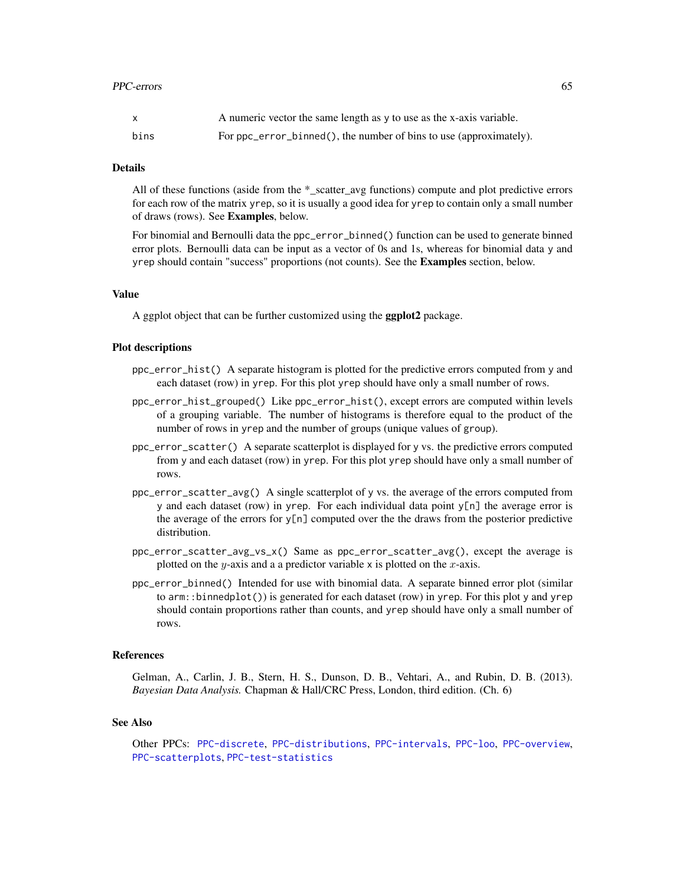| $\mathsf{x}$ | A numeric vector the same length as y to use as the x-axis variable. |
|--------------|----------------------------------------------------------------------|
| bins         | For ppc_error_binned(), the number of bins to use (approximately).   |

### Details

All of these functions (aside from the \*\_scatter\_avg functions) compute and plot predictive errors for each row of the matrix yrep, so it is usually a good idea for yrep to contain only a small number of draws (rows). See Examples, below.

For binomial and Bernoulli data the ppc\_error\_binned() function can be used to generate binned error plots. Bernoulli data can be input as a vector of 0s and 1s, whereas for binomial data y and yrep should contain "success" proportions (not counts). See the **Examples** section, below.

## Value

A ggplot object that can be further customized using the ggplot2 package.

#### Plot descriptions

- ppc\_error\_hist() A separate histogram is plotted for the predictive errors computed from y and each dataset (row) in yrep. For this plot yrep should have only a small number of rows.
- ppc\_error\_hist\_grouped() Like ppc\_error\_hist(), except errors are computed within levels of a grouping variable. The number of histograms is therefore equal to the product of the number of rows in yrep and the number of groups (unique values of group).
- ppc\_error\_scatter() A separate scatterplot is displayed for y vs. the predictive errors computed from y and each dataset (row) in yrep. For this plot yrep should have only a small number of rows.
- ppc\_error\_scatter\_avg() A single scatterplot of y vs. the average of the errors computed from y and each dataset (row) in yrep. For each individual data point  $y[n]$  the average error is the average of the errors for  $y[n]$  computed over the the draws from the posterior predictive distribution.
- ppc\_error\_scatter\_avg\_vs\_x() Same as ppc\_error\_scatter\_avg(), except the average is plotted on the y-axis and a a predictor variable x is plotted on the  $x$ -axis.
- ppc\_error\_binned() Intended for use with binomial data. A separate binned error plot (similar to arm::binnedplot()) is generated for each dataset (row) in yrep. For this plot y and yrep should contain proportions rather than counts, and yrep should have only a small number of rows.

#### **References**

Gelman, A., Carlin, J. B., Stern, H. S., Dunson, D. B., Vehtari, A., and Rubin, D. B. (2013). *Bayesian Data Analysis.* Chapman & Hall/CRC Press, London, third edition. (Ch. 6)

## See Also

Other PPCs: [PPC-discrete](#page-55-0), [PPC-distributions](#page-58-0), [PPC-intervals](#page-65-0), [PPC-loo](#page-69-0), [PPC-overview](#page-74-0), [PPC-scatterplots](#page-76-0), [PPC-test-statistics](#page-77-0)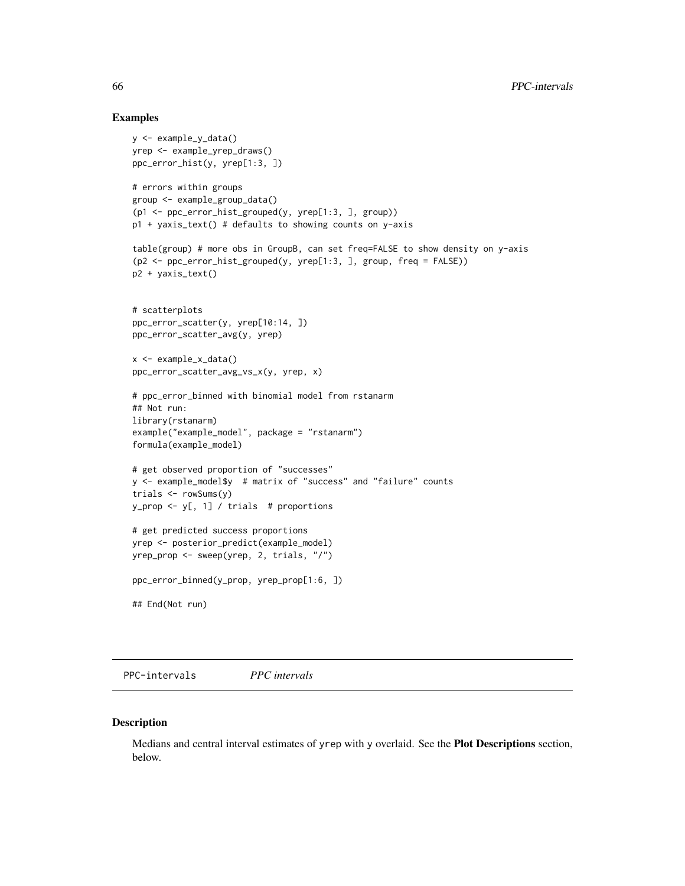### Examples

```
y <- example_y_data()
yrep <- example_yrep_draws()
ppc_error_hist(y, yrep[1:3, ])
# errors within groups
group <- example_group_data()
(p1 <- ppc_error_hist_grouped(y, yrep[1:3, ], group))
p1 + yaxis_text() # defaults to showing counts on y-axis
table(group) # more obs in GroupB, can set freq=FALSE to show density on y-axis
(p2 <- ppc_error_hist_grouped(y, yrep[1:3, ], group, freq = FALSE))
p2 + yaxis_text()
# scatterplots
ppc_error_scatter(y, yrep[10:14, ])
ppc_error_scatter_avg(y, yrep)
x <- example_x_data()
ppc_error_scatter_avg_vs_x(y, yrep, x)
# ppc_error_binned with binomial model from rstanarm
## Not run:
library(rstanarm)
example("example_model", package = "rstanarm")
formula(example_model)
# get observed proportion of "successes"
y <- example_model$y # matrix of "success" and "failure" counts
trials <- rowSums(y)
y_prop <- y[, 1] / trials # proportions
# get predicted success proportions
yrep <- posterior_predict(example_model)
yrep_prop <- sweep(yrep, 2, trials, "/")
ppc_error_binned(y_prop, yrep_prop[1:6, ])
## End(Not run)
```
<span id="page-65-0"></span>PPC-intervals *PPC intervals*

#### Description

Medians and central interval estimates of yrep with y overlaid. See the Plot Descriptions section, below.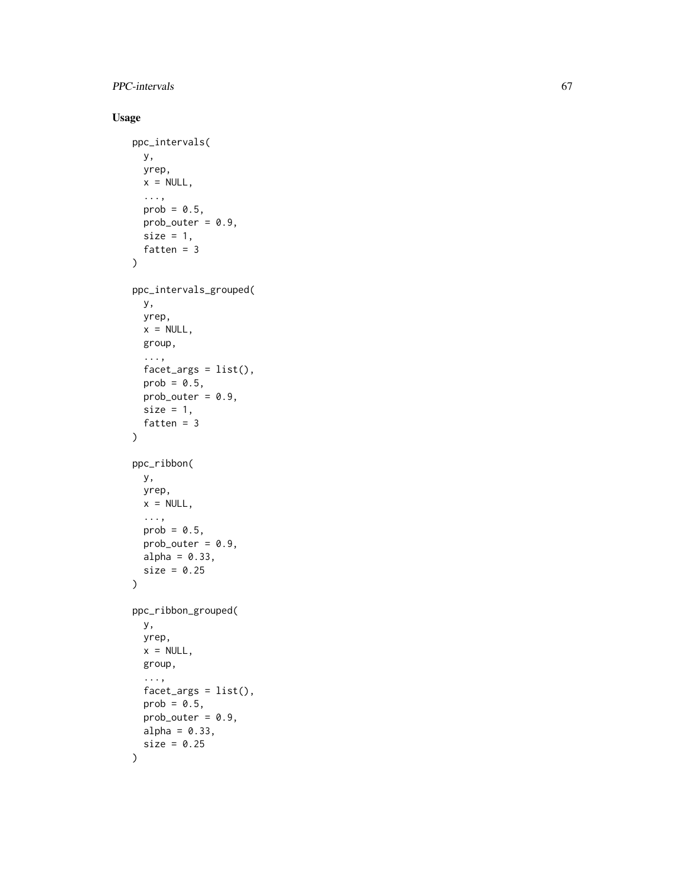## PPC-intervals 67

## Usage

```
ppc_intervals(
  y,
  yrep,
  x = NULL,...,
  prob = 0.5,
  prob_outer = 0.9,size = 1,
  fatten = 3)
ppc_intervals_grouped(
  y,
  yrep,
  x = NULL,group,
  ...,
  factor_{args} = list(),
  prob = 0.5,
  prob_outer = 0.9,size = 1,
  fatten = 3)
ppc_ribbon(
  y,
  yrep,
  x = NULL,...,
  prob = 0.5,
  prob_outer = 0.9,
  alpha = 0.33,
  size = 0.25\mathcal{L}ppc_ribbon_grouped(
  y,
  yrep,
  x = NULL,group,
  ...,
  facet_{args} = list(),
  prob = 0.5,
  prob_outer = 0.9,
  alpha = 0.33,
  size = 0.25)
```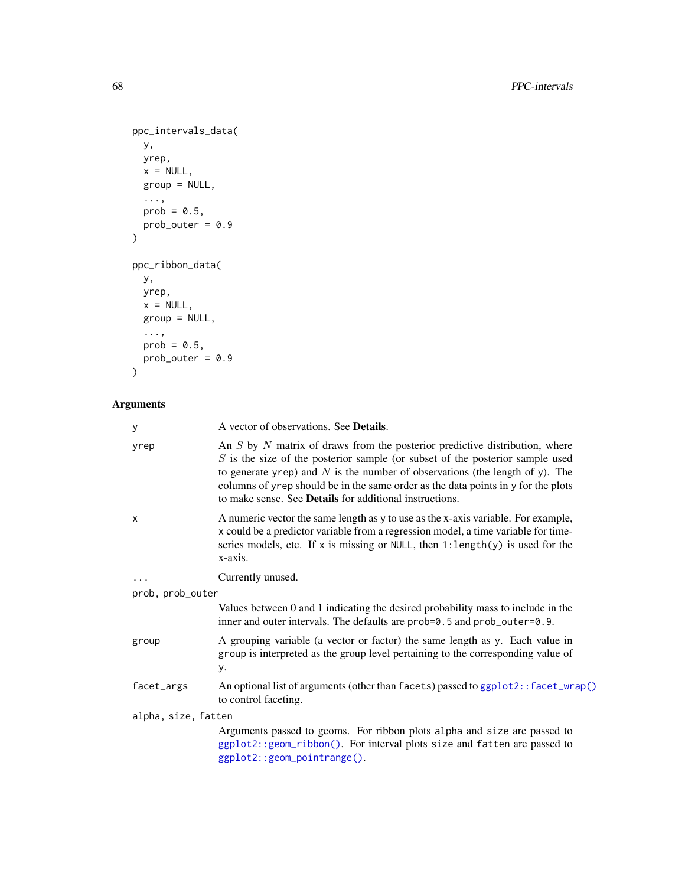```
ppc_intervals_data(
  y,
  yrep,
  x = NULL,group = NULL,
  ...,
 prob = 0.5,
  prob\_outer = 0.9\mathcal{L}ppc_ribbon_data(
 y,
 yrep,
 x = NULL,group = NULL,
  ...,
  prob = 0.5,
 prob_outer = 0.9
```

```
\mathcal{L}
```

| у                   | A vector of observations. See <b>Details</b> .                                                                                                                                                                                                                                                                                                                                                              |
|---------------------|-------------------------------------------------------------------------------------------------------------------------------------------------------------------------------------------------------------------------------------------------------------------------------------------------------------------------------------------------------------------------------------------------------------|
| yrep                | An $S$ by $N$ matrix of draws from the posterior predictive distribution, where<br>$S$ is the size of the posterior sample (or subset of the posterior sample used<br>to generate yrep) and $N$ is the number of observations (the length of y). The<br>columns of yrep should be in the same order as the data points in y for the plots<br>to make sense. See <b>Details</b> for additional instructions. |
| X                   | A numeric vector the same length as y to use as the x-axis variable. For example,<br>x could be a predictor variable from a regression model, a time variable for time-<br>series models, etc. If x is missing or NULL, then $1$ : length(y) is used for the<br>x-axis.                                                                                                                                     |
| $\ddotsc$           | Currently unused.                                                                                                                                                                                                                                                                                                                                                                                           |
| prob, prob_outer    |                                                                                                                                                                                                                                                                                                                                                                                                             |
|                     | Values between 0 and 1 indicating the desired probability mass to include in the<br>inner and outer intervals. The defaults are prob=0.5 and prob_outer=0.9.                                                                                                                                                                                                                                                |
| group               | A grouping variable (a vector or factor) the same length as y. Each value in<br>group is interpreted as the group level pertaining to the corresponding value of<br>у.                                                                                                                                                                                                                                      |
| facet_args          | An optional list of arguments (other than facets) passed to ggplot2:: facet_wrap()<br>to control faceting.                                                                                                                                                                                                                                                                                                  |
| alpha, size, fatten |                                                                                                                                                                                                                                                                                                                                                                                                             |
|                     | Arguments passed to geoms. For ribbon plots alpha and size are passed to<br>ggplot2::geom_ribbon(). For interval plots size and fatten are passed to<br>ggplot2::geom_pointrange().                                                                                                                                                                                                                         |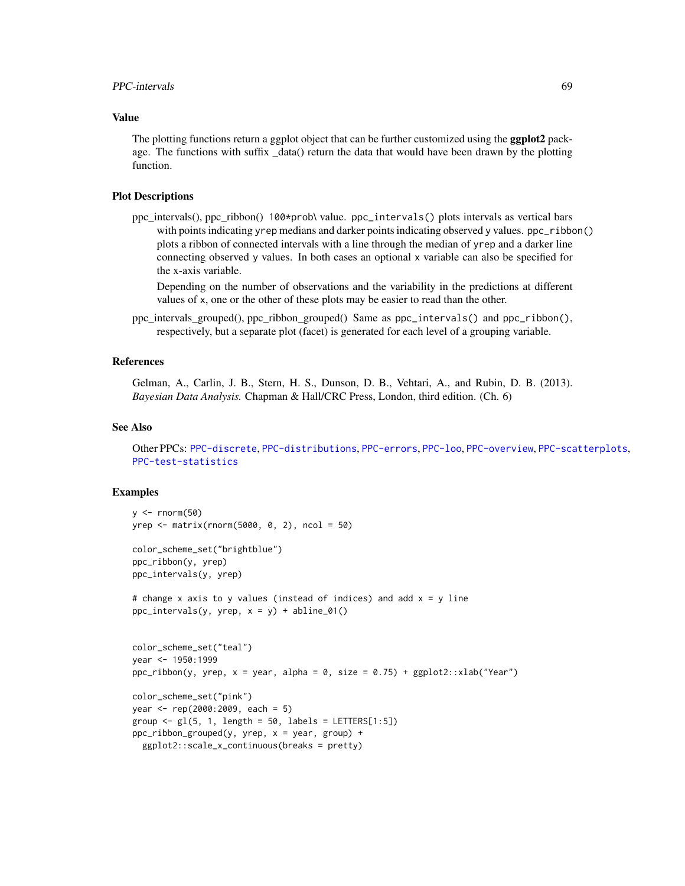## PPC-intervals 69

## Value

The plotting functions return a ggplot object that can be further customized using the **ggplot2** package. The functions with suffix \_data() return the data that would have been drawn by the plotting function.

## Plot Descriptions

ppc\_intervals(), ppc\_ribbon() 100\*prob\ value. ppc\_intervals() plots intervals as vertical bars with points indicating yrep medians and darker points indicating observed y values. ppc\_ribbon() plots a ribbon of connected intervals with a line through the median of yrep and a darker line connecting observed y values. In both cases an optional x variable can also be specified for the x-axis variable.

Depending on the number of observations and the variability in the predictions at different values of x, one or the other of these plots may be easier to read than the other.

ppc\_intervals\_grouped(), ppc\_ribbon\_grouped() Same as ppc\_intervals() and ppc\_ribbon(), respectively, but a separate plot (facet) is generated for each level of a grouping variable.

## References

Gelman, A., Carlin, J. B., Stern, H. S., Dunson, D. B., Vehtari, A., and Rubin, D. B. (2013). *Bayesian Data Analysis.* Chapman & Hall/CRC Press, London, third edition. (Ch. 6)

#### See Also

Other PPCs: [PPC-discrete](#page-55-0), [PPC-distributions](#page-58-0), [PPC-errors](#page-62-0), [PPC-loo](#page-69-0), [PPC-overview](#page-74-0), [PPC-scatterplots](#page-76-0), [PPC-test-statistics](#page-77-0)

#### Examples

```
y \le - rnorm(50)
yrep <- matrix(rnorm(5000, 0, 2), ncol = 50)
color_scheme_set("brightblue")
ppc_ribbon(y, yrep)
ppc_intervals(y, yrep)
# change x axis to y values (instead of indices) and add x = y line
ppc_intervals(y, yrep, x = y) + abline_01()
color_scheme_set("teal")
year <- 1950:1999
ppc\_ribbon(y, yrep, x = year, alpha = 0, size = 0.75) + ggplot2::xlab("Year")color_scheme_set("pink")
year <- rep(2000:2009, each = 5)
group \leq gl(5, 1, length = 50, labels = LETTERS[1:5])
ppc_ribbon_grouped(y, yrep, x = year, group) +ggplot2::scale_x_continuous(breaks = pretty)
```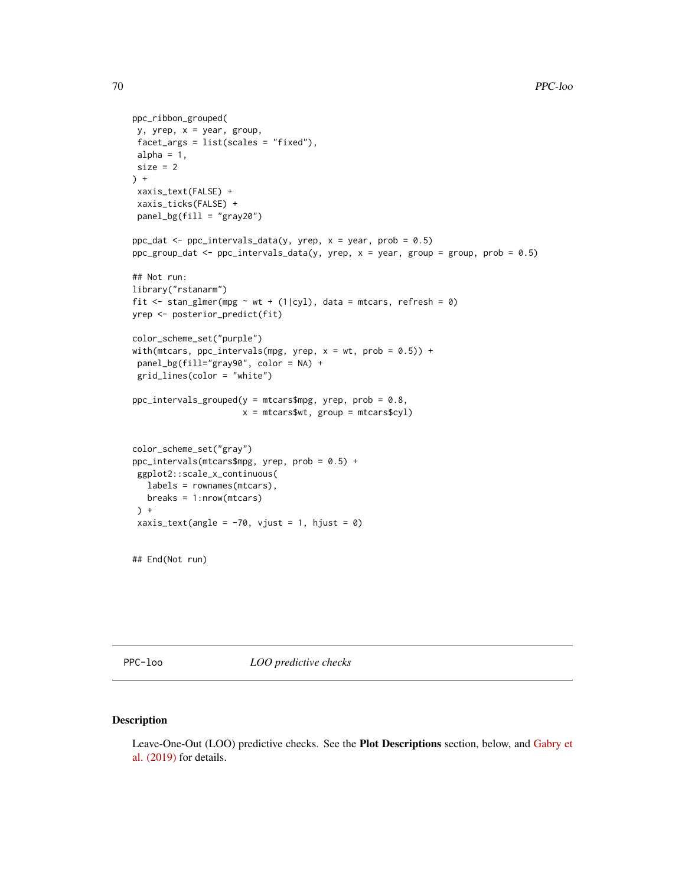```
ppc_ribbon_grouped(
 y, yrep, x = year, group,
 facet_args = list(scales = "fixed"),
alpha = 1,
size = 2) +
 xaxis_text(FALSE) +
 xaxis_ticks(FALSE) +
panel_bg(fill = "gray20")
ppc_dat <- ppc_intervals_data(y, yrep, x = year, prob = 0.5)
ppc_group_dat <- ppc_intervals_data(y, yrep, x = year, group = group, prob = 0.5)
## Not run:
library("rstanarm")
fit \le stan_glmer(mpg \sim wt + (1|cyl), data = mtcars, refresh = 0)
yrep <- posterior_predict(fit)
color_scheme_set("purple")
with(mtcars, ppc_intervals(mpg, yrep, x = wt, prob = 0.5)) +
 panel_bg(fill="gray90", color = NA) +
 grid_lines(color = "white")
ppc\_intervals\_grouped(y = mtcars$mpg, yrep, prob = 0.8,x = mtcars$wt, group = mtcars$cyl)
color_scheme_set("gray")
ppc_intervals(mtcars$mpg, yrep, prob = 0.5) +
 ggplot2::scale_x_continuous(
  labels = rownames(mtcars),
  breaks = 1:nrow(mtcars)
 ) +xaxis_text(angle = -70, vjust = 1, hjust = 0)
## End(Not run)
```
<span id="page-69-0"></span>PPC-loo *LOO predictive checks*

## Description

Leave-One-Out (LOO) predictive checks. See the Plot Descriptions section, below, and [Gabry et](https://github.com/jgabry/bayes-vis-paper#readme) [al. \(2019\)](https://github.com/jgabry/bayes-vis-paper#readme) for details.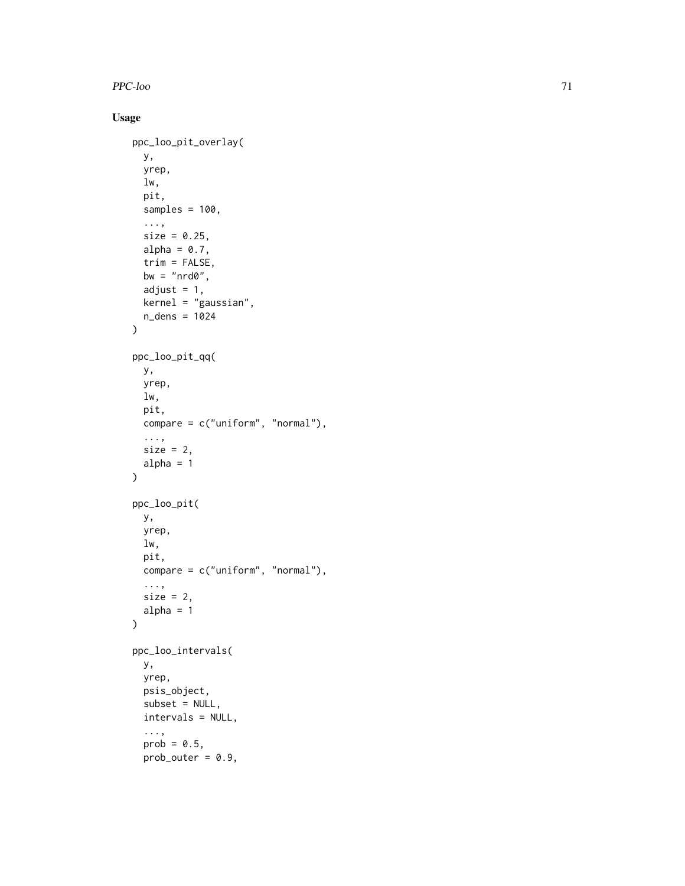PPC-loo 71

## Usage

```
ppc_loo_pit_overlay(
 y,
 yrep,
  lw,
 pit,
 samples = 100,
  ...,
  size = 0.25,
 alpha = 0.7,
 trim = FALSE,
 bw = "nrd0",adjust = 1,kernel = "gaussian",
 n_dens = 1024
\mathcal{L}ppc_loo_pit_qq(
 y,
 yrep,
 lw,
 pit,
 compare = c("uniform", "normal"),
  ...,
 size = 2,
 alpha = 1\mathcal{L}ppc_loo_pit(
 y,
 yrep,
 lw,
 pit,
 compare = c("uniform", "normal"),
  ...,
 size = 2,
 alpha = 1)
ppc_loo_intervals(
 y,
 yrep,
 psis_object,
 subset = NULL,intervals = NULL,
  ...,
  prob = 0.5,
 prob_outer = 0.9,
```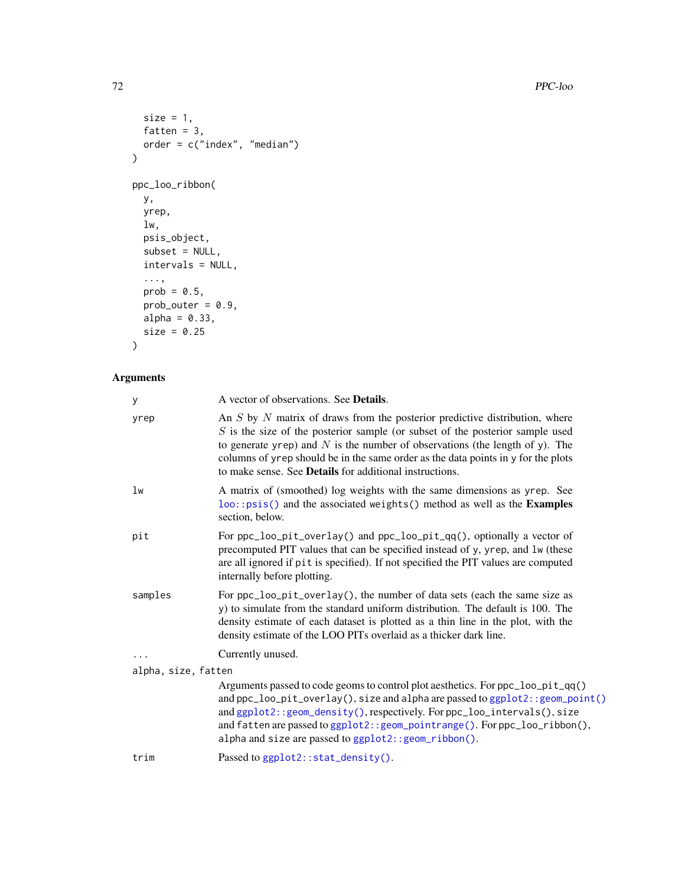T2 PPC-loo

```
size = 1,
 fatten = 3,order = c("index", "median")
\mathcal{L}ppc_loo_ribbon(
 y,
 yrep,
 lw,
 psis_object,
 subset = NULL,
  intervals = NULL,
  ...,
 prob = 0.5,
 prob_outer = 0.9,alpha = 0.33,
 size = 0.25\mathcal{L}
```

| y                   | A vector of observations. See <b>Details</b> .                                                                                                                                                                                                                                                                                                                                                              |
|---------------------|-------------------------------------------------------------------------------------------------------------------------------------------------------------------------------------------------------------------------------------------------------------------------------------------------------------------------------------------------------------------------------------------------------------|
| yrep                | An $S$ by $N$ matrix of draws from the posterior predictive distribution, where<br>$S$ is the size of the posterior sample (or subset of the posterior sample used<br>to generate yrep) and $N$ is the number of observations (the length of y). The<br>columns of yrep should be in the same order as the data points in y for the plots<br>to make sense. See <b>Details</b> for additional instructions. |
| lw                  | A matrix of (smoothed) log weights with the same dimensions as yrep. See<br>loo::psis() and the associated weights() method as well as the Examples<br>section, below.                                                                                                                                                                                                                                      |
| pit                 | For ppc_loo_pit_overlay() and ppc_loo_pit_qq(), optionally a vector of<br>precomputed PIT values that can be specified instead of y, yrep, and lw (these<br>are all ignored if pit is specified). If not specified the PIT values are computed<br>internally before plotting.                                                                                                                               |
| samples             | For ppc_loo_pit_overlay(), the number of data sets (each the same size as<br>y) to simulate from the standard uniform distribution. The default is 100. The<br>density estimate of each dataset is plotted as a thin line in the plot, with the<br>density estimate of the LOO PITs overlaid as a thicker dark line.                                                                                        |
|                     | Currently unused.                                                                                                                                                                                                                                                                                                                                                                                           |
| alpha, size, fatten |                                                                                                                                                                                                                                                                                                                                                                                                             |
|                     | Arguments passed to code geoms to control plot aesthetics. For ppc_loo_pit_qq()<br>and ppc_loo_pit_overlay(), size and alpha are passed to ggplot2:: geom_point()<br>and ggplot2:: geom_density(), respectively. For ppc_loo_intervals(), size<br>and fatten are passed to ggplot2:: geom_pointrange(). For ppc_loo_ribbon(),<br>alpha and size are passed to ggplot2:: geom_ribbon().                      |
| trim                | Passed to ggplot2::stat_density().                                                                                                                                                                                                                                                                                                                                                                          |
|                     |                                                                                                                                                                                                                                                                                                                                                                                                             |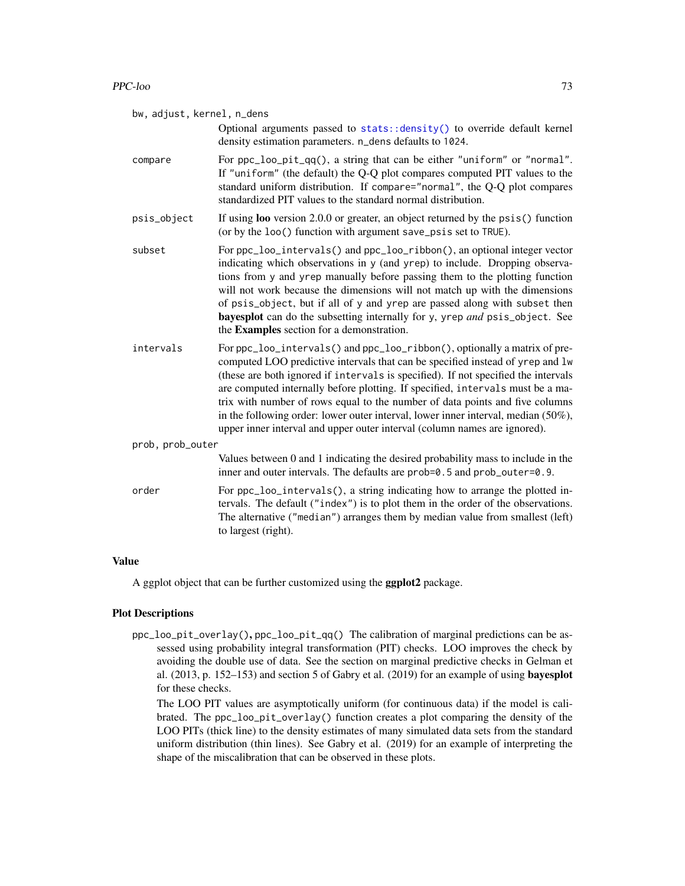Optional arguments passed to [stats::density\(\)](#page-0-0) to override default kernel density estimation parameters. n\_dens defaults to 1024.

- <span id="page-72-0"></span>compare For ppc\_loo\_pit\_qq(), a string that can be either "uniform" or "normal". If "uniform" (the default) the Q-Q plot compares computed PIT values to the standard uniform distribution. If compare="normal", the Q-Q plot compares standardized PIT values to the standard normal distribution.
- psis\_object If using **loo** version 2.0.0 or greater, an object returned by the psis() function (or by the loo() function with argument save\_psis set to TRUE).
- subset For ppc\_loo\_intervals() and ppc\_loo\_ribbon(), an optional integer vector indicating which observations in y (and yrep) to include. Dropping observations from y and yrep manually before passing them to the plotting function will not work because the dimensions will not match up with the dimensions of psis\_object, but if all of y and yrep are passed along with subset then bayesplot can do the subsetting internally for y, yrep *and* psis\_object. See the Examples section for a demonstration.
- intervals For ppc\_loo\_intervals() and ppc\_loo\_ribbon(), optionally a matrix of precomputed LOO predictive intervals that can be specified instead of yrep and lw (these are both ignored if intervals is specified). If not specified the intervals are computed internally before plotting. If specified, intervals must be a matrix with number of rows equal to the number of data points and five columns in the following order: lower outer interval, lower inner interval, median (50%), upper inner interval and upper outer interval (column names are ignored).

| prob, prob_outer |                                                                                                                                                                                                                                                                         |
|------------------|-------------------------------------------------------------------------------------------------------------------------------------------------------------------------------------------------------------------------------------------------------------------------|
|                  | Values between 0 and 1 indicating the desired probability mass to include in the<br>inner and outer intervals. The defaults are prob=0.5 and prob_outer=0.9.                                                                                                            |
| order            | For ppc_loo_intervals(), a string indicating how to arrange the plotted in-<br>tervals. The default ("index") is to plot them in the order of the observations.<br>The alternative ("median") arranges them by median value from smallest (left)<br>to largest (right). |

# Value

A ggplot object that can be further customized using the **ggplot2** package.

#### Plot Descriptions

ppc\_loo\_pit\_overlay(), ppc\_loo\_pit\_qq() The calibration of marginal predictions can be assessed using probability integral transformation (PIT) checks. LOO improves the check by avoiding the double use of data. See the section on marginal predictive checks in Gelman et al. (2013, p. 152–153) and section 5 of Gabry et al. (2019) for an example of using bayesplot for these checks.

The LOO PIT values are asymptotically uniform (for continuous data) if the model is calibrated. The ppc\_loo\_pit\_overlay() function creates a plot comparing the density of the LOO PITs (thick line) to the density estimates of many simulated data sets from the standard uniform distribution (thin lines). See Gabry et al. (2019) for an example of interpreting the shape of the miscalibration that can be observed in these plots.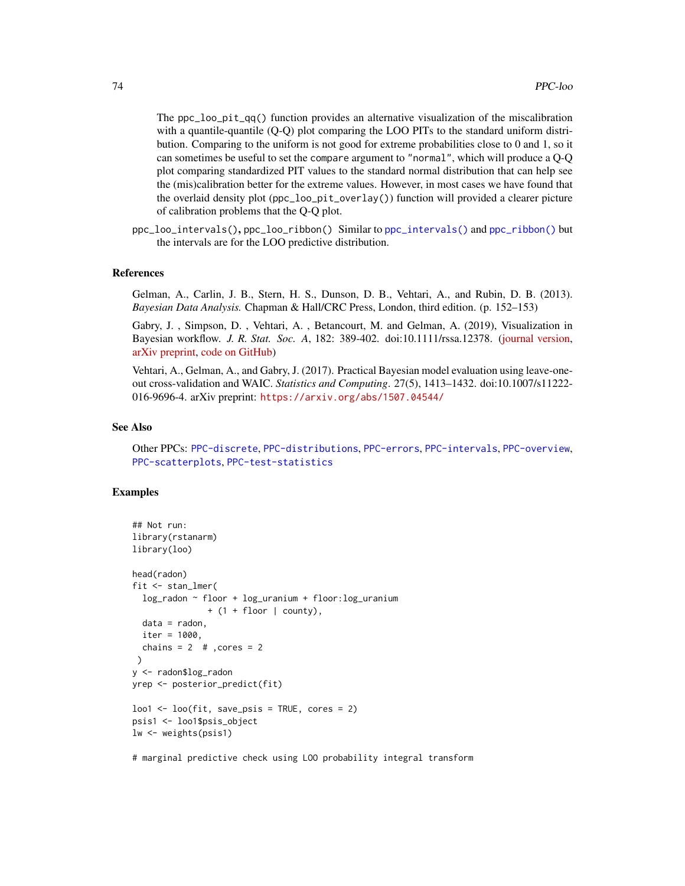<span id="page-73-0"></span>The ppc\_loo\_pit\_qq() function provides an alternative visualization of the miscalibration with a quantile-quantile (Q-Q) plot comparing the LOO PITs to the standard uniform distribution. Comparing to the uniform is not good for extreme probabilities close to 0 and 1, so it can sometimes be useful to set the compare argument to "normal", which will produce a Q-Q plot comparing standardized PIT values to the standard normal distribution that can help see the (mis)calibration better for the extreme values. However, in most cases we have found that the overlaid density plot (ppc\_loo\_pit\_overlay()) function will provided a clearer picture of calibration problems that the Q-Q plot.

ppc\_loo\_intervals(), ppc\_loo\_ribbon() Similar to [ppc\\_intervals\(\)](#page-65-0) and [ppc\\_ribbon\(\)](#page-65-0) but the intervals are for the LOO predictive distribution.

#### References

Gelman, A., Carlin, J. B., Stern, H. S., Dunson, D. B., Vehtari, A., and Rubin, D. B. (2013). *Bayesian Data Analysis.* Chapman & Hall/CRC Press, London, third edition. (p. 152–153)

Gabry, J. , Simpson, D. , Vehtari, A. , Betancourt, M. and Gelman, A. (2019), Visualization in Bayesian workflow. *J. R. Stat. Soc. A*, 182: 389-402. doi:10.1111/rssa.12378. [\(journal version,](https://rss.onlinelibrary.wiley.com/doi/full/10.1111/rssa.12378) [arXiv preprint,](https://arxiv.org/abs/1709.01449) [code on GitHub\)](https://github.com/jgabry/bayes-vis-paper)

Vehtari, A., Gelman, A., and Gabry, J. (2017). Practical Bayesian model evaluation using leave-oneout cross-validation and WAIC. *Statistics and Computing*. 27(5), 1413–1432. doi:10.1007/s11222- 016-9696-4. arXiv preprint: <https://arxiv.org/abs/1507.04544/>

#### See Also

Other PPCs: [PPC-discrete](#page-55-0), [PPC-distributions](#page-58-0), [PPC-errors](#page-62-0), [PPC-intervals](#page-65-1), [PPC-overview](#page-74-0), [PPC-scatterplots](#page-76-0), [PPC-test-statistics](#page-77-0)

# Examples

```
## Not run:
library(rstanarm)
library(loo)
head(radon)
fit <- stan_lmer(
  log_radon ~ floor + log_luranium + floor:log_luranium
                 + (1 + floor | county),
  data = radon,
  iter = 1000,
  chains = 2 # , cores = 2)
y <- radon$log_radon
yrep <- posterior_predict(fit)
\text{loo1} \leftarrow \text{loo}(\text{fit}, \text{save} - \text{psis} = \text{TRUE}, \text{cores} = 2)psis1 <- loo1$psis_object
lw <- weights(psis1)
```
# marginal predictive check using LOO probability integral transform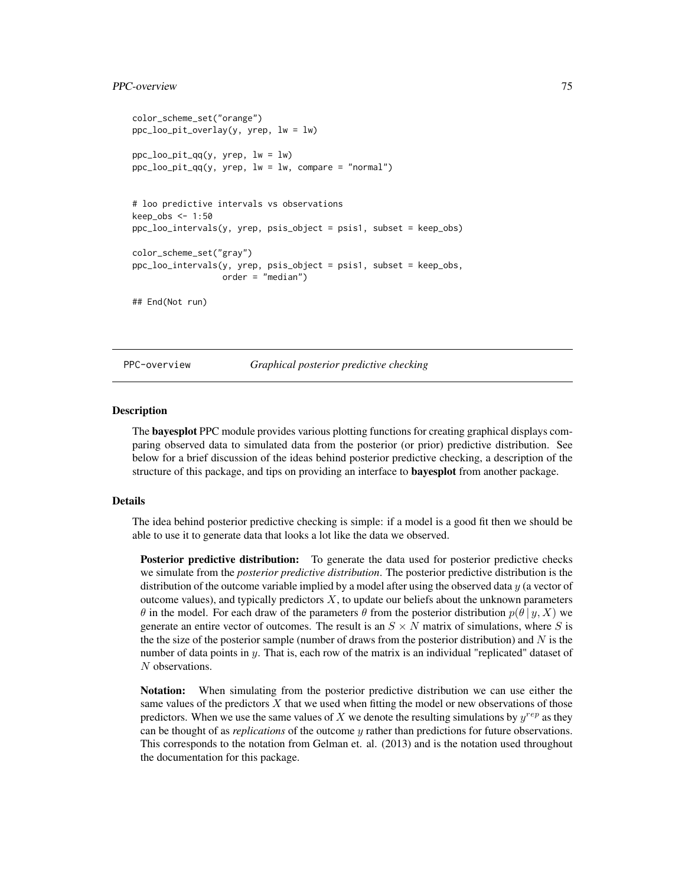## <span id="page-74-2"></span>PPC-overview 75

```
color_scheme_set("orange")
ppc_loo_pit_overlay(y, yrep, lw = lw)
ppc\_loo\_pit\_qq(y, yrep, lw = lw)ppc_loo_pit_qq(y, yrep, lw = lw, compare = "normal")
# loo predictive intervals vs observations
keep_obs <- 1:50
ppc_loo_intervals(y, yrep, psis_object = psis1, subset = keep_obs)
color_scheme_set("gray")
ppc_loo_intervals(y, yrep, psis_object = psis1, subset = keep_obs,
                  order = "median")
## End(Not run)
```
<span id="page-74-0"></span>PPC-overview *Graphical posterior predictive checking*

#### <span id="page-74-1"></span>Description

The bayesplot PPC module provides various plotting functions for creating graphical displays comparing observed data to simulated data from the posterior (or prior) predictive distribution. See below for a brief discussion of the ideas behind posterior predictive checking, a description of the structure of this package, and tips on providing an interface to **bayesplot** from another package.

## Details

The idea behind posterior predictive checking is simple: if a model is a good fit then we should be able to use it to generate data that looks a lot like the data we observed.

Posterior predictive distribution: To generate the data used for posterior predictive checks we simulate from the *posterior predictive distribution*. The posterior predictive distribution is the distribution of the outcome variable implied by a model after using the observed data  $y$  (a vector of outcome values), and typically predictors  $X$ , to update our beliefs about the unknown parameters θ in the model. For each draw of the parameters θ from the posterior distribution  $p(θ | y, X)$  we generate an entire vector of outcomes. The result is an  $S \times N$  matrix of simulations, where S is the the size of the posterior sample (number of draws from the posterior distribution) and  $N$  is the number of data points in y. That is, each row of the matrix is an individual "replicated" dataset of N observations.

Notation: When simulating from the posterior predictive distribution we can use either the same values of the predictors  $X$  that we used when fitting the model or new observations of those predictors. When we use the same values of X we denote the resulting simulations by  $y^{rep}$  as they can be thought of as *replications* of the outcome y rather than predictions for future observations. This corresponds to the notation from Gelman et. al. (2013) and is the notation used throughout the documentation for this package.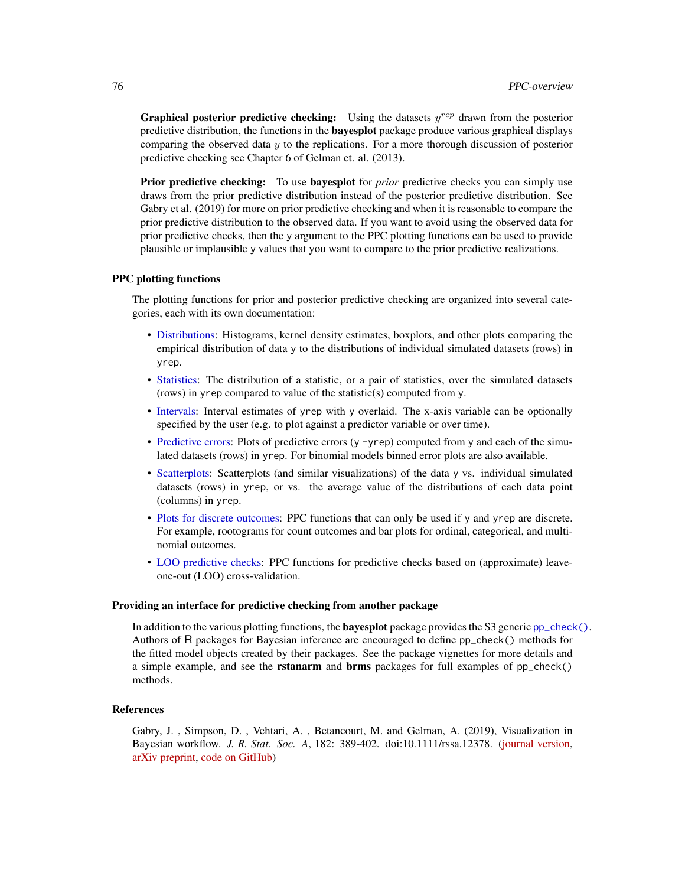<span id="page-75-0"></span>**Graphical posterior predictive checking:** Using the datasets  $y^{rep}$  drawn from the posterior predictive distribution, the functions in the bayesplot package produce various graphical displays comparing the observed data  $\gamma$  to the replications. For a more thorough discussion of posterior predictive checking see Chapter 6 of Gelman et. al. (2013).

**Prior predictive checking:** To use **bayesplot** for *prior* predictive checks you can simply use draws from the prior predictive distribution instead of the posterior predictive distribution. See Gabry et al. (2019) for more on prior predictive checking and when it is reasonable to compare the prior predictive distribution to the observed data. If you want to avoid using the observed data for prior predictive checks, then the y argument to the PPC plotting functions can be used to provide plausible or implausible y values that you want to compare to the prior predictive realizations.

## PPC plotting functions

The plotting functions for prior and posterior predictive checking are organized into several categories, each with its own documentation:

- [Distributions:](#page-58-0) Histograms, kernel density estimates, boxplots, and other plots comparing the empirical distribution of data y to the distributions of individual simulated datasets (rows) in yrep.
- [Statistics:](#page-77-0) The distribution of a statistic, or a pair of statistics, over the simulated datasets (rows) in yrep compared to value of the statistic(s) computed from y.
- [Intervals:](#page-65-1) Interval estimates of yrep with y overlaid. The x-axis variable can be optionally specified by the user (e.g. to plot against a predictor variable or over time).
- [Predictive errors:](#page-62-0) Plots of predictive errors (y -yrep) computed from y and each of the simulated datasets (rows) in yrep. For binomial models binned error plots are also available.
- [Scatterplots:](#page-76-0) Scatterplots (and similar visualizations) of the data y vs. individual simulated datasets (rows) in yrep, or vs. the average value of the distributions of each data point (columns) in yrep.
- [Plots for discrete outcomes:](#page-55-0) PPC functions that can only be used if y and yrep are discrete. For example, rootograms for count outcomes and bar plots for ordinal, categorical, and multinomial outcomes.
- [LOO predictive checks:](#page-69-0) PPC functions for predictive checks based on (approximate) leaveone-out (LOO) cross-validation.

#### Providing an interface for predictive checking from another package

In addition to the various plotting functions, the **bayesplot** package provides the S3 generic  $pp\_check()$ . Authors of R packages for Bayesian inference are encouraged to define pp\_check() methods for the fitted model objects created by their packages. See the package vignettes for more details and a simple example, and see the **rstanarm** and **brms** packages for full examples of  $pp$ -check() methods.

# References

Gabry, J. , Simpson, D. , Vehtari, A. , Betancourt, M. and Gelman, A. (2019), Visualization in Bayesian workflow. *J. R. Stat. Soc. A*, 182: 389-402. doi:10.1111/rssa.12378. [\(journal version,](https://rss.onlinelibrary.wiley.com/doi/full/10.1111/rssa.12378) [arXiv preprint,](https://arxiv.org/abs/1709.01449) [code on GitHub\)](https://github.com/jgabry/bayes-vis-paper)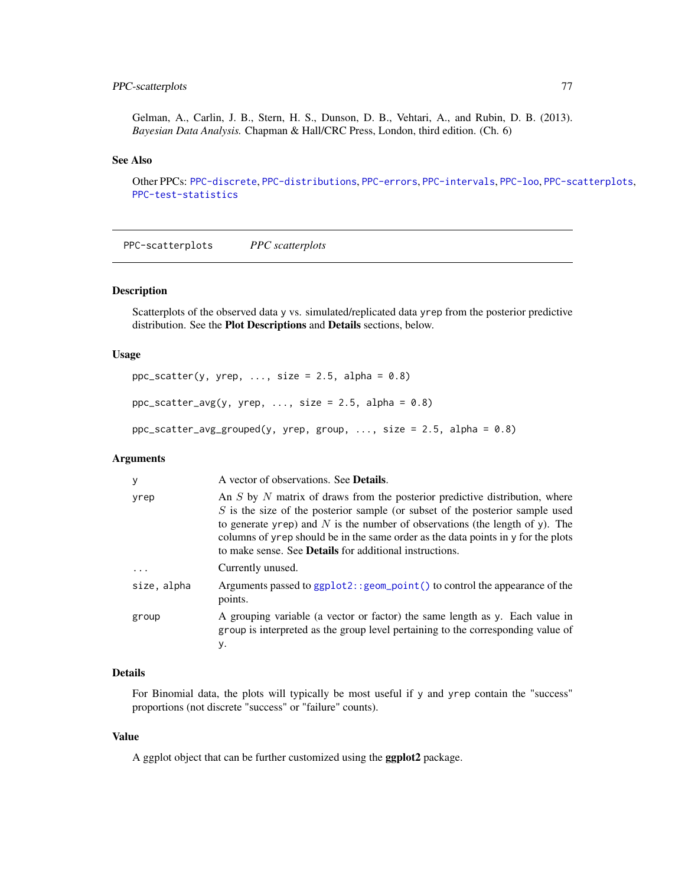# <span id="page-76-1"></span>PPC-scatterplots 77

Gelman, A., Carlin, J. B., Stern, H. S., Dunson, D. B., Vehtari, A., and Rubin, D. B. (2013). *Bayesian Data Analysis.* Chapman & Hall/CRC Press, London, third edition. (Ch. 6)

# See Also

Other PPCs: [PPC-discrete](#page-55-0), [PPC-distributions](#page-58-0), [PPC-errors](#page-62-0), [PPC-intervals](#page-65-1), [PPC-loo](#page-69-0), [PPC-scatterplots](#page-76-0), [PPC-test-statistics](#page-77-0)

<span id="page-76-0"></span>PPC-scatterplots *PPC scatterplots*

# Description

Scatterplots of the observed data y vs. simulated/replicated data yrep from the posterior predictive distribution. See the Plot Descriptions and Details sections, below.

# Usage

```
ppc_scatter(y, yrep, ..., size = 2.5, alpha = 0.8)ppc_scatter_avg(y, yrep, ..., size = 2.5, alpha = 0.8)ppc_scatter_avg_grouped(y, yrep, group, ..., size = 2.5, alpha = 0.8)
```
# Arguments

| y           | A vector of observations. See <b>Details</b> .                                                                                                                                                                                                                                                                                                                                                        |
|-------------|-------------------------------------------------------------------------------------------------------------------------------------------------------------------------------------------------------------------------------------------------------------------------------------------------------------------------------------------------------------------------------------------------------|
| yrep        | An S by N matrix of draws from the posterior predictive distribution, where<br>$S$ is the size of the posterior sample (or subset of the posterior sample used<br>to generate yrep) and N is the number of observations (the length of y). The<br>columns of yrep should be in the same order as the data points in y for the plots<br>to make sense. See <b>Details</b> for additional instructions. |
| $\cdots$    | Currently unused.                                                                                                                                                                                                                                                                                                                                                                                     |
| size, alpha | Arguments passed to ggplot2:: geom_point() to control the appearance of the<br>points.                                                                                                                                                                                                                                                                                                                |
| group       | A grouping variable (a vector or factor) the same length as y. Each value in<br>group is interpreted as the group level pertaining to the corresponding value of<br>у.                                                                                                                                                                                                                                |

# Details

For Binomial data, the plots will typically be most useful if y and yrep contain the "success" proportions (not discrete "success" or "failure" counts).

# Value

A ggplot object that can be further customized using the ggplot2 package.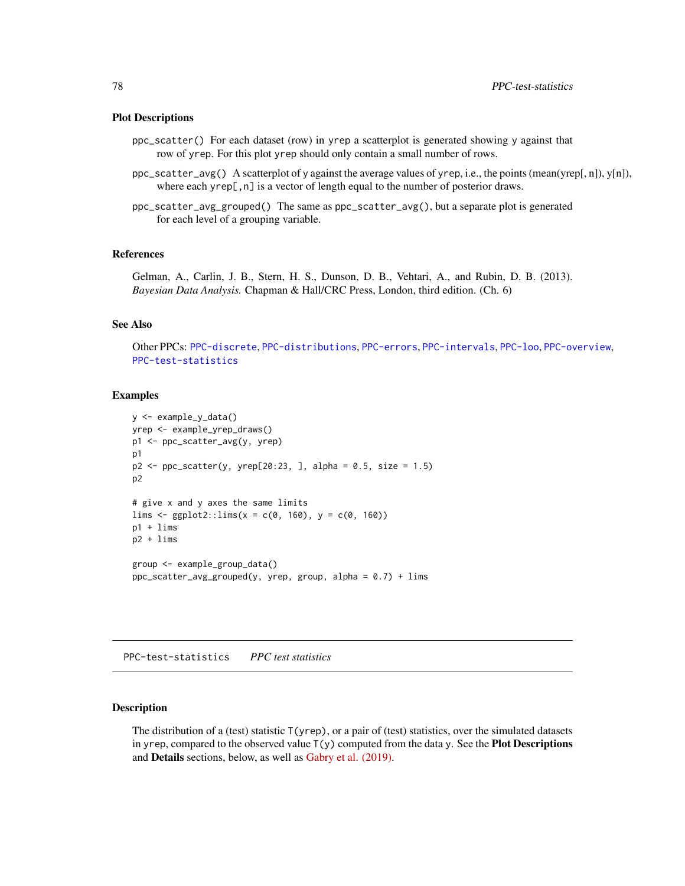#### <span id="page-77-1"></span>Plot Descriptions

- ppc\_scatter() For each dataset (row) in yrep a scatterplot is generated showing y against that row of yrep. For this plot yrep should only contain a small number of rows.
- ppc\_scatter\_avg() A scatterplot of y against the average values of yrep, i.e., the points (mean(yrep[, n]), y[n]), where each yrep[, n] is a vector of length equal to the number of posterior draws.
- ppc\_scatter\_avg\_grouped() The same as ppc\_scatter\_avg(), but a separate plot is generated for each level of a grouping variable.

#### References

Gelman, A., Carlin, J. B., Stern, H. S., Dunson, D. B., Vehtari, A., and Rubin, D. B. (2013). *Bayesian Data Analysis.* Chapman & Hall/CRC Press, London, third edition. (Ch. 6)

# See Also

Other PPCs: [PPC-discrete](#page-55-0), [PPC-distributions](#page-58-0), [PPC-errors](#page-62-0), [PPC-intervals](#page-65-1), [PPC-loo](#page-69-0), [PPC-overview](#page-74-0), [PPC-test-statistics](#page-77-0)

#### Examples

```
y <- example_y_data()
yrep <- example_yrep_draws()
p1 <- ppc_scatter_avg(y, yrep)
p1
p2 \leq ppc_scatter(y, yrep[20:23, ], alpha = 0.5, size = 1.5)
p2
# give x and y axes the same limits
lims \leftarrow ggplot2::lims(x = c(0, 160), y = c(0, 160))p1 + lims
p2 + lims
group <- example_group_data()
ppc_scatter_avg_grouped(y, yrep, group, alpha = 0.7) + lims
```
<span id="page-77-0"></span>PPC-test-statistics *PPC test statistics*

#### Description

The distribution of a (test) statistic  $T(yrep)$ , or a pair of (test) statistics, over the simulated datasets in yrep, compared to the observed value  $T(y)$  computed from the data y. See the **Plot Descriptions** and Details sections, below, as well as [Gabry et al. \(2019\).](https://github.com/jgabry/bayes-vis-paper#readme)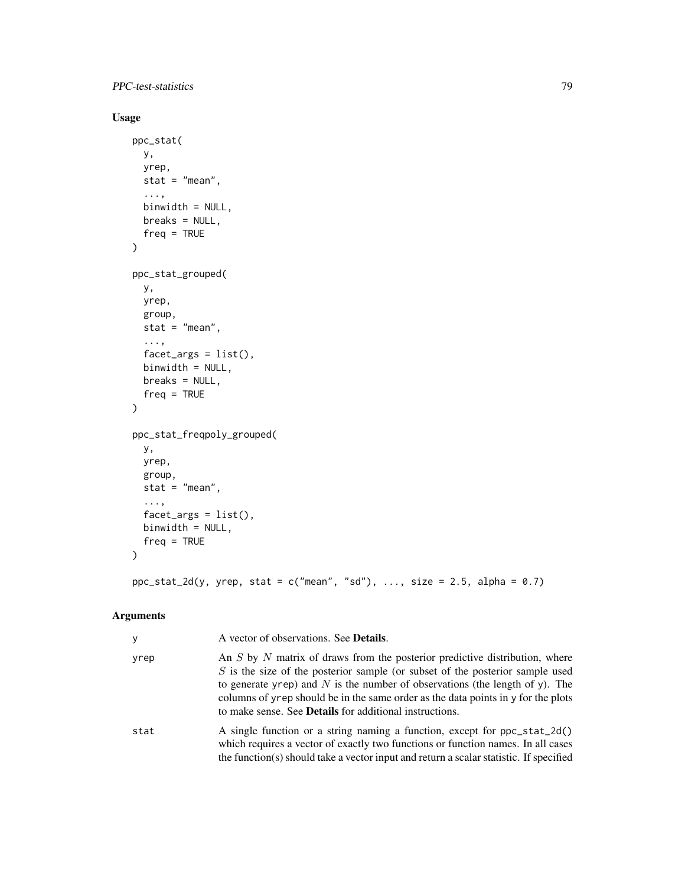PPC-test-statistics 79

# Usage

```
ppc_stat(
  y,
  yrep,
  stat = "mean",...,
  binwidth = NULL,
 breaks = NULL,
  freq = TRUE
)
ppc_stat_grouped(
  y,
  yrep,
  group,
  stat = "mean",
  ...,
  facet_{args} = list(),
  binwidth = NULL,
  breaks = NULL,
  freq = TRUE\lambdappc_stat_freqpoly_grouped(
  y,
  yrep,
  group,
  stat = "mean",
  ...,
  factor_{args} = list(),
  binwidth = NULL,
  freq = TRUE
\mathcal{L}
```
 $ppc\_stat\_2d(y, yrep, stat = c("mean", "sd"), ..., size = 2.5, alpha = 0.7)$ 

# Arguments

| y    | A vector of observations. See <b>Details</b> .                                                                                                                                                                                                                                                                                                                                                        |
|------|-------------------------------------------------------------------------------------------------------------------------------------------------------------------------------------------------------------------------------------------------------------------------------------------------------------------------------------------------------------------------------------------------------|
| yrep | An S by N matrix of draws from the posterior predictive distribution, where<br>$S$ is the size of the posterior sample (or subset of the posterior sample used<br>to generate yrep) and N is the number of observations (the length of y). The<br>columns of yrep should be in the same order as the data points in y for the plots<br>to make sense. See <b>Details</b> for additional instructions. |
| stat | A single function or a string naming a function, except for ppc_stat_2d()<br>which requires a vector of exactly two functions or function names. In all cases<br>the function(s) should take a vector input and return a scalar statistic. If specified                                                                                                                                               |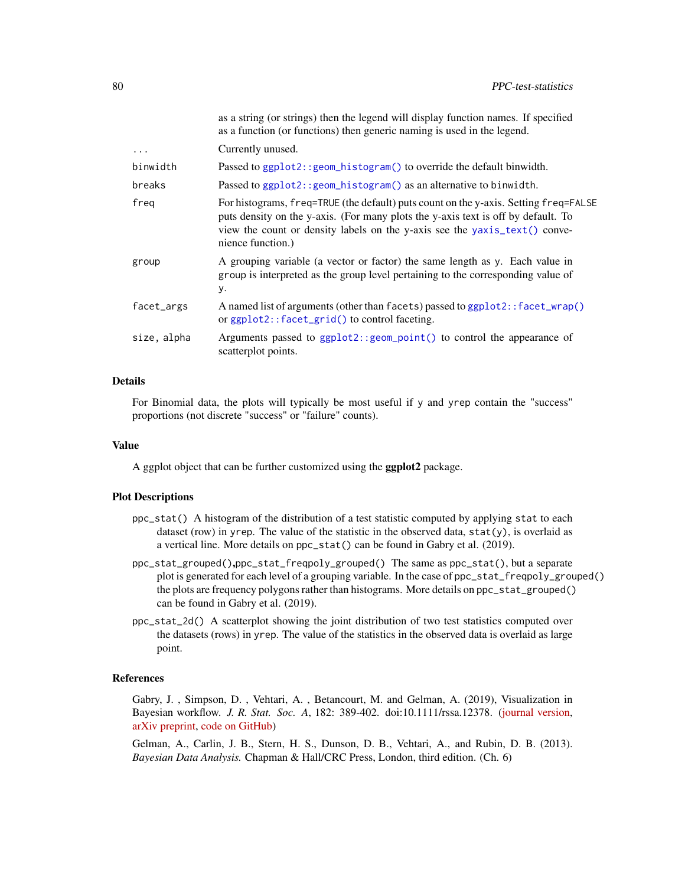<span id="page-79-0"></span>

|             | as a string (or strings) then the legend will display function names. If specified<br>as a function (or functions) then generic naming is used in the legend.                                                                                                                |
|-------------|------------------------------------------------------------------------------------------------------------------------------------------------------------------------------------------------------------------------------------------------------------------------------|
| .           | Currently unused.                                                                                                                                                                                                                                                            |
| binwidth    | Passed to ggplot2::geom_histogram() to override the default binwidth.                                                                                                                                                                                                        |
| breaks      | Passed to ggplot2:: geom_histogram() as an alternative to binwidth.                                                                                                                                                                                                          |
| freg        | For histograms, freq=TRUE (the default) puts count on the y-axis. Setting freq=FALSE<br>puts density on the y-axis. (For many plots the y-axis text is off by default. To<br>view the count or density labels on the y-axis see the yaxis_text() conve-<br>nience function.) |
| group       | A grouping variable (a vector or factor) the same length as y. Each value in<br>group is interpreted as the group level pertaining to the corresponding value of<br>у.                                                                                                       |
| facet_args  | A named list of arguments (other than facets) passed to ggplot2::facet_wrap()<br>or ggplot2::facet_grid() to control faceting.                                                                                                                                               |
| size, alpha | Arguments passed to ggplot2:: geom_point() to control the appearance of<br>scatterplot points.                                                                                                                                                                               |

# Details

For Binomial data, the plots will typically be most useful if y and yrep contain the "success" proportions (not discrete "success" or "failure" counts).

#### Value

A ggplot object that can be further customized using the ggplot2 package.

# Plot Descriptions

- ppc\_stat() A histogram of the distribution of a test statistic computed by applying stat to each dataset (row) in yrep. The value of the statistic in the observed data,  $stat(y)$ , is overlaid as a vertical line. More details on ppc\_stat() can be found in Gabry et al. (2019).
- ppc\_stat\_grouped(),ppc\_stat\_freqpoly\_grouped() The same as ppc\_stat(), but a separate plot is generated for each level of a grouping variable. In the case of ppc\_stat\_freqpoly\_grouped() the plots are frequency polygons rather than histograms. More details on ppc\_stat\_grouped() can be found in Gabry et al. (2019).
- ppc\_stat\_2d() A scatterplot showing the joint distribution of two test statistics computed over the datasets (rows) in yrep. The value of the statistics in the observed data is overlaid as large point.

#### References

Gabry, J. , Simpson, D. , Vehtari, A. , Betancourt, M. and Gelman, A. (2019), Visualization in Bayesian workflow. *J. R. Stat. Soc. A*, 182: 389-402. doi:10.1111/rssa.12378. [\(journal version,](https://rss.onlinelibrary.wiley.com/doi/full/10.1111/rssa.12378) [arXiv preprint,](https://arxiv.org/abs/1709.01449) [code on GitHub\)](https://github.com/jgabry/bayes-vis-paper)

Gelman, A., Carlin, J. B., Stern, H. S., Dunson, D. B., Vehtari, A., and Rubin, D. B. (2013). *Bayesian Data Analysis.* Chapman & Hall/CRC Press, London, third edition. (Ch. 6)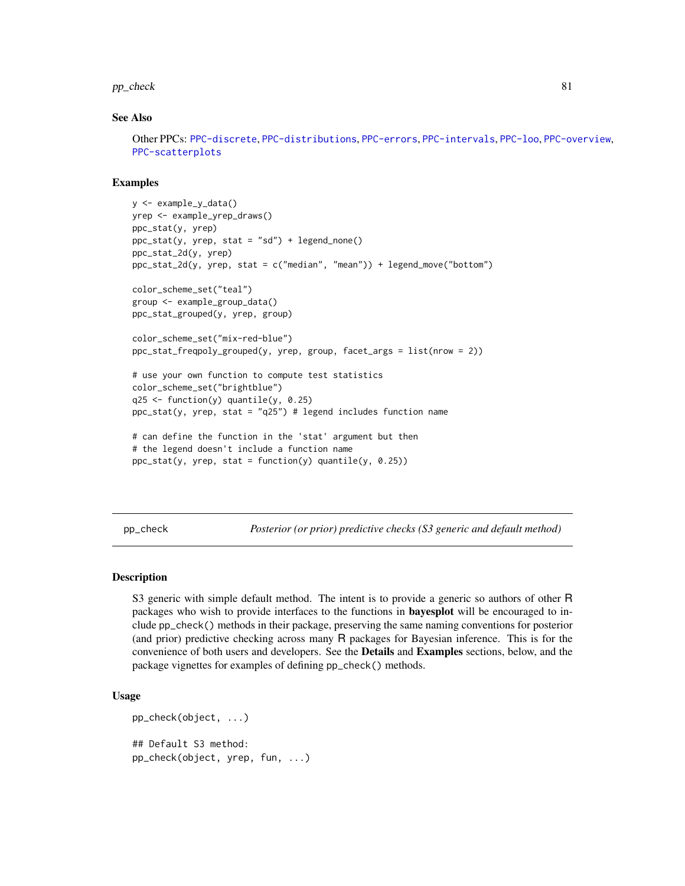#### <span id="page-80-1"></span>pp\_check 81

## See Also

Other PPCs: [PPC-discrete](#page-55-0), [PPC-distributions](#page-58-0), [PPC-errors](#page-62-0), [PPC-intervals](#page-65-1), [PPC-loo](#page-69-0), [PPC-overview](#page-74-0), [PPC-scatterplots](#page-76-0)

# Examples

```
y <- example_y_data()
yrep <- example_yrep_draws()
ppc_stat(y, yrep)
ppc_stat(y, yrep, stat = "sd") + legend_none()
ppc_stat_2d(y, yrep)
ppc_stat_2d(y, yrep, stat = c("median", "mean")) + legend_move("bottom")
color_scheme_set("teal")
group <- example_group_data()
ppc_stat_grouped(y, yrep, group)
color_scheme_set("mix-red-blue")
ppc_stat_freqpoly_grouped(y, yrep, group, facet_args = list(nrow = 2))
# use your own function to compute test statistics
color_scheme_set("brightblue")
q25 <- function(y) quantile(y, 0.25)
ppc\_stat(y, yrep, stat = "q25") # legend includes function name
# can define the function in the 'stat' argument but then
# the legend doesn't include a function name
ppc\_stat(y, yrep, stat = function(y) quantile(y, 0.25))
```
<span id="page-80-0"></span>pp\_check *Posterior (or prior) predictive checks (S3 generic and default method)*

#### Description

S3 generic with simple default method. The intent is to provide a generic so authors of other R packages who wish to provide interfaces to the functions in bayesplot will be encouraged to include pp\_check() methods in their package, preserving the same naming conventions for posterior (and prior) predictive checking across many R packages for Bayesian inference. This is for the convenience of both users and developers. See the Details and Examples sections, below, and the package vignettes for examples of defining pp\_check() methods.

#### Usage

```
pp_check(object, ...)
## Default S3 method:
pp_check(object, yrep, fun, ...)
```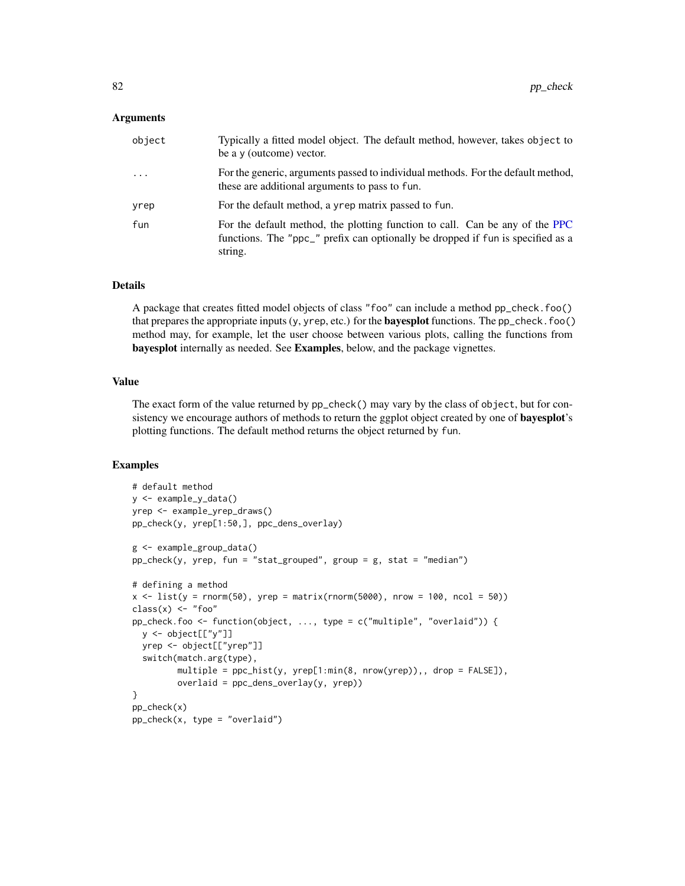# <span id="page-81-0"></span>Arguments

| object   | Typically a fitted model object. The default method, however, takes object to<br>be a y (outcome) vector.                                                                  |
|----------|----------------------------------------------------------------------------------------------------------------------------------------------------------------------------|
| $\cdots$ | For the generic, arguments passed to individual methods. For the default method,<br>these are additional arguments to pass to fun.                                         |
| yrep     | For the default method, a yrep matrix passed to fun.                                                                                                                       |
| fun      | For the default method, the plotting function to call. Can be any of the PPC<br>functions. The "ppc_" prefix can optionally be dropped if fun is specified as a<br>string. |

#### Details

A package that creates fitted model objects of class "foo" can include a method pp\_check.foo() that prepares the appropriate inputs  $(y, y \text{ rep}, \text{etc.})$  for the **bayesplot** functions. The pp\_check.foo() method may, for example, let the user choose between various plots, calling the functions from bayesplot internally as needed. See Examples, below, and the package vignettes.

# Value

The exact form of the value returned by pp\_check() may vary by the class of object, but for consistency we encourage authors of methods to return the ggplot object created by one of bayesplot's plotting functions. The default method returns the object returned by fun.

# Examples

```
# default method
y <- example_y_data()
yrep <- example_yrep_draws()
pp_check(y, yrep[1:50,], ppc_dens_overlay)
g <- example_group_data()
pp_check(y, yrep, fun = "stat_grouped", group = g, stat = "median")
# defining a method
x \le list(y = rnorm(50), yrep = matrix(rnorm(5000), nrow = 100, ncol = 50))
class(x) <- "foo"
pp_check.foo <- function(object, ..., type = c("multiple", "overlaid")) {
  y <- object[["y"]]
 yrep <- object[["yrep"]]
  switch(match.arg(type),
         multiple = ppc_hist(y, yrep[1:min(8, nrow(yrep)),, drop = FALSE]),
         overlaid = ppc_dens_overlay(y, yrep))
}
pp_check(x)
pp_check(x, type = "overlaid")
```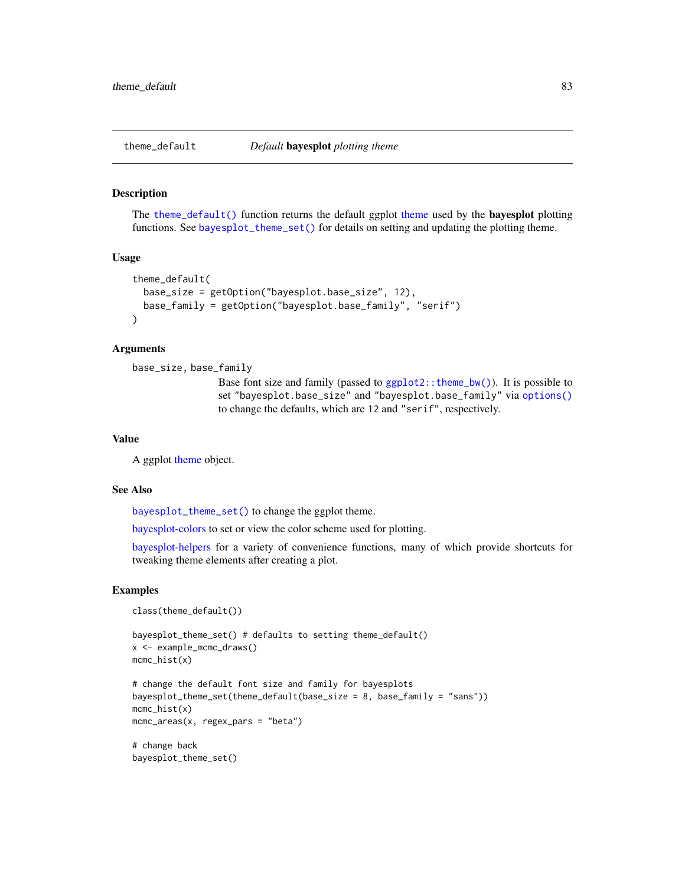<span id="page-82-1"></span><span id="page-82-0"></span>

## Description

The [theme\\_default\(\)](#page-82-0) function returns the default ggplot [theme](#page-0-0) used by the bayesplot plotting functions. See [bayesplot\\_theme\\_set\(\)](#page-16-0) for details on setting and updating the plotting theme.

## Usage

```
theme_default(
 base_size = getOption("bayesplot.base_size", 12),
 base_family = getOption("bayesplot.base_family", "serif")
\mathcal{L}
```
# Arguments

```
base_size, base_family
```
Base font size and family (passed to  $ggplot2$ ::theme\_bw()). It is possible to set "bayesplot.base\_size" and "bayesplot.base\_family" via [options\(\)](#page-0-0) to change the defaults, which are 12 and "serif", respectively.

# Value

A ggplot [theme](#page-0-0) object.

#### See Also

[bayesplot\\_theme\\_set\(\)](#page-16-0) to change the ggplot theme.

[bayesplot-colors](#page-4-0) to set or view the color scheme used for plotting.

[bayesplot-helpers](#page-9-1) for a variety of convenience functions, many of which provide shortcuts for tweaking theme elements after creating a plot.

#### Examples

```
class(theme_default())
```

```
bayesplot_theme_set() # defaults to setting theme_default()
x <- example_mcmc_draws()
mcmc_hist(x)
```

```
# change the default font size and family for bayesplots
bayesplot_theme_set(theme_default(base_size = 8, base_family = "sans"))
mcmc_hist(x)
mcmc_areas(x, regex_pars = "beta")
```
# change back bayesplot\_theme\_set()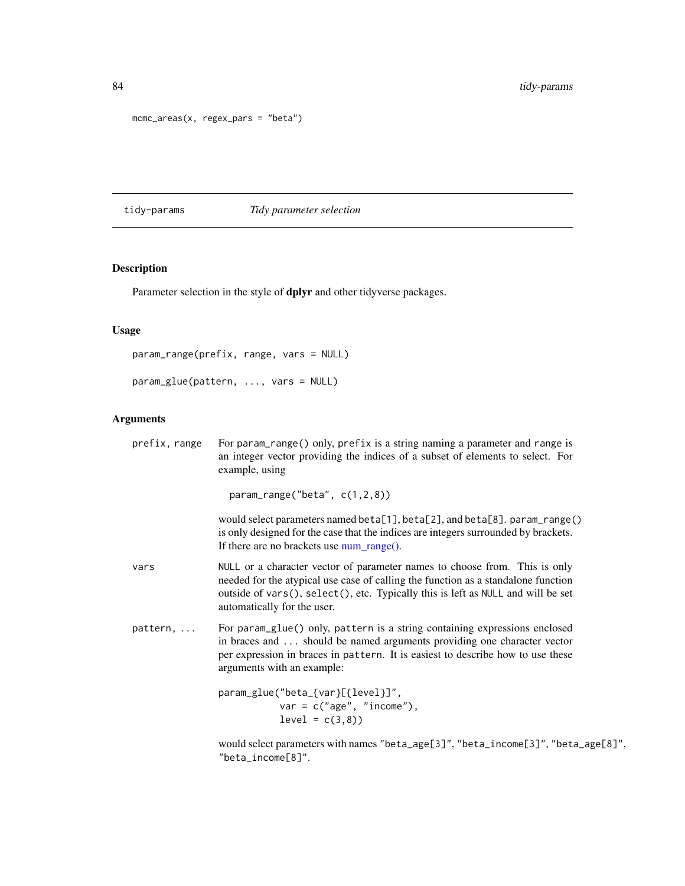```
mcmc_areas(x, regex_pars = "beta")
```
tidy-params *Tidy parameter selection*

# Description

Parameter selection in the style of dplyr and other tidyverse packages.

# Usage

```
param_range(prefix, range, vars = NULL)
```
param\_glue(pattern, ..., vars = NULL)

# Arguments

| prefix, range     | For param_range() only, prefix is a string naming a parameter and range is<br>an integer vector providing the indices of a subset of elements to select. For<br>example, using                                                                                                     |
|-------------------|------------------------------------------------------------------------------------------------------------------------------------------------------------------------------------------------------------------------------------------------------------------------------------|
|                   | $param_range("beta", c(1,2,8))$                                                                                                                                                                                                                                                    |
|                   | would select parameters named beta[1], beta[2], and beta[8]. param_range()<br>is only designed for the case that the indices are integers surrounded by brackets.<br>If there are no brackets use num_range().                                                                     |
| vars              | NULL or a character vector of parameter names to choose from. This is only<br>needed for the atypical use case of calling the function as a standalone function<br>outside of vars(), select(), etc. Typically this is left as NULL and will be set<br>automatically for the user. |
| $pattern, \ldots$ | For param_glue() only, pattern is a string containing expressions enclosed<br>in braces and  should be named arguments providing one character vector<br>per expression in braces in pattern. It is easiest to describe how to use these<br>arguments with an example:             |
|                   | param_glue("beta_{var}[{level}]",<br>$var = c("age", "income"),$<br>$level = c(3,8)$                                                                                                                                                                                               |
|                   | would select parameters with names "beta_age[3]", "beta_income[3]", "beta_age[8]",<br>"beta_income[8]".                                                                                                                                                                            |

<span id="page-83-0"></span>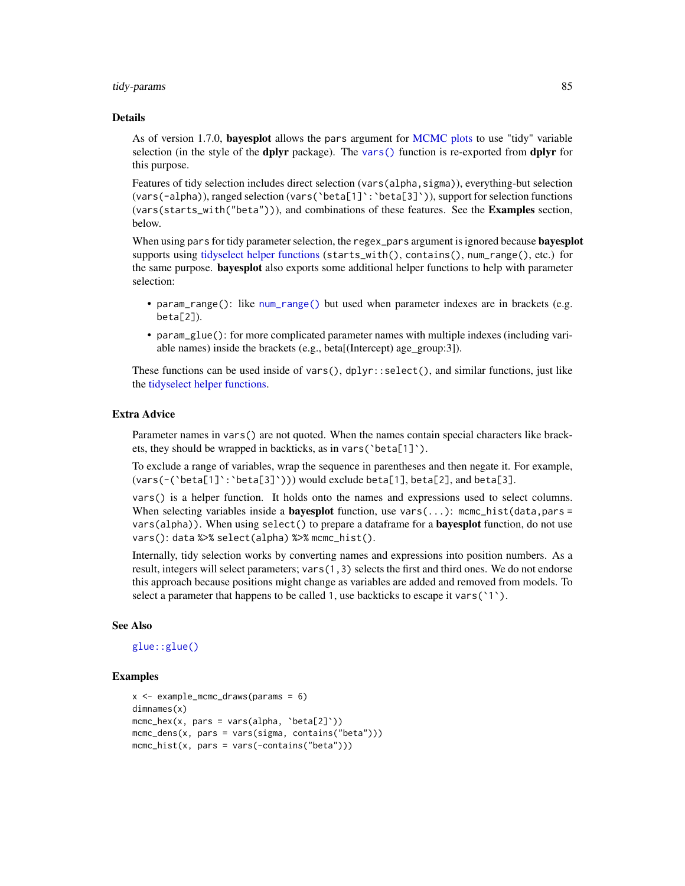#### <span id="page-84-0"></span>tidy-params 85

#### Details

As of version 1.7.0, **bayesplot** allows the pars argument for [MCMC plots](#page-0-0) to use "tidy" variable selection (in the style of the dplyr package). The [vars\(\)](#page-0-0) function is re-exported from dplyr for this purpose.

Features of tidy selection includes direct selection (vars(alpha,sigma)), everything-but selection (vars(-alpha)), ranged selection (vars(`beta[1]`:`beta[3]`)), support for selection functions (vars(starts\_with("beta"))), and combinations of these features. See the Examples section, below.

When using pars for tidy parameter selection, the regex\_pars argument is ignored because **bayesplot** supports using [tidyselect helper functions](#page-0-0) (starts\_with(), contains(), num\_range(), etc.) for the same purpose. bayesplot also exports some additional helper functions to help with parameter selection:

- param\_range(): like [num\\_range\(\)](#page-0-0) but used when parameter indexes are in brackets (e.g.  $beta[2]$ ).
- param\_glue(): for more complicated parameter names with multiple indexes (including variable names) inside the brackets (e.g., beta[(Intercept) age\_group:3]).

These functions can be used inside of vars(),  $d$ plyr:: $select()$ , and similar functions, just like the [tidyselect helper functions.](#page-0-0)

# Extra Advice

Parameter names in vars() are not quoted. When the names contain special characters like brackets, they should be wrapped in backticks, as in vars(`beta[1]`).

To exclude a range of variables, wrap the sequence in parentheses and then negate it. For example, (vars(-(`beta[1]`:`beta[3]`))) would exclude beta[1], beta[2], and beta[3].

vars() is a helper function. It holds onto the names and expressions used to select columns. When selecting variables inside a **bayesplot** function, use vars $(\ldots)$ : mcmc\_hist(data,pars = vars(alpha)). When using select() to prepare a dataframe for a **bayesplot** function, do not use vars(): data %>% select(alpha) %>% mcmc\_hist().

Internally, tidy selection works by converting names and expressions into position numbers. As a result, integers will select parameters; vars(1,3) selects the first and third ones. We do not endorse this approach because positions might change as variables are added and removed from models. To select a parameter that happens to be called 1, use backticks to escape it vars(`1`).

## See Also

# [glue::glue\(\)](#page-0-0)

# Examples

```
x <- example_mcmc_draws(params = 6)
dimnames(x)
mcmc_hex(x, pars = vars(alpha, 'beta[2]'))
mcmc_dens(x, pars = vars(sigma, contains("beta")))
mcmc_hist(x, pars = vars(-contains("beta")))
```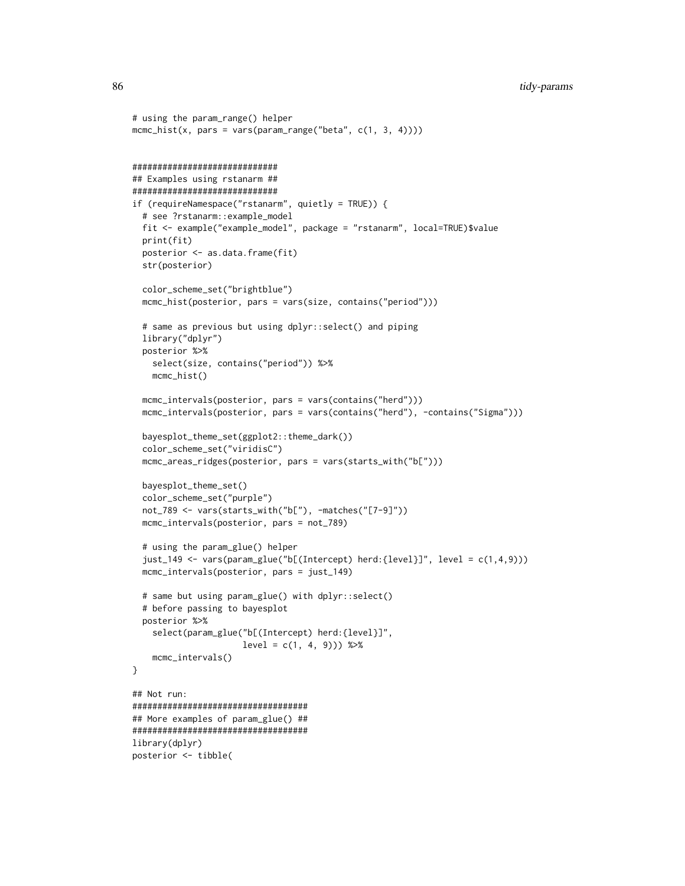```
# using the param_range() helper
mcmc\_hist(x, pars = vars(param\_range("beta", c(1, 3, 4))))#############################
## Examples using rstanarm ##
#############################
if (requireNamespace("rstanarm", quietly = TRUE)) {
 # see ?rstanarm::example_model
 fit <- example("example_model", package = "rstanarm", local=TRUE)$value
 print(fit)
 posterior <- as.data.frame(fit)
 str(posterior)
 color_scheme_set("brightblue")
 mcmc_hist(posterior, pars = vars(size, contains("period")))
 # same as previous but using dplyr::select() and piping
 library("dplyr")
 posterior %>%
   select(size, contains("period")) %>%
   mcmc_hist()
 mcmc_intervals(posterior, pars = vars(contains("herd")))
 mcmc_intervals(posterior, pars = vars(contains("herd"), -contains("Sigma")))
 bayesplot_theme_set(ggplot2::theme_dark())
 color_scheme_set("viridisC")
 mcmc_areas_ridges(posterior, pars = vars(starts_with("b[")))
 bayesplot_theme_set()
 color_scheme_set("purple")
 not_789 <- vars(starts_with("b["), -matches("[7-9]"))
 mcmc_intervals(posterior, pars = not_789)
 # using the param_glue() helper
 just_149 <- vars(param_glue("b[(Intercept) herd:{level}]", level = c(1,4,9)))
 mcmc_intervals(posterior, pars = just_149)
 # same but using param_glue() with dplyr::select()
 # before passing to bayesplot
 posterior %>%
    select(param_glue("b[(Intercept) herd:{level}]",
                      level = c(1, 4, 9)) %>%
    mcmc_intervals()
}
## Not run:
###################################
## More examples of param_glue() ##
###################################
library(dplyr)
posterior <- tibble(
```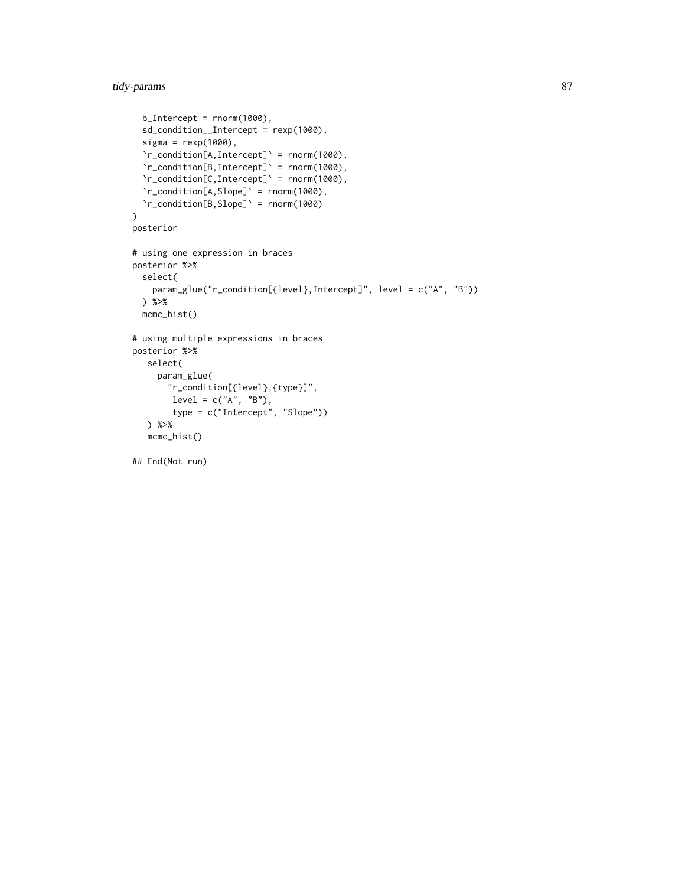tidy-params 87

```
b_Intercept = rnorm(1000),
  sd_condition__Intercept = rexp(1000),
  signa = resp(1000),
  `r_condition[A,Intercept]` = rnorm(1000),
  `r_condition[B,Intercept]` = rnorm(1000),
  \lceil \cdot r \rfloorcondition[C, Intercept]' = rnorm(1000),
  `r_condition[A,Slope]` = rnorm(1000),
  `r_condition[B,Slope]` = rnorm(1000)
\lambdaposterior
# using one expression in braces
posterior %>%
  select(
    param_glue("r_condition[{level},Intercept]", level = c("A", "B"))
  ) %>%
  mcmc_hist()
# using multiple expressions in braces
posterior %>%
  select(
     param_glue(
       "r_condition[{level},{type}]",
        level = c("A", "B"),
        type = c("Intercept", "Slope"))
   ) %>%
  mcmc_hist()
```
## End(Not run)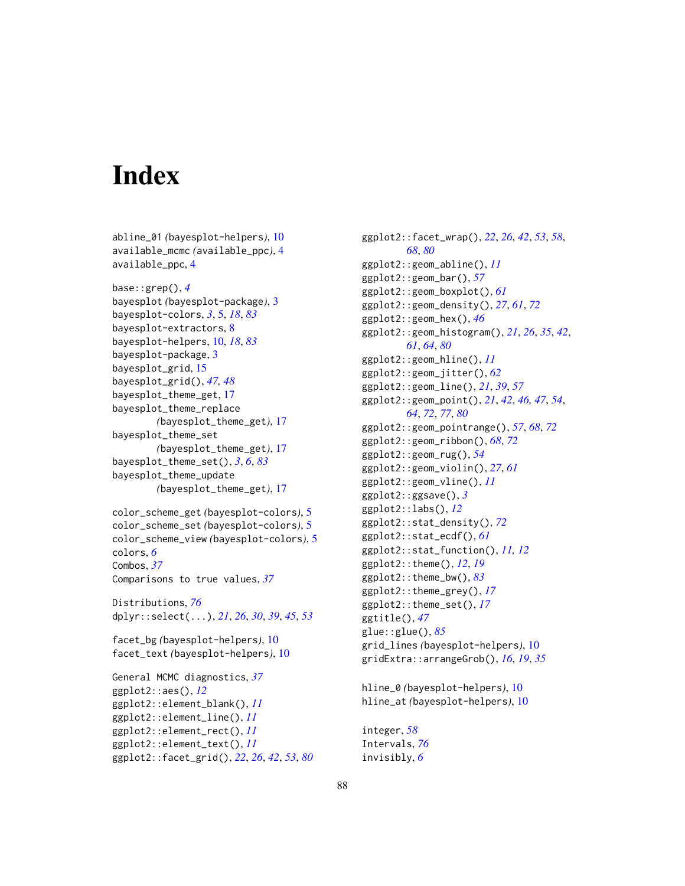# **Index**

abline\_01 *(*bayesplot-helpers*)*, [10](#page-9-2)

available\_mcmc *(*available\_ppc*)*, [4](#page-3-0) available\_ppc, [4](#page-3-0) base::grep(), *[4](#page-3-0)* bayesplot *(*bayesplot-package*)*, [3](#page-2-0) bayesplot-colors, *[3](#page-2-0)*, [5,](#page-4-1) *[18](#page-17-0)*, *[83](#page-82-1)* bayesplot-extractors, [8](#page-7-0) bayesplot-helpers, [10,](#page-9-2) *[18](#page-17-0)*, *[83](#page-82-1)* bayesplot-package, [3](#page-2-0) bayesplot\_grid, [15](#page-14-0) bayesplot\_grid(), *[47,](#page-46-0) [48](#page-47-0)* bayesplot\_theme\_get, [17](#page-16-1) bayesplot\_theme\_replace *(*bayesplot\_theme\_get*)*, [17](#page-16-1) bayesplot\_theme\_set *(*bayesplot\_theme\_get*)*, [17](#page-16-1) bayesplot\_theme\_set(), *[3](#page-2-0)*, *[6](#page-5-0)*, *[83](#page-82-1)* bayesplot\_theme\_update *(*bayesplot\_theme\_get*)*, [17](#page-16-1) color\_scheme\_get *(*bayesplot-colors*)*, [5](#page-4-1) color\_scheme\_set *(*bayesplot-colors*)*, [5](#page-4-1) color\_scheme\_view *(*bayesplot-colors*)*, [5](#page-4-1) colors, *[6](#page-5-0)* Combos, *[37](#page-36-0)* Comparisons to true values, *[37](#page-36-0)* Distributions, *[76](#page-75-0)* dplyr::select(...), *[21](#page-20-0)*, *[26](#page-25-0)*, *[30](#page-29-0)*, *[39](#page-38-0)*, *[45](#page-44-0)*, *[53](#page-52-0)* facet\_bg *(*bayesplot-helpers*)*, [10](#page-9-2) facet\_text *(*bayesplot-helpers*)*, [10](#page-9-2) General MCMC diagnostics, *[37](#page-36-0)* ggplot2::aes(), *[12](#page-11-0)* ggplot2::element\_blank(), *[11](#page-10-0)* ggplot2::element\_line(), *[11](#page-10-0)* ggplot2::element\_rect(), *[11](#page-10-0)* ggplot2::element\_text(), *[11](#page-10-0)* ggplot2::facet\_grid(), *[22](#page-21-0)*, *[26](#page-25-0)*, *[42](#page-41-0)*, *[53](#page-52-0)*, *[80](#page-79-0)*

ggplot2::facet\_wrap(), *[22](#page-21-0)*, *[26](#page-25-0)*, *[42](#page-41-0)*, *[53](#page-52-0)*, *[58](#page-57-0)*, *[68](#page-67-0)*, *[80](#page-79-0)* ggplot2::geom\_abline(), *[11](#page-10-0)* ggplot2::geom\_bar(), *[57](#page-56-0)* ggplot2::geom\_boxplot(), *[61](#page-60-0)* ggplot2::geom\_density(), *[27](#page-26-0)*, *[61](#page-60-0)*, *[72](#page-71-0)* ggplot2::geom\_hex(), *[46](#page-45-0)* ggplot2::geom\_histogram(), *[21](#page-20-0)*, *[26](#page-25-0)*, *[35](#page-34-0)*, *[42](#page-41-0)*, *[61](#page-60-0)*, *[64](#page-63-0)*, *[80](#page-79-0)* ggplot2::geom\_hline(), *[11](#page-10-0)* ggplot2::geom\_jitter(), *[62](#page-61-0)* ggplot2::geom\_line(), *[21](#page-20-0)*, *[39](#page-38-0)*, *[57](#page-56-0)* ggplot2::geom\_point(), *[21](#page-20-0)*, *[42](#page-41-0)*, *[46,](#page-45-0) [47](#page-46-0)*, *[54](#page-53-0)*, *[64](#page-63-0)*, *[72](#page-71-0)*, *[77](#page-76-1)*, *[80](#page-79-0)* ggplot2::geom\_pointrange(), *[57](#page-56-0)*, *[68](#page-67-0)*, *[72](#page-71-0)* ggplot2::geom\_ribbon(), *[68](#page-67-0)*, *[72](#page-71-0)* ggplot2::geom\_rug(), *[54](#page-53-0)* ggplot2::geom\_violin(), *[27](#page-26-0)*, *[61](#page-60-0)* ggplot2::geom\_vline(), *[11](#page-10-0)* ggplot2::ggsave(), *[3](#page-2-0)* ggplot2::labs(), *[12](#page-11-0)* ggplot2::stat\_density(), *[72](#page-71-0)* ggplot2::stat\_ecdf(), *[61](#page-60-0)* ggplot2::stat\_function(), *[11,](#page-10-0) [12](#page-11-0)* ggplot2::theme(), *[12](#page-11-0)*, *[19](#page-18-0)* ggplot2::theme\_bw(), *[83](#page-82-1)* ggplot2::theme\_grey(), *[17](#page-16-1)* ggplot2::theme\_set(), *[17](#page-16-1)* ggtitle(), *[47](#page-46-0)* glue::glue(), *[85](#page-84-0)* grid\_lines *(*bayesplot-helpers*)*, [10](#page-9-2) gridExtra::arrangeGrob(), *[16](#page-15-0)*, *[19](#page-18-0)*, *[35](#page-34-0)*

```
hline_0 (bayesplot-helpers), 10
hline_at (bayesplot-helpers), 10
```

```
integer, 58
Intervals, 76
invisibly, 6
```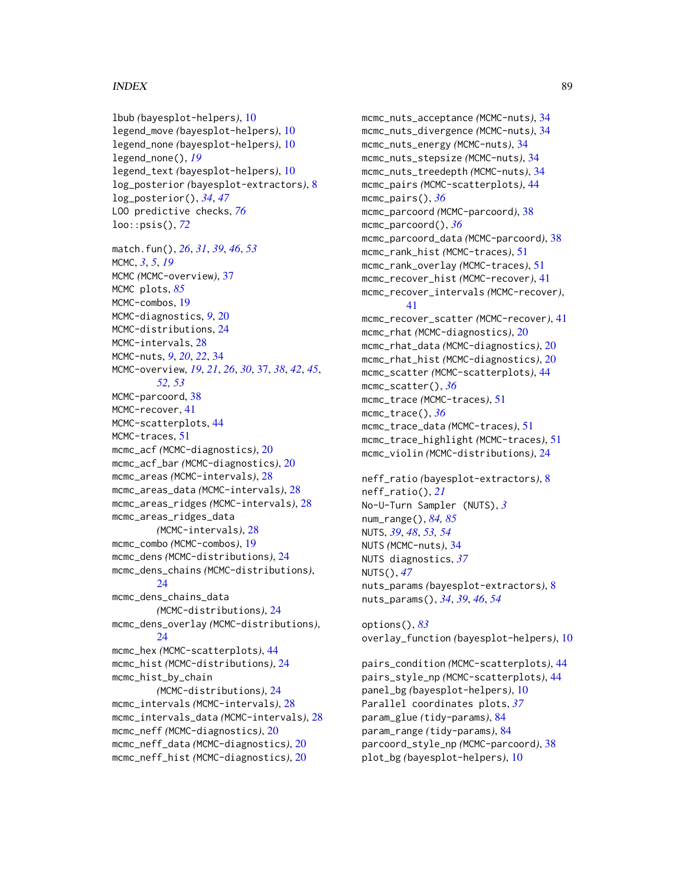# INDEX  $89$

lbub *(*bayesplot-helpers*)*, [10](#page-9-2) legend\_move *(*bayesplot-helpers*)*, [10](#page-9-2) legend\_none *(*bayesplot-helpers*)*, [10](#page-9-2) legend\_none(), *[19](#page-18-0)* legend\_text *(*bayesplot-helpers*)*, [10](#page-9-2) log\_posterior *(*bayesplot-extractors*)*, [8](#page-7-0) log\_posterior(), *[34](#page-33-0)*, *[47](#page-46-0)* LOO predictive checks, *[76](#page-75-0)* loo::psis(), *[72](#page-71-0)* match.fun(), *[26](#page-25-0)*, *[31](#page-30-0)*, *[39](#page-38-0)*, *[46](#page-45-0)*, *[53](#page-52-0)* MCMC, *[3](#page-2-0)*, *[5](#page-4-1)*, *[19](#page-18-0)* MCMC *(*MCMC-overview*)*, [37](#page-36-0) MCMC plots, *[85](#page-84-0)* MCMC-combos, [19](#page-18-0) MCMC-diagnostics, *[9](#page-8-0)*, [20](#page-19-0) MCMC-distributions, [24](#page-23-0) MCMC-intervals, [28](#page-27-0) MCMC-nuts, *[9](#page-8-0)*, *[20](#page-19-0)*, *[22](#page-21-0)*, [34](#page-33-0) MCMC-overview, *[19](#page-18-0)*, *[21](#page-20-0)*, *[26](#page-25-0)*, *[30](#page-29-0)*, [37,](#page-36-0) *[38](#page-37-0)*, *[42](#page-41-0)*, *[45](#page-44-0)*, *[52,](#page-51-0) [53](#page-52-0)* MCMC-parcoord, [38](#page-37-0) MCMC-recover, [41](#page-40-0) MCMC-scatterplots, [44](#page-43-0) MCMC-traces, [51](#page-50-0) mcmc\_acf *(*MCMC-diagnostics*)*, [20](#page-19-0) mcmc\_acf\_bar *(*MCMC-diagnostics*)*, [20](#page-19-0) mcmc\_areas *(*MCMC-intervals*)*, [28](#page-27-0) mcmc\_areas\_data *(*MCMC-intervals*)*, [28](#page-27-0) mcmc\_areas\_ridges *(*MCMC-intervals*)*, [28](#page-27-0) mcmc\_areas\_ridges\_data *(*MCMC-intervals*)*, [28](#page-27-0) mcmc\_combo *(*MCMC-combos*)*, [19](#page-18-0) mcmc\_dens *(*MCMC-distributions*)*, [24](#page-23-0) mcmc\_dens\_chains *(*MCMC-distributions*)*,  $24$ mcmc\_dens\_chains\_data *(*MCMC-distributions*)*, [24](#page-23-0) mcmc\_dens\_overlay *(*MCMC-distributions*)*,  $24$ mcmc\_hex *(*MCMC-scatterplots*)*, [44](#page-43-0) mcmc\_hist *(*MCMC-distributions*)*, [24](#page-23-0) mcmc\_hist\_by\_chain *(*MCMC-distributions*)*, [24](#page-23-0) mcmc\_intervals *(*MCMC-intervals*)*, [28](#page-27-0) mcmc\_intervals\_data *(*MCMC-intervals*)*, [28](#page-27-0) mcmc\_neff *(*MCMC-diagnostics*)*, [20](#page-19-0) mcmc\_neff\_data *(*MCMC-diagnostics*)*, [20](#page-19-0) mcmc\_neff\_hist *(*MCMC-diagnostics*)*, [20](#page-19-0)

mcmc\_nuts\_acceptance *(*MCMC-nuts*)*, [34](#page-33-0) mcmc\_nuts\_divergence *(*MCMC-nuts*)*, [34](#page-33-0) mcmc\_nuts\_energy *(*MCMC-nuts*)*, [34](#page-33-0) mcmc\_nuts\_stepsize *(*MCMC-nuts*)*, [34](#page-33-0) mcmc\_nuts\_treedepth *(*MCMC-nuts*)*, [34](#page-33-0) mcmc\_pairs *(*MCMC-scatterplots*)*, [44](#page-43-0) mcmc\_pairs(), *[36](#page-35-0)* mcmc\_parcoord *(*MCMC-parcoord*)*, [38](#page-37-0) mcmc\_parcoord(), *[36](#page-35-0)* mcmc\_parcoord\_data *(*MCMC-parcoord*)*, [38](#page-37-0) mcmc\_rank\_hist *(*MCMC-traces*)*, [51](#page-50-0) mcmc\_rank\_overlay *(*MCMC-traces*)*, [51](#page-50-0) mcmc\_recover\_hist *(*MCMC-recover*)*, [41](#page-40-0) mcmc\_recover\_intervals *(*MCMC-recover*)*, [41](#page-40-0) mcmc\_recover\_scatter *(*MCMC-recover*)*, [41](#page-40-0) mcmc\_rhat *(*MCMC-diagnostics*)*, [20](#page-19-0) mcmc\_rhat\_data *(*MCMC-diagnostics*)*, [20](#page-19-0) mcmc\_rhat\_hist *(*MCMC-diagnostics*)*, [20](#page-19-0) mcmc\_scatter *(*MCMC-scatterplots*)*, [44](#page-43-0) mcmc\_scatter(), *[36](#page-35-0)* mcmc\_trace *(*MCMC-traces*)*, [51](#page-50-0) mcmc\_trace(), *[36](#page-35-0)* mcmc\_trace\_data *(*MCMC-traces*)*, [51](#page-50-0) mcmc\_trace\_highlight *(*MCMC-traces*)*, [51](#page-50-0) mcmc\_violin *(*MCMC-distributions*)*, [24](#page-23-0) neff\_ratio *(*bayesplot-extractors*)*, [8](#page-7-0) neff\_ratio(), *[21](#page-20-0)* No-U-Turn Sampler (NUTS), *[3](#page-2-0)* num\_range(), *[84,](#page-83-0) [85](#page-84-0)* NUTS, *[39](#page-38-0)*, *[48](#page-47-0)*, *[53,](#page-52-0) [54](#page-53-0)* NUTS *(*MCMC-nuts*)*, [34](#page-33-0) NUTS diagnostics, *[37](#page-36-0)* NUTS(), *[47](#page-46-0)* nuts\_params *(*bayesplot-extractors*)*, [8](#page-7-0)

options(), *[83](#page-82-1)* overlay\_function *(*bayesplot-helpers*)*, [10](#page-9-2)

nuts\_params(), *[34](#page-33-0)*, *[39](#page-38-0)*, *[46](#page-45-0)*, *[54](#page-53-0)*

pairs\_condition *(*MCMC-scatterplots*)*, [44](#page-43-0) pairs\_style\_np *(*MCMC-scatterplots*)*, [44](#page-43-0) panel\_bg *(*bayesplot-helpers*)*, [10](#page-9-2) Parallel coordinates plots, *[37](#page-36-0)* param\_glue *(*tidy-params*)*, [84](#page-83-0) param\_range *(*tidy-params*)*, [84](#page-83-0) parcoord\_style\_np *(*MCMC-parcoord*)*, [38](#page-37-0) plot\_bg *(*bayesplot-helpers*)*, [10](#page-9-2)